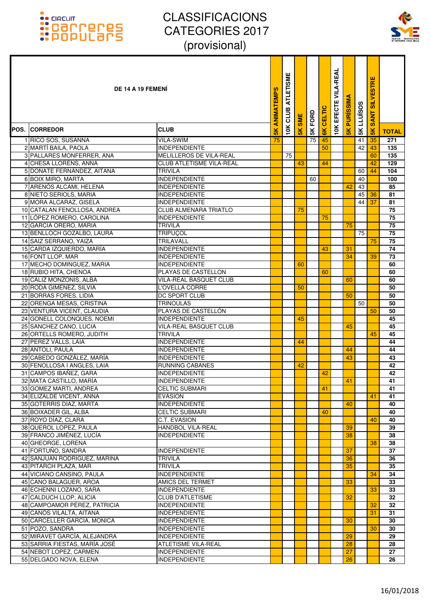### :: GRCUIT<br>:: Carroteres<br>:: Populars



|                                                        | DE 14 A 19 FEMENI                              | ANIMATEMPS     | <b>ATLETISME</b><br>CLUB | <b>SME</b> | 5K FORD | CELTIC | <b>10K EFECTE VILA-REAL</b> | <b>PURISSIMA</b> | <b>5K LLUISOS</b> | ш<br><b>SILVESTR</b><br><b>SANT</b> |                 |
|--------------------------------------------------------|------------------------------------------------|----------------|--------------------------|------------|---------|--------|-----------------------------|------------------|-------------------|-------------------------------------|-----------------|
| <b>POS. CORREDOR</b>                                   | <b>CLUB</b>                                    | $\frac{8}{10}$ | 10K                      | 5K         |         | 6K     |                             | $\frac{1}{5}$    |                   | $\frac{8}{5}$                       | <b>TOTAL</b>    |
| 1 RICO SOS, SUSANNA                                    | <b>VILA-SWIM</b>                               | 75             |                          |            | 75      | 45     |                             |                  | 41                | 35                                  | 271             |
| 2 MARTÍ BAILA, PAOLA                                   | <b>INDEPENDIENTE</b>                           |                |                          |            |         | 50     |                             |                  | 42                | 43                                  | 135             |
| 3 PALLARES MONFERRER, ANA                              | MELILLEROS DE VILA-REAL                        |                | 75                       |            |         |        |                             |                  |                   | 60                                  | 135             |
| 4 CHESA LLORENS, ANNA                                  | <b>CLUB ATLETISME VILA-REAL</b>                |                |                          | 43         |         | 44     |                             |                  |                   | 42                                  | 129             |
| 5 DOÑATE FERNÁNDEZ, AITANA                             | <b>TRIVILA</b>                                 |                |                          |            |         |        |                             |                  | 60                | 44                                  | 104             |
| 6 BOIX MIRO, MARTA                                     | <b>INDEPENDIENTE</b>                           |                |                          |            | 60      |        |                             |                  | 40                |                                     | 100             |
| 7 ARENÓS ALCAMI, HELENA                                | <b>INDEPENDIENTE</b>                           |                |                          |            |         |        |                             | 42               | 43                |                                     | 85              |
| 8 NIETO SERIOLS, MARIA                                 | <b>INDEPENDIENTE</b>                           |                |                          |            |         |        |                             |                  | 45                | 36                                  | 81              |
| 9 MORA ALCARAZ, GISELA<br>10 CATALAN FENOLLOSA, ANDREA | <b>INDEPENDIENTE</b><br>CLUB ALMENARA TRIATLO  |                |                          | 75         |         |        |                             |                  | 44                | 37                                  | 81<br>75        |
| 11 LÓPEZ ROMERO, CAROLINA                              | <b>INDEPENDIENTE</b>                           |                |                          |            |         | 75     |                             |                  |                   |                                     | 75              |
| 12 GARCIA ORERO, MARIA                                 | <b>TRIVILA</b>                                 |                |                          |            |         |        |                             | 75               |                   |                                     | 75              |
| 13 BENLLOCH GOZALBO, LAURA                             | <b>TRIPUÇOL</b>                                |                |                          |            |         |        |                             |                  | 75                |                                     | 75              |
| 14 SAIZ SERRANO, YAIZA                                 | TRILAVALL                                      |                |                          |            |         |        |                             |                  |                   | 75                                  | 75              |
| 15 CARDA IZQUIERDO, MARÍA                              | <b>INDEPENDIENTE</b>                           |                |                          |            |         | 43     |                             | 31               |                   |                                     | 74              |
| 16 FONT LLOP, MAR                                      | <b>INDEPENDIENTE</b>                           |                |                          |            |         |        |                             | 34               |                   | 39                                  | 73              |
| 17 MECHO DOMINGUEZ, MARIA                              | <b>INDEPENDIENTE</b>                           |                |                          | 60         |         |        |                             |                  |                   |                                     | 60              |
| 18 RUBIO HITA, CHENOA                                  | PLAYAS DE CASTELLON                            |                |                          |            |         | 60     |                             |                  |                   |                                     | 60              |
| 19 CÁLIZ MONZONÍS, ALBA                                | VILA-REAL BASQUET CLUB                         |                |                          |            |         |        |                             | 60               |                   |                                     | 60              |
| 20 RODA GIMENEZ, SILVIA                                | L'OVELLA CORRE                                 |                |                          | 50         |         |        |                             |                  |                   |                                     | 50              |
| 21 BORRAS FORES, LIDIA                                 | <b>DC SPORT CLUB</b>                           |                |                          |            |         |        |                             | 50               |                   |                                     | 50              |
| 22 ORENGA MESAS, CRISTINA                              | <b>TRINOULAS</b>                               |                |                          |            |         |        |                             |                  | 50                |                                     | 50              |
| 23 VENTURA VICENT, CLAUDIA                             | PLAYAS DE CASTELLÓN                            |                |                          |            |         |        |                             |                  |                   | 50                                  | 50              |
| 24 GONELL COLONQUES, NOEMI                             | <b>INDEPENDIENTE</b>                           |                |                          | 45         |         |        |                             |                  |                   |                                     | 45              |
| 25 SANCHEZ CANO, LUCIA                                 | <b>VILA-REAL BASQUET CLUB</b>                  |                |                          |            |         |        |                             | 45               |                   |                                     | 45              |
| 26 ORTELLS ROMERO, JUDITH                              | <b>TRIVILA</b>                                 |                |                          |            |         |        |                             |                  |                   | 45                                  | 45              |
| 27 PEREZ VALLS, LAIA                                   | <b>INDEPENDIENTE</b>                           |                |                          | 44         |         |        |                             |                  |                   |                                     | 44              |
| 28 ANTOLI, PAULA                                       | <b>INDEPENDIENTE</b>                           |                |                          |            |         |        |                             | 44               |                   |                                     | 44              |
| 29 CABEDO GONZÁLEZ, MARÍA                              | <b>INDEPENDIENTE</b>                           |                |                          |            |         |        |                             | 43               |                   |                                     | 43              |
| 30 FENOLLOSA I ANGLES, LAIA<br>31 CAMPOS IBAÑEZ, GARA  | <b>RUNNING CABANES</b><br><b>INDEPENDIENTE</b> |                |                          | 42         |         | 42     |                             |                  |                   |                                     | 42<br>42        |
| 32 MATA CASTILLO, MARÍA                                | <b>INDEPENDIENTE</b>                           |                |                          |            |         |        |                             | 41               |                   |                                     | $\overline{41}$ |
| 33 GOMEZ MARTI, ANDREA                                 | <b>CELTIC SUBMARI</b>                          |                |                          |            |         | 41     |                             |                  |                   |                                     | 41              |
| 34 ELIZALDE VICENT, ANNA                               | <b>EVASION</b>                                 |                |                          |            |         |        |                             |                  |                   | 41                                  | 41              |
| 35 GOTERRIS DIAZ, MARTA                                | <b>INDEPENDIENTE</b>                           |                |                          |            |         |        |                             | 40               |                   |                                     | 40              |
| 36 BOIXADER GIL, ALBA                                  | <b>CELTIC SUBMARI</b>                          |                |                          |            |         | 40     |                             |                  |                   |                                     | 40              |
| 37 ROYO DÍAZ, CLARA                                    | C.T. EVASION                                   |                |                          |            |         |        |                             |                  |                   | 40                                  | 40              |
| 38 QUEROL LOPEZ. PAULA                                 | <b>HANDBOL VILA-REAL</b>                       |                |                          |            |         |        |                             | 39               |                   |                                     | 39              |
| 39 FRANCO JIMÉNEZ, LUCÍA                               | <b>INDEPENDIENTE</b>                           |                |                          |            |         |        |                             | 38               |                   |                                     | 38              |
| 40 GHEORGE, LORENA                                     |                                                |                |                          |            |         |        |                             |                  |                   | 38                                  | 38              |
| 41 FORTUÑO, SANDRA                                     | <b>INDEPENDIENTE</b>                           |                |                          |            |         |        |                             | 37               |                   |                                     | 37              |
| 42 SANJUAN RODRIGUEZ, MARINA                           | TRIVILA                                        |                |                          |            |         |        |                             | 36               |                   |                                     | 36              |
| 43 PITARCH PLAZA, MAR                                  | TRIVILA                                        |                |                          |            |         |        |                             | 35               |                   |                                     | 35              |
| 44 VICIANO CANSINO, PAULA                              | <b>INDEPENDIENTE</b>                           |                |                          |            |         |        |                             |                  |                   | 34                                  | 34              |
| 45 CANO BALAGUER, AROA                                 | AMICS DEL TERMET                               |                |                          |            |         |        |                             | 33               |                   |                                     | 33              |
| 46 ECHENNI LOZANO, SARA                                | <b>INDEPENDIENTE</b>                           |                |                          |            |         |        |                             |                  |                   | 33                                  | 33              |
| 47 CALDUCH LLOP, ALICIA                                | <b>CLUB D'ATLETISME</b>                        |                |                          |            |         |        |                             | 32               |                   |                                     | 32              |
| 48 CAMPOAMOR PÉREZ, PATRICIA                           | <b>INDEPENDIENTE</b>                           |                |                          |            |         |        |                             |                  |                   | 32                                  | 32              |
| 49 CANÓS VILALTA, AITANA                               | <b>INDEPENDIENTE</b>                           |                |                          |            |         |        |                             |                  |                   | 31                                  | 31              |
| 50 CARCELLER GARCÍA, MONICA<br>51 POZO, SANDRA         | <b>INDEPENDIENTE</b>                           |                |                          |            |         |        |                             | 30               |                   | 30                                  | 30              |
| 52 MIRAVET GARCÍA, ALEJANDRA                           | <b>INDEPENDIENTE</b><br><b>INDEPENDIENTE</b>   |                |                          |            |         |        |                             | 29               |                   |                                     | 30<br>29        |
| 53 SARRIA FIESTAS, MARÍA JOSÉ                          | <b>ATLETISME VILA-REAL</b>                     |                |                          |            |         |        |                             | 28               |                   |                                     | 28              |
| 54 NEBOT LOPEZ, CARMEN                                 | <b>INDEPENDIENTE</b>                           |                |                          |            |         |        |                             | 27               |                   |                                     | 27              |
| 55 DELGADO NOVA, ELENA                                 | <b>INDEPENDIENTE</b>                           |                |                          |            |         |        |                             | 26               |                   |                                     | 26              |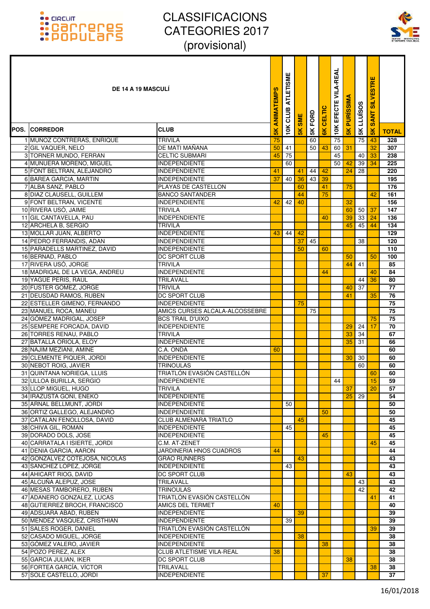

| DE 14 A 19 MASCULI                                         |                                                      | <b>ANIMATEMPS</b> | ш<br><b>ATLETISMI</b><br>CLUB | <b>SME</b>    | 5K FORD | CELTIC         | <b>VILA-REAL</b><br>EFECTE | <b>PURISSIMA</b> | <b>LLUÏSOS</b> | ш<br><b>SILVESTR</b><br><b>SANT</b> |              |
|------------------------------------------------------------|------------------------------------------------------|-------------------|-------------------------------|---------------|---------|----------------|----------------------------|------------------|----------------|-------------------------------------|--------------|
| POS. ICORREDOR                                             | <b>CLUB</b>                                          | <b>SK</b>         | 10K                           | $\frac{1}{2}$ |         | $\frac{8}{10}$ | 10K                        | $\frac{2}{5}$    | 5K             | $\frac{1}{5}$                       | <b>TOTAL</b> |
| 1 MUÑOZ CONTRERAS, ENRIQUE                                 | TRIVILA                                              | 75                |                               |               | 60      |                | 75                         |                  | 75             | 43                                  | 328          |
| 2 GIL VAQUER, NELO                                         | DE MATI MAÑANA                                       | 50                | 41                            |               | 50      | 43             | 60                         | 31               |                | 32                                  | 307          |
| 3 TORNER MUNDO, FERRAN                                     | <b>CELTIC SUBMARI</b>                                | 45                | 75                            |               |         |                | 45                         |                  | 40             | 33                                  | 238          |
| 4 MUNUERA MORENO, MIGUEL                                   | <b>INDEPENDIENTE</b>                                 |                   | 60                            |               |         |                | 50                         | 42               | 39             | 34                                  | 225          |
| 5 FONT BELTRAN, ALEJANDRO                                  | <b>INDEPENDIENTE</b>                                 | 41                |                               | 41            | 44      | 42             |                            | 24               | 28             |                                     | 220          |
| 6 BAREA GARCIA, MARTIN                                     | <b>INDEPENDIENTE</b>                                 | 37                | 40                            | 36            | 43      | 39             |                            |                  |                |                                     | 195          |
| 7 ALBA SANZ, PABLO<br>8 DIAZ CLAUSELL, GUILLEM             | PLAYAS DE CASTELLON<br><b>BANCO SANTANDER</b>        |                   |                               | 60<br>44      |         | 41<br>75       |                            | 75               |                | 42                                  | 176<br>161   |
| 9 FONT BELTRAN, VICENTE                                    | <b>INDEPENDIENTE</b>                                 | 42                | 42                            | 40            |         |                |                            | 32               |                |                                     | 156          |
| 10 RIVERA USÓ, JAIME                                       | <b>TRIVILA</b>                                       |                   |                               |               |         |                |                            | 60               | 50             | 37                                  | 147          |
| 11 GIL CANTAVELLA, PAU                                     | <b>INDEPENDIENTE</b>                                 |                   |                               |               |         | 40             |                            | 39               | 33             | 24                                  | 136          |
| 12 ARCHELA B, SERGIO                                       | <b>TRIVILA</b>                                       |                   |                               |               |         |                |                            | 45               | 45             | 44                                  | 134          |
| 13 MOLLAR JUAN, ALBERTO                                    | <b>INDEPENDIENTE</b>                                 | 43                | 44                            | 42            |         |                |                            |                  |                |                                     | 129          |
| 14 PEDRO FERRANDIS, ADAN                                   | <b>INDEPENDIENTE</b>                                 |                   |                               | 37            | 45      |                |                            |                  | 38             |                                     | 120          |
| 15 PARADELLS MARTINEZ, DAVID                               | <b>INDEPENDIENTE</b>                                 |                   |                               | 50            |         | 60             |                            |                  |                |                                     | 110          |
| 16 BERNAD, PABLO                                           | DC SPORT CLUB                                        |                   |                               |               |         |                |                            | 50               |                | 50                                  | 100          |
| 17 RIVERA USÓ, JORGE                                       | <b>TRIVILA</b>                                       |                   |                               |               |         |                |                            | 44               | 41             |                                     | 85           |
| 18 MADRIGAL DE LA VEGA, ANDREU                             | <b>INDEPENDIENTE</b>                                 |                   |                               |               |         | 44             |                            |                  |                | 40                                  | 84           |
| 19 YAGÜE PERIS, RAÚL                                       | TRILAVALL                                            |                   |                               |               |         |                |                            |                  | 44             | 36                                  | 80           |
| 20 FUSTER GOMEZ, JORGE                                     | <b>TRIVILA</b>                                       |                   |                               |               |         |                |                            | 40               | 37             |                                     | 77           |
| 21 DEUSDAD RAMOS, RUBEN                                    | <b>DC SPORT CLUB</b><br><b>INDEPENDIENTE</b>         |                   |                               | 75            |         |                |                            | 41               |                | 35                                  | 76<br>75     |
| 22 ESTELLER GIMENO, FERNANDO<br>23 MANUEL ROCA, MANEU      | AMICS CURSES ALCALA-ALCOSSEBRE                       |                   |                               |               | 75      |                |                            |                  |                |                                     | 75           |
| 24 GÓMEZ MADRIGAL, JOSEP                                   | <b>BCS TRAIL D'UIXO</b>                              |                   |                               |               |         |                |                            |                  |                | 75                                  | 75           |
| 25 SEMPERE FORCADA, DAVID                                  | <b>INDEPENDIENTE</b>                                 |                   |                               |               |         |                |                            | 29               | 24             | 17                                  | 70           |
| 26 TORRES RENAU, PABLO                                     | <b>TRIVILA</b>                                       |                   |                               |               |         |                |                            | 33               | 34             |                                     | 67           |
| 27 BATALLA ORIOLA, ELOY                                    | <b>INDEPENDIENTE</b>                                 |                   |                               |               |         |                |                            | 35               | 31             |                                     | 66           |
| 28 NAJIM MEZIANI, AMINE                                    | C.A. ONDA                                            | 60                |                               |               |         |                |                            |                  |                |                                     | 60           |
| 29 CLEMENTE PIQUER, JORDI                                  | <b>INDEPENDIENTE</b>                                 |                   |                               |               |         |                |                            | 30               | 30             |                                     | 60           |
| 30 NEBOT ROIG, JAVIER                                      | <b>TRINOULAS</b>                                     |                   |                               |               |         |                |                            |                  | 60             |                                     | 60           |
| 31 QUINTANA NORIEGA, LLUIS                                 | TRIATLÓN EVASIÓN CASTELLÓN                           |                   |                               |               |         |                |                            |                  |                | 60                                  | 60           |
| 32 ULLOA BURILLA, SERGIO                                   | <b>INDEPENDIENTE</b>                                 |                   |                               |               |         |                | 44                         |                  |                | 15                                  | 59           |
| 33 LLOP MIGUEL, HUGO                                       | <b>TRIVILA</b>                                       |                   |                               |               |         |                |                            | 37               |                | 20                                  | 57           |
| 34 IRAZUSTA GOÑI, ENEKO                                    | <b>INDEPENDIENTE</b>                                 |                   |                               |               |         |                |                            | 25               | 29             |                                     | 54           |
| 35 ARNAL BELLMUNT, JORDI                                   | <b>INDEPENDIENTE</b>                                 |                   | 50                            |               |         |                |                            |                  |                |                                     | 50           |
| 36 ORTIZ GALLEGO, ALEJANDRO<br>37 CATALAN FENOLLOSA, DAVID | <b>INDEPENDIENTE</b><br><b>CLUB ALMENARA TRIATLO</b> |                   |                               | 45            |         | 50             |                            |                  |                |                                     | 50<br>45     |
| 38 CHIVA GIL, ROMAN                                        | <b>INDEPENDIENTE</b>                                 |                   | 45                            |               |         |                |                            |                  |                |                                     | 45           |
| 39 DORADO DOLS, JOSE                                       | <b>INDEPENDIENTE</b>                                 |                   |                               |               |         | 45             |                            |                  |                |                                     | 45           |
| 40 CARRATALA I ISIERTE, JORDI                              | C.M. AT-ZENET                                        |                   |                               |               |         |                |                            |                  |                | 45                                  | 45           |
| 41 DENIA GARCIA, AARON                                     | JARDINERIA HNOS CUADROS                              | 44                |                               |               |         |                |                            |                  |                |                                     | 44           |
| 42 GONZALVEZ COTEJOSA, NICOLAS                             | <b>GRAO RUNNERS</b>                                  |                   |                               | 43            |         |                |                            |                  |                |                                     | 43           |
| 43 SANCHEZ LOPEZ, JORGE                                    | <b>INDEPENDIENTE</b>                                 |                   | 43                            |               |         |                |                            |                  |                |                                     | 43           |
| 44 AHICART RIOG, DAVID                                     | DC SPORT CLUB                                        |                   |                               |               |         |                |                            | 43               |                |                                     | 43           |
| 45 ALCUÑA ALEPUZ, JOSE                                     | TRILAVALL                                            |                   |                               |               |         |                |                            |                  | 43             |                                     | 43           |
| 46 MESAS TAMBORERO, RUBEN                                  | <b>TRINOULAS</b>                                     |                   |                               |               |         |                |                            |                  | 42             |                                     | 42           |
| 47 ADANERO GONZALEZ, LUCAS                                 | TRIATLÓN EVASIÓN CASTELLÓN                           |                   |                               |               |         |                |                            |                  |                | 41                                  | 41           |
| 48 GUTIERREZ BROCH, FRANCISCO                              | AMICS DEL TERMET                                     | 40                |                               |               |         |                |                            |                  |                |                                     | 40           |
| 49 ADSUARA ABAD, RUBEN                                     | <b>INDEPENDIENTE</b>                                 |                   |                               | 39            |         |                |                            |                  |                |                                     | 39           |
| 50 MENDEZ VASQUEZ, CRISTHIAN                               | <b>INDEPENDIENTE</b><br>TRIATLÓN EVASIÓN CASTELLÓN   |                   | 39                            |               |         |                |                            |                  |                |                                     | 39<br>39     |
| 51 SALES ROGER, DANIEL<br>52 CASADO MIGUEL, JORGE          | <b>INDEPENDIENTE</b>                                 |                   |                               | 38            |         |                |                            |                  |                | 39                                  | 38           |
| 53 GÓMEZ VALERO, JAVIER                                    | <b>INDEPENDIENTE</b>                                 |                   |                               |               |         | 38             |                            |                  |                |                                     | 38           |
| 54 POZO PEREZ, ALEX                                        | <b>CLUB ATLETISME VILA-REAL</b>                      | 38                |                               |               |         |                |                            |                  |                |                                     | 38           |
| 55 GARCIA JULIAN, IKER                                     | DC SPORT CLUB                                        |                   |                               |               |         |                |                            | 38               |                |                                     | 38           |
| 56 FORTEA GARCÍA, VÍCTOR                                   | TRILAVALL                                            |                   |                               |               |         |                |                            |                  |                | 38                                  | 38           |
| 57 SOLE CASTELLO, JORDI                                    | <b>INDEPENDIENTE</b>                                 |                   |                               |               |         | 37             |                            |                  |                |                                     | 37           |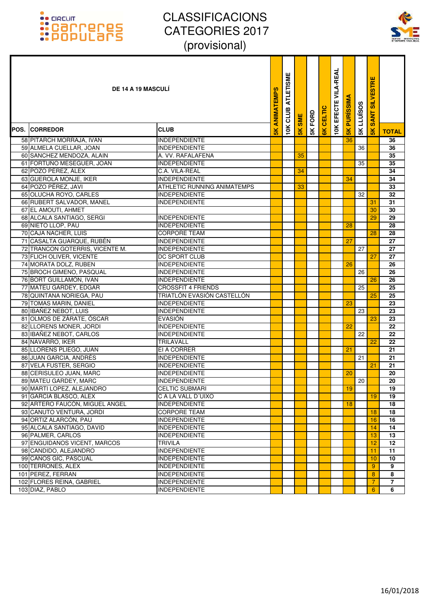

| <b>DE 14 A 19 MASCULI</b><br>ANIMATEMPS                   | <b>ATLETISME</b><br>CLUB | <b>SME</b>    | 5K FORD | CELTIC        | <b>VILA-REAL</b><br><b>10K EFECTE</b> | <b>PURISSIMA</b> | LLUÏSOS | <b>SANT SILVESTRE</b> |                 |
|-----------------------------------------------------------|--------------------------|---------------|---------|---------------|---------------------------------------|------------------|---------|-----------------------|-----------------|
| $\frac{1}{2}$<br>POS. ICORREDOR<br><b>CLUB</b>            | 10K                      | $\frac{1}{2}$ |         | $\frac{1}{2}$ |                                       | $\frac{8}{10}$   | 5K      | $\frac{8}{5}$         | <b>TOTAL</b>    |
| 58 PITARCH MORRAJA, IVAN<br><b>INDEPENDIENTE</b>          |                          |               |         |               |                                       | 36               |         |                       | 36              |
| 59 ALMELA CUELLAR, JOAN<br><b>IINDEPENDIENTE</b>          |                          |               |         |               |                                       |                  | 36      |                       | 36              |
| 60 SANCHEZ MENDOZA, ALAIN<br>A. VV. RAFALAFENA            |                          | 35            |         |               |                                       |                  |         |                       | 35              |
| 61 FORTUÑO MESEGUER, JOAN<br><b>INDEPENDIENTE</b>         |                          |               |         |               |                                       |                  | 35      |                       | 35              |
| 62 POZO PÉREZ, ÁLEX<br>C.A. VILA-REAL                     |                          | 34            |         |               |                                       |                  |         |                       | 34              |
| 63 GUEROLA MONJE, IKER<br>INDEPENDIENTE                   |                          |               |         |               |                                       | 34               |         |                       | 34              |
| 64 POZO PÉREZ, JAVI<br><b>ATHLETIC RUNNING ANIMATEMPS</b> |                          | 33            |         |               |                                       |                  |         |                       | 33              |
| 65 OLUCHA ROYO, CARLES<br><b>INDEPENDIENTE</b>            |                          |               |         |               |                                       |                  | 32      |                       | 32              |
| 66 RUBERT SALVADOR, MANEL<br><b>INDEPENDIENTE</b>         |                          |               |         |               |                                       |                  |         | 31                    | 31              |
| 67 EL AMOUTI, AHMET                                       |                          |               |         |               |                                       |                  |         | 30                    | 30              |
| 68 ALCALA SANTIAGO, SERGI<br><b>INDEPENDIENTE</b>         |                          |               |         |               |                                       |                  |         | 29                    | 29              |
| 69 NIETO LLOP, PAU<br>INDEPENDIENTE                       |                          |               |         |               |                                       | 28               |         |                       | 28              |
| 70 CAJA NACHER, LUIS<br><b>CORPORE TEAM</b>               |                          |               |         |               |                                       |                  |         | 28                    | 28              |
| 71 CASALTA GUARQUE, RUBÉN<br><b>INDEPENDIENTE</b>         |                          |               |         |               |                                       | 27               |         |                       | 27              |
| 72 TRANCON GOTERRIS, VICENTE M.<br><b>INDEPENDIENTE</b>   |                          |               |         |               |                                       |                  | 27      |                       | 27              |
| 73 FLICH OLIVER, VICENTE<br><b>DC SPORT CLUB</b>          |                          |               |         |               |                                       |                  |         | 27                    | 27              |
| 74 MORATA DOLZ, RUBEN<br><b>INDEPENDIENTE</b>             |                          |               |         |               |                                       | 26               |         |                       | 26              |
| 75 BROCH GIMENO, PASQUAL<br>INDEPENDIENTE                 |                          |               |         |               |                                       |                  | 26      |                       | 26              |
| 76 BORT GUILLAMÓN, IVAN<br>INDEPENDIENTE                  |                          |               |         |               |                                       |                  |         | 26                    | 26              |
| 77 MATEU GARDEY, EDGAR<br><b>CROSSFIT 4 FRIENDS</b>       |                          |               |         |               |                                       |                  | 25      |                       | 25              |
| 78 QUINTANA NORIEGA, PAU<br>TRIATLÓN EVASIÓN CASTELLÓN    |                          |               |         |               |                                       |                  |         | 25                    | 25              |
| 79 TOMAS MARIN, DANIEL<br><b>INDEPENDIENTE</b>            |                          |               |         |               |                                       | 23               |         |                       | 23              |
| 80 IBAÑEZ NEBOT, LUIS<br>INDEPENDIENTE                    |                          |               |         |               |                                       |                  | 23      |                       | 23              |
| 81 OLMOS DE ZÁRATE, ÓSCAR<br><b>EVASIÓN</b>               |                          |               |         |               |                                       |                  |         | 23                    | 23              |
| 82 LLORENS MONER, JORDI<br><b>INDEPENDIENTE</b>           |                          |               |         |               |                                       | 22               |         |                       | $\overline{22}$ |
| 83 IBAÑEZ NEBOT, CARLOS<br>INDEPENDIENTE                  |                          |               |         |               |                                       |                  | 22      |                       | 22              |
| 84 NAVARRO, IKER<br><b>TRILAVALL</b>                      |                          |               |         |               |                                       |                  |         | 22                    | 22              |
| 85 LLORENS PLIEGO, JUAN<br>EI A CORRER                    |                          |               |         |               |                                       | 21               |         |                       | 21              |
| 86 JUAN GARCIA, ANDRÉS<br><b>INDEPENDIENTE</b>            |                          |               |         |               |                                       |                  | 21      |                       | 21              |
| 87 VELA FUSTER, SERGIO<br><b>INDEPENDIENTE</b>            |                          |               |         |               |                                       |                  |         | 21                    | 21              |
| 88 CERISULEO JUAN, MARC<br>INDEPENDIENTE                  |                          |               |         |               |                                       | 20               |         |                       | 20              |
| 89 MATEU GARDEY, MARC<br><b>INDEPENDIENTE</b>             |                          |               |         |               |                                       |                  | 20      |                       | $\overline{20}$ |
| 90 MARTI LOPEZ, ALEJANDRO<br><b>CELTIC SUBMARI</b>        |                          |               |         |               |                                       | 19               |         |                       | 19              |
| 91 GARCIA BLASCO, ALEX<br>C A LA VALL D'UIXO              |                          |               |         |               |                                       |                  |         | 19                    | 19              |
| 92 ARTERO FAUCÓN, MIGUEL ANGEL<br><b>INDEPENDIENTE</b>    |                          |               |         |               |                                       | 18               |         |                       | 18              |
| 93 CANUTO VENTURA, JORDI<br><b>CORPORE TEAM</b>           |                          |               |         |               |                                       |                  |         | 18                    | 18              |
| 94 ORTIZ ALARCÓN, PAU<br><b>INDEPENDIENTE</b>             |                          |               |         |               |                                       |                  |         | 16                    | 16              |
| 95 ALCALA SANTIAGO. DAVID<br><b>INDEPENDIENTE</b>         |                          |               |         |               |                                       |                  |         | 14                    | 14              |
| 96 PALMER, CARLOS<br>INDEPENDIENTE                        |                          |               |         |               |                                       |                  |         | 13                    | 13              |
| 97 ENGUIDANOS VICENT, MARCOS<br><b>TRIVILA</b>            |                          |               |         |               |                                       |                  |         | 12                    | 12              |
| 98 CANDIDO, ALEJANDRO<br>INDEPENDIENTE                    |                          |               |         |               |                                       |                  |         | 11                    | 11              |
| 99 CANOS GIC, PASCUAL<br><b>INDEPENDIENTE</b>             |                          |               |         |               |                                       |                  |         | 10                    | 10              |
| 100 TERRONES, ALEX<br><b>INDEPENDIENTE</b>                |                          |               |         |               |                                       |                  |         | 9                     | 9               |
| 101 PEREZ, FERRAN<br>INDEPENDIENTE                        |                          |               |         |               |                                       |                  |         | 8                     | 8               |
| 102 FLORES REINA, GABRIEL<br>INDEPENDIENTE                |                          |               |         |               |                                       |                  |         | 7                     | $\overline{7}$  |
| 103 DIAZ, PABLO<br>INDEPENDIENTE                          |                          |               |         |               |                                       |                  |         | $6^{\circ}$           | 6               |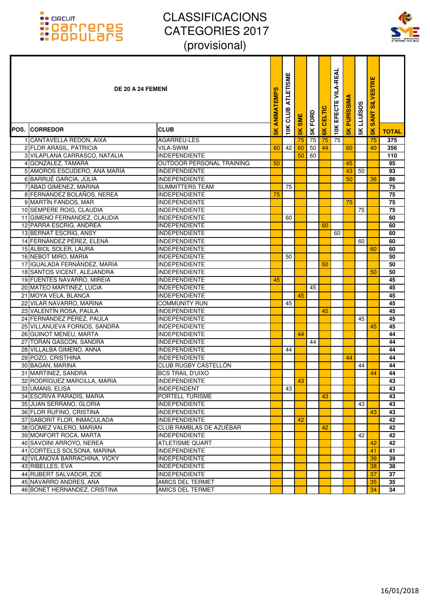

| <b>DE 20 A 24 FEMENI</b>      |                           | ANIMATEMPS    | <b>ATLETISME</b><br>CLUB | <b>SME</b>    | <b>SK FORD</b> | CELTIC | 10K EFECTE VILA-REAL | <b>PURISSIMA</b> | <b>SK LLUISOS</b> | <b>SILVESTRE</b><br><b>SANT</b> |              |
|-------------------------------|---------------------------|---------------|--------------------------|---------------|----------------|--------|----------------------|------------------|-------------------|---------------------------------|--------------|
| <b>POS. ICORREDOR</b>         | <b>CLUB</b>               | $\frac{2}{3}$ | 10K                      | $\frac{1}{2}$ |                | 6K     |                      | $\frac{1}{5}$    |                   | 5K                              | <b>TOTAL</b> |
| 1 CANTAVELLA REDÓN, AIXA      | AGARREU-LES               |               |                          | 75            | 75             | 75     | 75                   |                  |                   | 75                              | 375          |
| 2 FLOR ARASIL, PATRICIA       | VILA-SWIM                 | 60            | 42                       | 60            | 50             | 44     |                      | 60               |                   | 40                              | 356          |
| 3 VILAPLANA CARRASCO. NATALIA | <b>INDEPENDIENTE</b>      |               |                          | 50            | 60             |        |                      |                  |                   |                                 | 110          |
| 4 GONZALEZ, TAMARA            | OUTDOOR PERSONAL TRAINING | 50            |                          |               |                |        |                      | 45               |                   |                                 | 95           |
| 5 AMORÓS ESCUDERO, ANA MARÍA  | <b>INDEPENDIENTE</b>      |               |                          |               |                |        |                      | 43               | 50                |                                 | 93           |
| 6 BARRUÉ GARCIA, JÚLIA        | <b>INDEPENDIENTE</b>      |               |                          |               |                |        |                      | 50               |                   | 36                              | 86           |
| 7 ABAD GIMENEZ, MARINA        | SUMMITTERS TEAM           |               | 75                       |               |                |        |                      |                  |                   |                                 | 75           |
| 8 FERNANDEZ BOLAÑOS, NEREA    | <b>INDEPENDIENTE</b>      | 75            |                          |               |                |        |                      |                  |                   |                                 | 75           |
| 9 MARTÍN FANDOS, MAR          | INDEPENDIENTE             |               |                          |               |                |        |                      | 75               |                   |                                 | 75           |
| 10 SEMPERE ROIG, CLAUDIA      | <b>INDEPENDIENTE</b>      |               |                          |               |                |        |                      |                  | 75                |                                 | 75           |
| 11 GIMENO FERNANDEZ, CLAUDIA  | <b>INDEPENDIENTE</b>      |               | 60                       |               |                |        |                      |                  |                   |                                 | 60           |
| 12 PARRA ESCRIG, ANDREA       | <b>INDEPENDIENTE</b>      |               |                          |               |                | 60     |                      |                  |                   |                                 | 60           |
| 13 BERNAT ESCRIG, ANSY        | <b>INDEPENDIENTE</b>      |               |                          |               |                |        | 60                   |                  |                   |                                 | 60           |
| 14 FERNÁNDEZ PÉREZ, ELENA     | <b>INDEPENDIENTE</b>      |               |                          |               |                |        |                      |                  | 60                |                                 | 60           |
| 15 ALBIOL SOLER, LAURA        | <b>INDEPENDIENTE</b>      |               |                          |               |                |        |                      |                  |                   | 60                              | 60           |
| 16 NEBOT MIRO, MARIA          | <b>INDEPENDIENTE</b>      |               | 50                       |               |                |        |                      |                  |                   |                                 | 50           |
| 17 IGUALADA FERNÁNDEZ, MARIA  | <b>INDEPENDIENTE</b>      |               |                          |               |                | 50     |                      |                  |                   |                                 | 50           |
| 18 SANTOS VICENT, ALEJANDRA   | <b>INDEPENDIENTE</b>      |               |                          |               |                |        |                      |                  |                   | 50                              | 50           |
| 19 FUENTES NAVARRO, MIREIA    | <b>INDEPENDIENTE</b>      | 45            |                          |               |                |        |                      |                  |                   |                                 | 45           |
| 20 MATEO MARTINEZ, LUCIA      | <b>INDEPENDIENTE</b>      |               |                          |               | 45             |        |                      |                  |                   |                                 | 45           |
| 21 MOYA VELA, BLANCA          | <b>INDEPENDIENTE</b>      |               |                          | 45            |                |        |                      |                  |                   |                                 | 45           |
| 22 VILAR NAVARRO, MARINA      | <b>COMMUNITY RUN</b>      |               | 45                       |               |                |        |                      |                  |                   |                                 | 45           |
| 23 VALENTÍN ROSA, PAULA       | <b>INDEPENDIENTE</b>      |               |                          |               |                | 45     |                      |                  |                   |                                 | 45           |
| 24 FERNÁNDEZ PÉREZ, PAULA     | <b>INDEPENDIENTE</b>      |               |                          |               |                |        |                      |                  | 45                |                                 | 45           |
| 25 VILLANUEVA FORNOS, SANDRA  | <b>INDEPENDIENTE</b>      |               |                          |               |                |        |                      |                  |                   | 45                              | 45           |
| 26 GUINOT MENEU, MARTA        | <b>INDEPENDIENTE</b>      |               |                          | 44            |                |        |                      |                  |                   |                                 | 44           |
| 27 TORAN GASCON, SANDRA       | <b>INDEPENDIENTE</b>      |               |                          |               | 44             |        |                      |                  |                   |                                 | 44           |
| 28 VILLALBA GIMENO, ANNA      | <b>INDEPENDIENTE</b>      |               | 44                       |               |                |        |                      |                  |                   |                                 | 44           |
| 29 POZO, CRISTHINA            | <b>INDEPENDIENTE</b>      |               |                          |               |                |        |                      | 44               |                   |                                 | 44           |
| 30 BAGAN, MARINA              | CLUB RUGBY CASTELLÓN      |               |                          |               |                |        |                      |                  | 44                |                                 | 44           |
| 31 MARTINEZ, SANDRA           | <b>BCS TRAIL D'UIXO</b>   |               |                          |               |                |        |                      |                  |                   | 44                              | 44           |
| 32 RODRÍGUEZ MARCILLA, MARIA  | <b>INDEPENDIENTE</b>      |               |                          | 43            |                |        |                      |                  |                   |                                 | 43           |
| 33 UMANS, ELISA               | <b>INDEPENDENT</b>        |               | 43                       |               |                |        |                      |                  |                   |                                 | 43           |
| 34 ESCRIVÀ PARADÍS, MARIA     | PORTELL TURISME           |               |                          |               |                | 43     |                      |                  |                   |                                 | 43           |
| 35 JUAN SERRANO, GLORIA       | <b>INDEPENDIENTE</b>      |               |                          |               |                |        |                      |                  | 43                |                                 | 43           |
| 36 FLOR RUFINO, CRISTINA      | <b>INDEPENDIENTE</b>      |               |                          |               |                |        |                      |                  |                   | 43                              | 43           |
| 37 SABORIT FLOR, INMACULADA   | <b>INDEPENDIENTE</b>      |               |                          | 42            |                |        |                      |                  |                   |                                 | 42           |
| 38 GÓMEZ VALERO, MARIAN       | CLUB RAMBLAS DE AZUÉBAR   |               |                          |               |                | 42     |                      |                  |                   |                                 | 42           |
| 39 MONFORT ROCA, MARTA        | <b>INDEPENDIENTE</b>      |               |                          |               |                |        |                      |                  | 42                |                                 | 42           |
| 40 SAVOINI ARROYO. NEREA      | <b>ATLETISME QUART</b>    |               |                          |               |                |        |                      |                  |                   | 42                              | 42           |
| 41 CORTELLS SOLSONA, MARINA   | <b>INDEPENDIENTE</b>      |               |                          |               |                |        |                      |                  |                   | 41                              | 41           |
| 42 VILANOVA BARRACHINA, VICKY | <b>INDEPENDIENTE</b>      |               |                          |               |                |        |                      |                  |                   | 39                              | 39           |
| 43 RIBELLES, EVA              | <b>INDEPENDIENTE</b>      |               |                          |               |                |        |                      |                  |                   | 38                              | 38           |
| 44 RUBERT SALVADOR, ZOE       | <b>INDEPENDIENTE</b>      |               |                          |               |                |        |                      |                  |                   | 37                              | 37           |
| 45 NAVARRO ANDRES, ANA        | AMICS DEL TERMET          |               |                          |               |                |        |                      |                  |                   | 35                              | 35           |
| 46 BONET HERNANDEZ, CRISTINA  | AMICS DEL TERMET          |               |                          |               |                |        |                      |                  |                   | 34                              | 34           |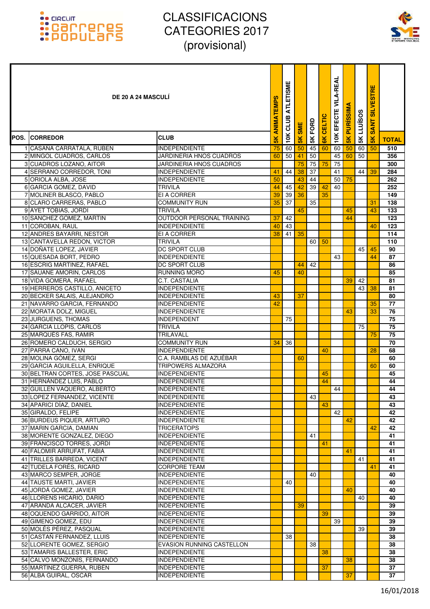

| <b>DE 20 A 24 MASCULI</b>                              | <b>ANIMATEMPS</b>                                    | ATLETISME<br>CLUB | <b>SME</b> | 5K FORD       | CELTIC          | <b>VILA-REAL</b><br>EFECTE | <b>PURISSIMA</b> | <b>LLUISOS</b> | <b>SILVESTRE</b><br><b>SANT</b> |               |                  |
|--------------------------------------------------------|------------------------------------------------------|-------------------|------------|---------------|-----------------|----------------------------|------------------|----------------|---------------------------------|---------------|------------------|
| <b>POS. CORREDOR</b>                                   | <b>CLUB</b>                                          | $\frac{8}{10}$    | 10K        | $\frac{1}{2}$ |                 | $\frac{1}{8}$              | 10K              | 5K             | 5K                              | $\frac{1}{5}$ | <b>TOTAL</b>     |
| 1 CASAÑA CARRATALA, RUBEN                              | <b>INDEPENDIENTE</b>                                 | 75                | 60         | 50            | 45              | 60                         | 60               | 50             | 60                              | 50            | 510              |
| 2 MINGOL CUADROS, CARLOS                               | JARDINERIA HNOS CUADROS                              | 60                | 50         | 41            | 50              |                            | 45               | 60             | 50                              |               | 356              |
| 3 CUADROS LOZANO, AITOR                                | JARDINERIA HNOS CUADROS                              |                   |            | 75            | 75              | 75                         | 75               |                |                                 |               | 300              |
| 4 SERRANO CORREDOR, TONI                               | <b>INDEPENDIENTE</b>                                 | 41                | 44         | 38            | $\overline{37}$ |                            | 41               |                | 44                              | 39            | 284              |
| 5 ORIOLA ALBA, JOSE                                    | <b>INDEPENDIENTE</b>                                 | 50                |            | 43            | 44              |                            | 50               | 75             |                                 |               | 262              |
| 6 GARCIA GOMEZ, DAVID                                  | <b>TRIVILA</b>                                       | 44                | 45         | 42            | $\overline{39}$ | 42                         | 40               |                |                                 |               | $\overline{252}$ |
| 7 MOLINER BLASCO, PABLO                                | EI A CORRER                                          | 39                | 39         | 36            |                 | 35                         |                  |                |                                 |               | 149              |
| 8 CLARO CARRERAS, PABLO                                | <b>COMMUNITY RUN</b>                                 | 35                | 37         |               | 35              |                            |                  |                |                                 | 31            | 138              |
| 9 AYET TOBIAS, JORDI                                   | <b>TRIVILA</b>                                       |                   |            | 45            |                 |                            |                  | 45             |                                 | 43            | 133              |
| 10 SANCHEZ GOMEZ, MARTIN<br>11 COROBAN, RAUL           | OUTDOOR PERSONAL TRAINING<br><b>INDEPENDIENTE</b>    | 37<br>40          | 42<br>43   |               |                 |                            |                  | 44             |                                 | 40            | 123<br>123       |
| 12 ANDRES BAYARRI, NESTOR                              | EI A CORRER                                          | 38                | 41         | 35            |                 |                            |                  |                |                                 |               | 114              |
| 13 CANTAVELLA REDON, VICTOR                            | <b>TRIVILA</b>                                       |                   |            |               | 60              | 50                         |                  |                |                                 |               | 110              |
| 14 DOÑATE LOPEZ, JAVIER                                | <b>DC SPORT CLUB</b>                                 |                   |            |               |                 |                            |                  |                | 45                              | 45            | 90               |
| 15 QUESADA BORT, PEDRO                                 | <b>INDEPENDIENTE</b>                                 |                   |            |               |                 |                            | 43               |                |                                 | 44            | 87               |
| 16 ESCRIG MARTINEZ, RAFAEL                             | DC SPORT CLUB                                        |                   |            | 44            | 42              |                            |                  |                |                                 |               | 86               |
| 17 SAUANE AMORIN, CARLOS                               | RUNNING MORÓ                                         | 45                |            | 40            |                 |                            |                  |                |                                 |               | 85               |
| 18 VIDA GOMERA, RAFAEL                                 | <b>C.T. CASTALIA</b>                                 |                   |            |               |                 |                            |                  | 39             | 42                              |               | $\overline{81}$  |
| 19 HERREROS CASTILLO, ANICETO                          | <b>INDEPENDIENTE</b>                                 |                   |            |               |                 |                            |                  |                | 43                              | 38            | 81               |
| 20 BECKER SALAIS, ALEJANDRO                            | <b>INDEPENDIENTE</b>                                 | 43                |            | 37            |                 |                            |                  |                |                                 |               | 80               |
| 21 NAVARRO GARCIA, FERNANDO                            | <b>INDEPENDIENTE</b>                                 | 42                |            |               |                 |                            |                  |                |                                 | 35            | $\overline{77}$  |
| 22 MORATA DOLZ, MIGUEL                                 | <b>INDEPENDIENTE</b>                                 |                   |            |               |                 |                            |                  | 43             |                                 | 33            | 76               |
| 23 JURGUENS, THOMAS                                    | <b>INDEPENDENT</b>                                   |                   | 75         |               |                 |                            |                  |                |                                 |               | 75               |
| 24 GARCIA LLOPIS, CARLOS                               | <b>TRIVILA</b>                                       |                   |            |               |                 |                            |                  |                | 75                              |               | 75               |
| 25 MARQUÉS FAS, RAMIR                                  | <b>TRILAVALL</b>                                     |                   |            |               |                 |                            |                  |                |                                 | 75            | 75               |
| 26 ROMERO CALDUCH, SERGIO                              | <b>COMMUNITY RUN</b>                                 | 34                | 36         |               |                 |                            |                  |                |                                 |               | $\overline{70}$  |
| 27 PARRA CANO, IVAN                                    | <b>INDEPENDIENTE</b>                                 |                   |            |               |                 | 40                         |                  |                |                                 | 28            | 68               |
| 28 MOLINA GÓMEZ, SERGI<br>29 GARCIA AGUILELLA, ENRIQUE | C.A. RAMBLAS DE AZUÉBAR<br><b>TRIPOWERS ALMAZORA</b> |                   |            | 60            |                 |                            |                  |                |                                 |               | 60               |
| 30 BELTRAN CORTES, JOSE PASCUAL                        | <b>INDEPENDIENTE</b>                                 |                   |            |               |                 | 45                         |                  |                |                                 | 60            | 60<br>45         |
| 31 HERNÁNDEZ LUIS, PABLO                               | <b>INDEPENDIENTE</b>                                 |                   |            |               |                 | 44                         |                  |                |                                 |               | 44               |
| 32 GUILLEN VAQUERO, ALBERTO                            | <b>INDEPENDIENTE</b>                                 |                   |            |               |                 |                            | 44               |                |                                 |               | 44               |
| 33 LOPEZ FERNANDEZ, VICENTE                            | <b>INDEPENDIENTE</b>                                 |                   |            |               | 43              |                            |                  |                |                                 |               | 43               |
| 34 APARICI DÍAZ, DANIEL                                | <b>INDEPENDIENTE</b>                                 |                   |            |               |                 | 43                         |                  |                |                                 |               | 43               |
| 35 GIRALDO, FELIPE                                     | <b>INDEPENDIENTE</b>                                 |                   |            |               |                 |                            | 42               |                |                                 |               | 42               |
| 36 BURDEUS PIQUER, ARTURO                              | <b>INDEPENDIENTE</b>                                 |                   |            |               |                 |                            |                  | 42             |                                 |               | 42               |
| 37 MARIN GARCIA, DAMIAN                                | <b>TRICERATOPS</b>                                   |                   |            |               |                 |                            |                  |                |                                 | 42            | 42               |
| 38 MORENTE GONZALEZ, DIEGO                             | <b>INDEPENDIENTE</b>                                 |                   |            |               | 41              |                            |                  |                |                                 |               | 41               |
| 39 FRANCISCO TORRES, JORDI                             | <b>INDEPENDIENTE</b>                                 |                   |            |               |                 | 41                         |                  |                |                                 |               | 41               |
| 40 FALOMIR ARRUFAT, FABIÀ                              | <b>INDEPENDIENTE</b>                                 |                   |            |               |                 |                            |                  | 41             |                                 |               | 41               |
| 41 TRILLES BARREDA, VICENT                             | <b>INDEPENDIENTE</b>                                 |                   |            |               |                 |                            |                  |                | 41                              |               | 41               |
| 42 TUDELA FORÉS, RICARD                                | <b>CORPORE TEAM</b>                                  |                   |            |               |                 |                            |                  |                |                                 | 41            | 41               |
| 43 MARCO SEMPER, JORGE                                 | <b>INDEPENDIENTE</b>                                 |                   |            |               | 40              |                            |                  |                |                                 |               | 40               |
| 44 TAUSTE MARTI, JAVIER                                | <b>INDEPENDIENTE</b>                                 |                   | 40         |               |                 |                            |                  |                |                                 |               | 40               |
| 45 JORDÁ GOMEZ, JAVIER                                 | <b>INDEPENDIENTE</b>                                 |                   |            |               |                 |                            |                  | 40             |                                 |               | 40               |
| 46 LLORENS HICARIO, DARIO                              | <b>INDEPENDIENTE</b>                                 |                   |            |               |                 |                            |                  |                | 40                              |               | 40               |
| 47 ARANDA ALCACER, JAVIER                              | <b>INDEPENDIENTE</b>                                 |                   |            | 39            |                 |                            |                  |                |                                 |               | 39               |
| 48 OQUENDO GARRIDO, AITOR<br>49 GIMENO GOMEZ, EDU      | <b>INDEPENDIENTE</b><br><b>INDEPENDIENTE</b>         |                   |            |               |                 | 39                         | 39               |                |                                 |               | 39<br>39         |
| 50 MOLÉS PÉREZ, PASQUAL                                | <b>INDEPENDIENTE</b>                                 |                   |            |               |                 |                            |                  |                | 39                              |               | 39               |
| 51 CASTAÑ FERNANDEZ, LLUIS                             | <b>INDEPENDIENTE</b>                                 |                   | 38         |               |                 |                            |                  |                |                                 |               | 38               |
| 52 LLORENTE GOMEZ, SERGIO                              | <b>EVASION RUNNING CASTELLON</b>                     |                   |            |               | 38              |                            |                  |                |                                 |               | 38               |
| 53 TAMARIS BALLESTER, ERIC                             | <b>INDEPENDIENTE</b>                                 |                   |            |               |                 | 38                         |                  |                |                                 |               | 38               |
| 54 CALVO MONZONÍS, FERNANDO                            | <b>INDEPENDIENTE</b>                                 |                   |            |               |                 |                            |                  | 38             |                                 |               | 38               |
| 55 MARTÍNEZ GUERRA, RUBÉN                              | <b>INDEPENDIENTE</b>                                 |                   |            |               |                 | 37                         |                  |                |                                 |               | 37               |
| 56 ALBA GUIRAL, OSCAR                                  | <b>INDEPENDIENTE</b>                                 |                   |            |               |                 |                            |                  | 37             |                                 |               | 37               |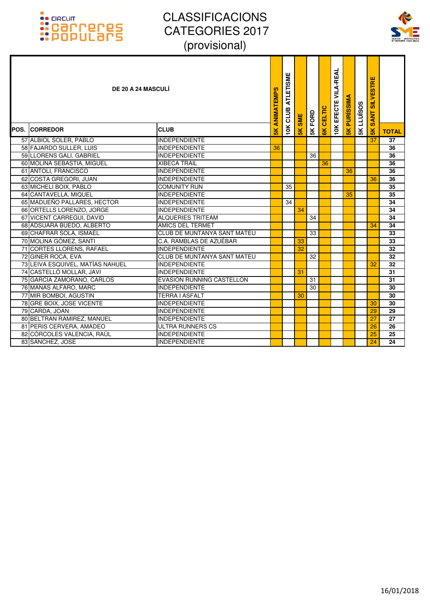

| <b>DE 20 A 24 MASCULÍ</b><br><b>POS. CORREDOR</b>  | <b>CLUB</b>                                 | ANIMATEMPS<br>5K. | <b>ATLETISME</b><br>CLUB<br>10K | <b>SME</b><br>5K | 5K FORD | CELTIC<br>$\frac{1}{8}$ | <b>10K EFECTE VILA-REAL</b> | <b>PURISSIMA</b><br>$\frac{1}{5}$ | <b>SKLLUSOS</b> | <b>SILVESTRE</b><br><b>SANT</b><br>$\frac{8}{10}$ |                 |
|----------------------------------------------------|---------------------------------------------|-------------------|---------------------------------|------------------|---------|-------------------------|-----------------------------|-----------------------------------|-----------------|---------------------------------------------------|-----------------|
|                                                    |                                             |                   |                                 |                  |         |                         |                             |                                   |                 |                                                   | <b>TOTAL</b>    |
| 57 ALBIOL SOLER, PABLO                             | <b>INDEPENDIENTE</b>                        |                   |                                 |                  |         |                         |                             |                                   |                 | 37                                                | $\overline{37}$ |
| 58 FAJARDO SULLER, LUIS                            | <b>INDEPENDIENTE</b>                        | 36                |                                 |                  |         |                         |                             |                                   |                 |                                                   | 36              |
| 59 LLORENS GALI, GABRIEL                           | <b>INDEPENDIENTE</b><br><b>XIBECA TRAIL</b> |                   |                                 |                  | 36      |                         |                             |                                   |                 |                                                   | 36<br>36        |
| 60 MOLINA SEBASTIA, MIGUEL<br>61 ANTOLI, FRANCISCO | <b>INDEPENDIENTE</b>                        |                   |                                 |                  |         | 36                      |                             | 36                                |                 |                                                   | 36              |
| 62 COSTA GREGORI, JUAN                             | <b>INDEPENDIENTE</b>                        |                   |                                 |                  |         |                         |                             |                                   |                 | 36                                                | 36              |
| 63 MICHELI BOIX, PABLO                             | <b>COMUNITY RUN</b>                         |                   | 35                              |                  |         |                         |                             |                                   |                 |                                                   | 35              |
| 64 CANTAVELLA, MIQUEL                              | <b>INDEPENDIENTE</b>                        |                   |                                 |                  |         |                         |                             | 35                                |                 |                                                   | 35              |
| 65 MADUEÑO PALLARES, HECTOR                        | <b>INDEPENDIENTE</b>                        |                   | 34                              |                  |         |                         |                             |                                   |                 |                                                   | 34              |
| 66 ORTELLS LORENZO, JORGE                          | <b>INDEPENDIENTE</b>                        |                   |                                 | 34               |         |                         |                             |                                   |                 |                                                   | $\overline{34}$ |
| 67 VICENT CARREGUI, DAVID                          | <b>ALQUERIES TRITEAM</b>                    |                   |                                 |                  | 34      |                         |                             |                                   |                 |                                                   | 34              |
| 68 ADSUARA BUEDO, ALBERTO                          | <b>AMICS DEL TERMET</b>                     |                   |                                 |                  |         |                         |                             |                                   |                 | 34                                                | 34              |
| 69 CHAFRAR SOLA, ISMAEL                            | <b>CLUB DE MUNTANYA SANT MATEU</b>          |                   |                                 |                  | 33      |                         |                             |                                   |                 |                                                   | 33              |
| 70 MOLINA GÓMEZ, SANTI                             | C.A. RAMBLAS DE AZUÉBAR                     |                   |                                 | 33               |         |                         |                             |                                   |                 |                                                   | 33              |
| 71 CORTES LLORENS, RAFAEL                          | <b>INDEPENDIENTE</b>                        |                   |                                 | 32               |         |                         |                             |                                   |                 |                                                   | 32              |
| 72 GINER ROCA, EVA                                 | <b>CLUB DE MUNTANYA SANT MATEU</b>          |                   |                                 |                  | 32      |                         |                             |                                   |                 |                                                   | 32              |
| 73 LEIVA ESQUIVEL, MATÍAS NAHUEL                   | <b>INDEPENDIENTE</b>                        |                   |                                 |                  |         |                         |                             |                                   |                 | 32                                                | 32              |
| 74 CASTELLÓ MOLLAR, JAVI                           | <b>INDEPENDIENTE</b>                        |                   |                                 | 31               |         |                         |                             |                                   |                 |                                                   | 31              |
| 75 GARCIA ZAMORANO, CARLOS                         | <b>EVASION RUNNING CASTELLON</b>            |                   |                                 |                  | 31      |                         |                             |                                   |                 |                                                   | $\overline{31}$ |
| 76 MAÑAS ALFARO, MARC                              | <b>INDEPENDIENTE</b>                        |                   |                                 |                  | 30      |                         |                             |                                   |                 |                                                   | 30              |
| 77 MIR BOMBOI, AGUSTIN                             | <b>TERRA I ASFALT</b>                       |                   |                                 | 30               |         |                         |                             |                                   |                 |                                                   | 30              |
| 78 GRE BOIX, JOSE VICENTE                          | <b>INDEPENDIENTE</b>                        |                   |                                 |                  |         |                         |                             |                                   |                 | 30                                                | 30              |
| 79 CARDA, JOAN                                     | <b>INDEPENDIENTE</b>                        |                   |                                 |                  |         |                         |                             |                                   |                 | 29                                                | 29              |
| 80 BELTRAN RAMIREZ, MANUEL                         | <b>INDEPENDIENTE</b>                        |                   |                                 |                  |         |                         |                             |                                   |                 | 27                                                | 27              |
| 81 PERIS CERVERA, AMADEO                           | ULTRA RUNNERS CS                            |                   |                                 |                  |         |                         |                             |                                   |                 | 26                                                | 26              |
| 82 CÓRCOLES VALENCIA, RAÚL                         | <b>INDEPENDIENTE</b>                        |                   |                                 |                  |         |                         |                             |                                   |                 | 25                                                | 25              |
| 83 SANCHEZ, JOSE                                   | <b>INDEPENDIENTE</b>                        |                   |                                 |                  |         |                         |                             |                                   |                 | 24                                                | $\overline{24}$ |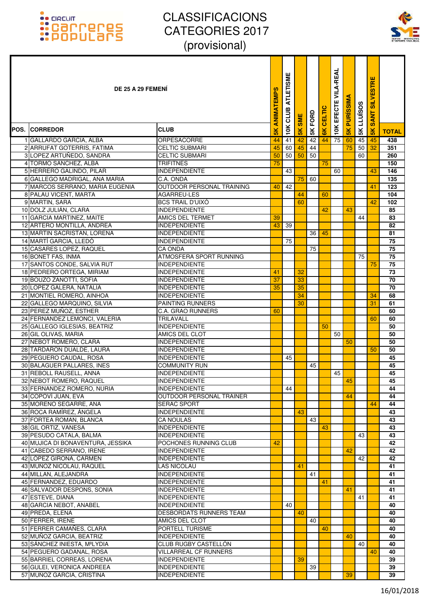

|      | DE 25 A 29 FEMENI                                        |                                                         | <b>ANIMATEMPS</b> | <b>ATLETISM</b><br>CLUB | <b>SME</b>    | <b>5K FORD</b> | CELTIC | <b>10K EFECTE VILA-REAL</b> | <b>PURISSIM</b> | <b>5K LLUISOS</b> | <b>SILVESTRE</b><br><b>SANT</b> |                 |
|------|----------------------------------------------------------|---------------------------------------------------------|-------------------|-------------------------|---------------|----------------|--------|-----------------------------|-----------------|-------------------|---------------------------------|-----------------|
| POS. | <b>ICORREDOR</b>                                         | <b>CLUB</b>                                             | $\frac{8}{10}$    | 10K                     | $\frac{1}{5}$ |                | 6K     |                             | $\frac{2}{5}$   |                   | $\frac{8}{5}$                   | <b>TOTAL</b>    |
|      | 1 GALLARDO GARCIA, ALBA                                  | <b>ORPESACORRE</b>                                      | 44                | 41                      | 42            | 42             | 44     | 75                          | 60              | 45                | 45                              | 438             |
|      | 2 ARRUFAT GOTERRIS, FATIMA                               | <b>CELTIC SUBMARI</b>                                   | 45                | 60                      | 45            | 44             |        |                             | 75              | 50                | 32                              | 351             |
|      | 3 LOPEZ ARTUÑEDO, SANDRA                                 | <b>CELTIC SUBMARI</b>                                   | 50                | 50                      | 50            | 50             |        |                             |                 | 60                |                                 | 260             |
|      | 4 TORMO SANCHEZ, ALBA                                    | <b>TRIFITNES</b>                                        | 75                |                         |               |                | 75     |                             |                 |                   |                                 | 150             |
|      | 5 HERRERO GALINDO, PILAR                                 | <b>INDEPENDIENTE</b>                                    |                   | 43                      |               |                |        | 60                          |                 |                   | 43                              | 146             |
|      | 6 GALLEGO MADRIGAL, ANA MARIA                            | C.A. ONDA                                               |                   |                         | 75            | 60             |        |                             |                 |                   |                                 | 135             |
|      | 7 MARCOS SERRANO, MARIA EUGENIA<br>8 PALAU VICENT, MARTA | OUTDOOR PERSONAL TRAINING<br>AGARREU-LES                | 40                | 42                      | 44            |                | 60     |                             |                 |                   | 41                              | 123<br>104      |
|      | 9 MARTIN, SARA                                           | <b>BCS TRAIL D'UIXÓ</b>                                 |                   |                         | 60            |                |        |                             |                 |                   | 42                              | 102             |
|      | 10 DOLZ JULIÁN, CLARA                                    | <b>INDEPENDIENTE</b>                                    |                   |                         |               |                | 42     |                             | 43              |                   |                                 | 85              |
|      | 11 GARCIA MARTINEZ, MAITE                                | <b>AMICS DEL TERMET</b>                                 | 39                |                         |               |                |        |                             |                 | 44                |                                 | 83              |
|      | 12 ARTERO MONTILLA, ANDREA                               | <b>INDEPENDIENTE</b>                                    | 43                | 39                      |               |                |        |                             |                 |                   |                                 | 82              |
|      | 13 MARTIN SACRISTAN, LORENA                              | <b>INDEPENDIENTE</b>                                    |                   |                         |               | 36             | 45     |                             |                 |                   |                                 | 81              |
|      | 14 MARTÍ GARCIA. LLEDÓ                                   | <b>INDEPENDIENTE</b>                                    |                   | 75                      |               |                |        |                             |                 |                   |                                 | 75              |
|      | 15 CASARES LOPEZ, RAQUEL                                 | CA ONDA                                                 |                   |                         |               | 75             |        |                             |                 |                   |                                 | 75              |
|      | 16 BONET FAS, INMA                                       | <b>ATMOSFERA SPORT RUNNING</b>                          |                   |                         |               |                |        |                             |                 | 75                |                                 | $\overline{75}$ |
|      | 17 SANTOS CONDE, SALVIA RUT                              | <b>INDEPENDIENTE</b>                                    |                   |                         |               |                |        |                             |                 |                   | 75                              | 75              |
|      | 18 PEDRERO ORTEGA, MIRIAM                                | <b>INDEPENDIENTE</b>                                    | 41                |                         | 32            |                |        |                             |                 |                   |                                 | 73              |
|      | 19 BOUZO ZANOTTI, SOFIA                                  | <b>INDEPENDIENTE</b>                                    | 37                |                         | 33            |                |        |                             |                 |                   |                                 | 70              |
|      | 20 LOPEZ GALERA, NATALIA                                 | <b>INDEPENDIENTE</b>                                    | 35                |                         | 35<br>34      |                |        |                             |                 |                   |                                 | 70              |
|      | 21 MONTIEL ROMERO, AINHOA<br>22 GALLEGO MARQUINO, SILVIA | <b>INDEPENDIENTE</b><br><b>PAINTING RUNNERS</b>         |                   |                         | 30            |                |        |                             |                 |                   | 34<br>31                        | 68<br>61        |
|      | 23 PEREZ MUÑOZ, ESTHER                                   | <b>C.A. GRAO RUNNERS</b>                                | 60                |                         |               |                |        |                             |                 |                   |                                 | 60              |
|      | 24 FERNANDEZ LEMONCI, VALERIA                            | TRILAVALL                                               |                   |                         |               |                |        |                             |                 |                   | 60                              | 60              |
|      | 25 GALLEGO IGLESIAS, BEATRIZ                             | <b>INDEPENDIENTE</b>                                    |                   |                         |               |                | 50     |                             |                 |                   |                                 | 50              |
|      | 26 GIL OLIVAS, MARIA                                     | AMICS DEL CLOT                                          |                   |                         |               |                |        | 50                          |                 |                   |                                 | 50              |
|      | 27 NEBOT ROMERO, CLARA                                   | <b>INDEPENDIENTE</b>                                    |                   |                         |               |                |        |                             | 50              |                   |                                 | 50              |
|      | 28 TARDARON DUALDE, LAURA                                | <b>INDEPENDIENTE</b>                                    |                   |                         |               |                |        |                             |                 |                   | 50                              | 50              |
|      | 29 PEGUERO CAUDAL, ROSA                                  | <b>INDEPENDIENTE</b>                                    |                   | 45                      |               |                |        |                             |                 |                   |                                 | 45              |
|      | 30 BALAGUER PALLARES, INES                               | <b>COMMUNITY RUN</b>                                    |                   |                         |               | 45             |        |                             |                 |                   |                                 | 45              |
|      | 31 REBOLL RAUSELL, ANNA                                  | <b>INDEPENDIENTE</b>                                    |                   |                         |               |                |        | 45                          |                 |                   |                                 | 45              |
|      | 32 NEBOT ROMERO. RAQUEL                                  | <b>INDEPENDIENTE</b>                                    |                   |                         |               |                |        |                             | 45              |                   |                                 | 45              |
|      | 33 FERNANDEZ ROMERO, NURIA<br>34 COPOVÍ JUAN, EVA        | <b>INDEPENDIENTE</b><br><b>OUTDOOR PERSONAL TRAINER</b> |                   | 44                      |               |                |        |                             | 44              |                   |                                 | 44<br>44        |
|      | 35 MORENO SEGARRE, ANA                                   | <b>SERAC SPORT</b>                                      |                   |                         |               |                |        |                             |                 |                   | 44                              | 44              |
|      | 36 ROCA RAMÍREZ, ÁNGELA                                  | <b>INDEPENDIENTE</b>                                    |                   |                         | 43            |                |        |                             |                 |                   |                                 | 43              |
|      | 37 FORTEA ROMAN, BLANCA                                  | <b>CA NOULAS</b>                                        |                   |                         |               | 43             |        |                             |                 |                   |                                 | 43              |
|      | 38 GIL ORTIZ. VANESA                                     | <b>INDEPENDIENTE</b>                                    |                   |                         |               |                | 43     |                             |                 |                   |                                 | 43              |
|      | 39 PESUDO CATALA, BALMA                                  | <b>INDEPENDIENTE</b>                                    |                   |                         |               |                |        |                             |                 | 43                |                                 | 43              |
|      | 40 MUJICA DI BONAVENTURA, JESSIKA                        | POCHONES RUNNING CLUB                                   | 42                |                         |               |                |        |                             |                 |                   |                                 | 42              |
|      | 41 CABEDO SERRANO. IRENE                                 | <b>INDEPENDIENTE</b>                                    |                   |                         |               |                |        |                             | 42              |                   |                                 | 42              |
|      | 42 LÓPEZ GIRONA, CARMEN                                  | <b>INDEPENDIENTE</b>                                    |                   |                         |               |                |        |                             |                 | 42                |                                 | 42              |
|      | 43 MUÑOZ NICOLAU, RAQUEL                                 | LAS NICOLAU                                             |                   |                         | 41            |                |        |                             |                 |                   |                                 | 41              |
|      | 44 MILLAN, ALEJANDRA                                     | <b>INDEPENDIENTE</b>                                    |                   |                         |               | 41             |        |                             |                 |                   |                                 | 41              |
|      | 45 FERNANDEZ, EDUARDO<br>46 SALVADOR DESPONS, SONIA      | <b>INDEPENDIENTE</b>                                    |                   |                         |               |                | 41     |                             |                 |                   |                                 | 41              |
|      | 47 ESTEVE, DIANA                                         | <b>INDEPENDIENTE</b><br><b>INDEPENDIENTE</b>            |                   |                         |               |                |        |                             | 41              | 41                |                                 | 41<br>41        |
|      | 48 GARCIA NEBOT, ANABEL                                  | <b>INDEPENDIENTE</b>                                    |                   | 40                      |               |                |        |                             |                 |                   |                                 | 40              |
|      | 49 PREDA, ELENA                                          | DESBORDATS RUNNERS TEAM                                 |                   |                         | 40            |                |        |                             |                 |                   |                                 | 40              |
|      | 50 FERRER, IRENE                                         | AMICS DEL CLOT                                          |                   |                         |               | 40             |        |                             |                 |                   |                                 | 40              |
|      | 51 FERRER CAMAÑES, CLARA                                 | PORTELL TURISME                                         |                   |                         |               |                | 40     |                             |                 |                   |                                 | 40              |
|      | 52 MUÑOZ GARCIA, BEATRIZ                                 | <b>INDEPENDIENTE</b>                                    |                   |                         |               |                |        |                             | 40              |                   |                                 | 40              |
|      | 53 SÁNCHEZ INIESTA, MªLYDIA                              | CLUB RUGBY CASTELLON                                    |                   |                         |               |                |        |                             |                 | 40                |                                 | 40              |
|      | 54 PEGUERO GADANAL, ROSA                                 | <b>VILLARREAL CF RUNNERS</b>                            |                   |                         |               |                |        |                             |                 |                   | 40                              | 40              |
|      | 55 BARRIEL CORREAS, LORENA                               | <b>INDEPENDIENTE</b>                                    |                   |                         | 39            |                |        |                             |                 |                   |                                 | 39              |
|      | 56 GULEI, VERONICA ANDREEA                               | <b>INDEPENDIENTE</b>                                    |                   |                         |               | 39             |        |                             |                 |                   |                                 | 39              |
|      | 57 MUÑOZ GARCIA, CRISTINA                                | <b>INDEPENDIENTE</b>                                    |                   |                         |               |                |        |                             | 39              |                   |                                 | 39              |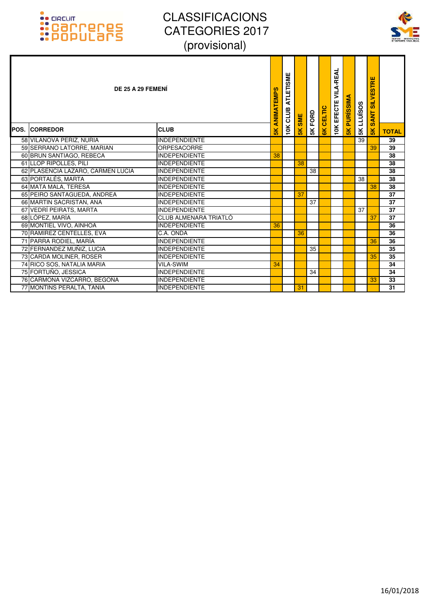### :: GRCUIT<br>:: Carroteres<br>:: Populars



| DE 25 A 29 FEMENI                 |                       | ANIMATEMPS     | <b>ATLETISME</b><br>CLUB | SME           | FORD | CELTIC        | VILA-REAL<br><b>10K EFECTE</b> | ď<br><b>PURISSIM</b> | LLUÏSOS         | <b>SILVESTRE</b><br><b>SANT</b> |              |
|-----------------------------------|-----------------------|----------------|--------------------------|---------------|------|---------------|--------------------------------|----------------------|-----------------|---------------------------------|--------------|
| <b>POS. ICORREDOR</b>             | <b>CLUB</b>           | $\frac{8}{10}$ | 10K                      | $\frac{1}{2}$ | 5К   | $\frac{1}{8}$ |                                | $\frac{1}{2}$        | 5K              | $\frac{1}{5}$                   | <b>TOTAL</b> |
| 58 VILANOVA PERIZ, NURIA          | <b>INDEPENDIENTE</b>  |                |                          |               |      |               |                                |                      | $\overline{39}$ |                                 | 39           |
| 59 SERRANO LATORRE, MARIAN        | <b>ORPESACORRE</b>    |                |                          |               |      |               |                                |                      |                 | 39                              | 39           |
| 60 BRUN SANTIAGO, REBECA          | <b>INDEPENDIENTE</b>  | 38             |                          |               |      |               |                                |                      |                 |                                 | 38           |
| 61 LLOP RIPOLLES, PILI            | <b>INDEPENDIENTE</b>  |                |                          | 38            |      |               |                                |                      |                 |                                 | 38           |
| 62 PLASENCIA LAZARO, CARMEN LUCIA | <b>INDEPENDIENTE</b>  |                |                          |               | 38   |               |                                |                      |                 |                                 | 38           |
| 63 PORTALÉS, MARTA                | <b>INDEPENDIENTE</b>  |                |                          |               |      |               |                                |                      | 38              |                                 | 38           |
| 64 MATA MALA, TERESA              | <b>INDEPENDIENTE</b>  |                |                          |               |      |               |                                |                      |                 | 38                              | 38           |
| 65 PEIRO SANTAGUEDA, ANDREA       | <b>INDEPENDIENTE</b>  |                |                          | 37            |      |               |                                |                      |                 |                                 | 37           |
| 66 MARTIN SACRISTAN, ANA          | <b>INDEPENDIENTE</b>  |                |                          |               | 37   |               |                                |                      |                 |                                 | 37           |
| 67 VEDRÍ PEIRATS, MARTA           | <b>INDEPENDIENTE</b>  |                |                          |               |      |               |                                |                      | 37              |                                 | 37           |
| 68 LÓPEZ, MARÍA                   | CLUB ALMENARA TRIATLÓ |                |                          |               |      |               |                                |                      |                 | 37                              | 37           |
| 69 MONTIEL VIVO, AINHOA           | <b>INDEPENDIENTE</b>  | 36             |                          |               |      |               |                                |                      |                 |                                 | 36           |
| 70 RAMIREZ CENTELLES, EVA         | C.A. ONDA             |                |                          | 36            |      |               |                                |                      |                 |                                 | 36           |
| 71 PARRA RODIEL, MARÍA            | <b>INDEPENDIENTE</b>  |                |                          |               |      |               |                                |                      |                 | 36                              | 36           |
| 72 FERNANDEZ MUÑIZ, LUCIA         | <b>INDEPENDIENTE</b>  |                |                          |               | 35   |               |                                |                      |                 |                                 | 35           |
| 73 CARDA MOLINER, ROSER           | <b>INDEPENDIENTE</b>  |                |                          |               |      |               |                                |                      |                 | 35                              | 35           |
| 74 RICO SOS, NATALIA MARIA        | <b>VILA-SWIM</b>      | 34             |                          |               |      |               |                                |                      |                 |                                 | 34           |
| 75 FORTUÑO, JESSICA               | <b>INDEPENDIENTE</b>  |                |                          |               | 34   |               |                                |                      |                 |                                 | 34           |
| 76 CARMONA VIZCARRO, BEGOÑA       | <b>INDEPENDIENTE</b>  |                |                          |               |      |               |                                |                      |                 | 33                              | 33           |
| 77 MONTINS PERALTA, TANIA         | <b>INDEPENDIENTE</b>  |                |                          | 31            |      |               |                                |                      |                 |                                 | 31           |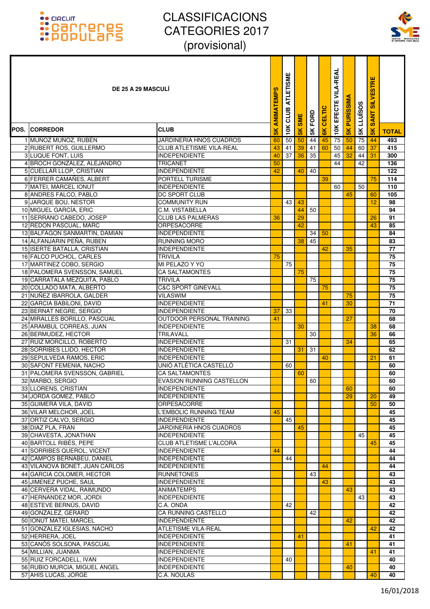

| <b>DE 25 A 29 MASCULI</b>                          |                                                 | ANIMATEMPS    | <b>ATLETISME</b><br>CLUB | <b>SME</b>    | <b>SK FORD</b> | CELTIC | <b>VILA-REAL</b><br>EFECTE | <b>PURISSIM</b> | <b>LLUÏSOS</b> | <b>SILVESTRE</b><br>Ę<br>$\overline{\mathbf{s}}$ |                 |
|----------------------------------------------------|-------------------------------------------------|---------------|--------------------------|---------------|----------------|--------|----------------------------|-----------------|----------------|--------------------------------------------------|-----------------|
| POS. CORREDOR                                      | <b>CLUB</b>                                     | $\frac{1}{5}$ | 10K                      | $\frac{1}{2}$ |                | 6K     | 10K                        | 5 <sub>K</sub>  | 5K             | $\frac{8}{5}$                                    | <b>TOTAL</b>    |
| 1 MUNOZ MUNOZ, RUBÉN                               | JARDINERIA HNOS CUADROS                         | 60            | $\overline{50}$          | 50            | 44             | 45     | 75                         | 50              | 75             | 44                                               | 493             |
| 2 RUBERT ROS, GUILLERMO                            | <b>CLUB ATLETISME VILA-REAL</b>                 | 43            | 41                       | 39            | 41             | 60     | 50                         | 44              | 60             | 37                                               | 415             |
| 3 LUQUE FONT, LUIS                                 | <b>INDEPENDIENTE</b>                            | 40            | 37                       | 36            | 35             |        | 45                         | 32              | 44             | 31                                               | 300             |
| 4 BROCH GONZÁLEZ, ALEJANDRO                        | <b>TRICANET</b>                                 | 50            |                          |               |                |        | 44                         |                 | 42             |                                                  | 136             |
| 5 CUELLAR LLOP, CRISTIAN                           | <b>INDEPENDIENTE</b>                            | 42            |                          | 40            | 40             |        |                            |                 |                |                                                  | 122             |
| 6 FERRER CAMAÑES, ALBERT                           | PORTELL TURISME                                 |               |                          |               |                | 39     |                            |                 |                | 75                                               | 114             |
| 7 MATEI, MARCEL IONUT                              | <b>INDEPENDIENTE</b>                            |               |                          |               |                |        | 60                         |                 | 50             |                                                  | 110             |
| 8 ANDRES FALCO, PABLO                              | DC SPORT CLUB                                   |               |                          |               |                |        |                            | 45              |                | 60                                               | 105             |
| 9 JARQUE BOU, NESTOR                               | <b>COMMUNITY RUN</b>                            |               | 43                       | 43            |                |        |                            |                 |                | 12                                               | 98              |
| 10 MIGUEL GARCÍA, ERIC<br>11 SERRANO CABEDO, JOSEP | C.M. VISTABELLA<br><b>CLUB LAS PALMERAS</b>     | 36            |                          | 44<br>29      | 50             |        |                            |                 |                | 26                                               | 94<br>91        |
| 12 REDON PASCUAL, MARC                             | <b>ORPESACORRE</b>                              |               |                          | 42            |                |        |                            |                 |                | 43                                               | 85              |
| 13 BALFAGON SANMARTIN, DAMIAN                      | <b>INDEPENDIENTE</b>                            |               |                          |               | 34             | 50     |                            |                 |                |                                                  | 84              |
| 14 ALFANJARIN PEÑA, RUBEN                          | RUNNING MORO                                    |               |                          | 38            | 45             |        |                            |                 |                |                                                  | 83              |
| 15 ISERTE BATALLA, CRISTIAN                        | <b>INDEPENDIENTE</b>                            |               |                          |               |                | 42     |                            | 35              |                |                                                  | 77              |
| 16 FALCO PUCHOL, CARLES                            | <b>TRIVILA</b>                                  | 75            |                          |               |                |        |                            |                 |                |                                                  | 75              |
| 17 MARTINEZ COBO, SERGIO                           | MI PELAZO Y YO                                  |               | 75                       |               |                |        |                            |                 |                |                                                  | 75              |
| 18 PALOMERA SVENSSON, SAMUEL                       | <b>CA SALTAMONTES</b>                           |               |                          | 75            |                |        |                            |                 |                |                                                  | 75              |
| 19 CARRATALA MEZQUITA, PABLO                       | TRIVILA                                         |               |                          |               | 75             |        |                            |                 |                |                                                  | 75              |
| 20 COLLADO MATA, ALBERTO                           | <b>C&amp;C SPORT GINEVALL</b>                   |               |                          |               |                | 75     |                            |                 |                |                                                  | 75              |
| 21 NUÑEZ IBARROLA, GALDER                          | <b>VILASWIM</b>                                 |               |                          |               |                |        |                            | 75              |                |                                                  | 75              |
| 22 GARCIA BABILONI, DAVID                          | <b>INDEPENDIENTE</b>                            |               |                          |               |                | 41     |                            | 30              |                |                                                  | $\overline{71}$ |
| 23 BERNAT NEGRE, SERGIO                            | <b>INDEPENDIENTE</b>                            | 37            | 33                       |               |                |        |                            |                 |                |                                                  | 70              |
| 24 MIRALLES BORILLO, PASCUAL                       | OUTDOOR PERSONAL TRAINING                       | 41            |                          |               |                |        |                            | 27              |                |                                                  | 68<br>68        |
| 25 ARAMBUL CORREAS, JUAN<br>26 BERMUDEZ, HECTOR    | <b>INDEPENDIENTE</b><br>TRILAVALL               |               |                          | 30            | 30             |        |                            |                 |                | 38<br>36                                         | 66              |
| 27 RUIZ MORCILLO, ROBERTO                          | <b>INDEPENDIENTE</b>                            |               | 31                       |               |                |        |                            | 34              |                |                                                  | 65              |
| 28 SORRIBES LLIDO, HECTOR                          | <b>INDEPENDIENTE</b>                            |               |                          | 31            | 31             |        |                            |                 |                |                                                  | 62              |
| 29 SEPULVEDA RAMOS, ERIC                           | <b>INDEPENDIENTE</b>                            |               |                          |               |                | 40     |                            |                 |                | 21                                               | 61              |
| 30 SAFONT FEMENIA, NACHO                           | UNIÓ ATLÉTICA CASTELLÓ                          |               | 60                       |               |                |        |                            |                 |                |                                                  | 60              |
| 31 PALOMERA SVENSSON, GABRIEL                      | <b>CA SALTAMONTES</b>                           |               |                          | 60            |                |        |                            |                 |                |                                                  | 60              |
| 32 MARBO, SERGIO                                   | <b>EVASION RUNNING CASTELLON</b>                |               |                          |               | 60             |        |                            |                 |                |                                                  | 60              |
| 33 LLORENS, CRISTIAN                               | <b>INDEPENDIENTE</b>                            |               |                          |               |                |        |                            | 60              |                |                                                  | 60              |
| 34 JORDA GOMEZ, PABLO                              | <b>INDEPENDIENTE</b>                            |               |                          |               |                |        |                            | 29              |                | 20                                               | 49              |
| 35 GUIMERÀ VILA, DAVID                             | <b>ORPESACORRE</b>                              |               |                          |               |                |        |                            |                 |                | 50                                               | 50              |
| 36 VILAR MELCHOR, JOEL                             | L'EMBOLIC RUNNING TEAM                          | 45            |                          |               |                |        |                            |                 |                |                                                  | 45              |
| 37 ORTIZ CALVO, SERGIO                             | <b>INDEPENDIENTE</b>                            |               | 45                       |               |                |        |                            |                 |                |                                                  | 45              |
| 38 DIAZ PLA, FRAN<br>39 CHAVESTA, JONATHAN         | JARDINERIA HNOS CUADROS<br><b>INDEPENDIENTE</b> |               |                          | 45            |                |        |                            |                 | 45             |                                                  | 45<br>45        |
| 40 BARTOLL RIBÉS, PEPE                             | <b>CLUB ATLETISME L'ALCORA</b>                  |               |                          |               |                |        |                            |                 |                | 45                                               | 45              |
| 41 SORRIBES QUEROL, VICENT                         | <b>INDEPENDIENTE</b>                            | 44            |                          |               |                |        |                            |                 |                |                                                  | 44              |
| 42 CAMPOS BERNABEU, DANIEL                         | <b>INDEPENDIENTE</b>                            |               | 44                       |               |                |        |                            |                 |                |                                                  | 44              |
| 43 VILANOVA BONET, JUAN CARLOS                     | <b>INDEPENDIENTE</b>                            |               |                          |               |                | 44     |                            |                 |                |                                                  | 44              |
| 44 GARCIA COLOMER, HECTOR                          | <b>RUNNETONES</b>                               |               |                          |               | 43             |        |                            |                 |                |                                                  | 43              |
| 45 JIMENEZ PUCHE, SAUL                             | <b>INDEPENDIENTE</b>                            |               |                          |               |                | 43     |                            |                 |                |                                                  | 43              |
| 46 CERVERA VIDAL, RAIMUNDO                         | <b>ANIMATEMPS</b>                               |               |                          |               |                |        |                            | 43              |                |                                                  | 43              |
| 47 HERNANDEZ MOR, JORDI                            | <b>INDEPENDIENTE</b>                            |               |                          |               |                |        |                            |                 | 43             |                                                  | 43              |
| 48 ESTEVE BERNÚS, DAVID                            | C.A. ONDA                                       |               | 42                       |               |                |        |                            |                 |                |                                                  | 42              |
| 49 GONZALEZ, GERARD                                | CA RUNNING CASTELLO                             |               |                          |               | 42             |        |                            |                 |                |                                                  | 42              |
| 50 IONUT MATEI, MARCEL                             | <b>INDEPENDIENTE</b>                            |               |                          |               |                |        |                            | 42              |                |                                                  | 42              |
| 51 GONZALEZ IGLESIAS, NACHO                        | ATLETISME VILA-REAL                             |               |                          |               |                |        |                            |                 |                | 42                                               | 42              |
| 52 HERRERA, JOEL<br>53 CANÓS SOLSONA, PASCUAL      | <b>INDEPENDIENTE</b><br><b>INDEPENDIENTE</b>    |               |                          | 41            |                |        |                            | 41              |                |                                                  | 41<br>41        |
| 54 MILLIAN, JUANMA                                 | <b>INDEPENDIENTE</b>                            |               |                          |               |                |        |                            |                 |                | 41                                               | 41              |
| 55 RUIZ FORCADELL, IVAN                            | <b>INDEPENDIENTE</b>                            |               | 40                       |               |                |        |                            |                 |                |                                                  | 40              |
| 56 RUBIO MURCIA, MIGUEL ANGEL                      | <b>INDEPENDIENTE</b>                            |               |                          |               |                |        |                            | 40              |                |                                                  | 40              |
| 57 AHÍS LUCAS, JORGE                               | C.A. NOULAS                                     |               |                          |               |                |        |                            |                 |                | 40                                               | 40              |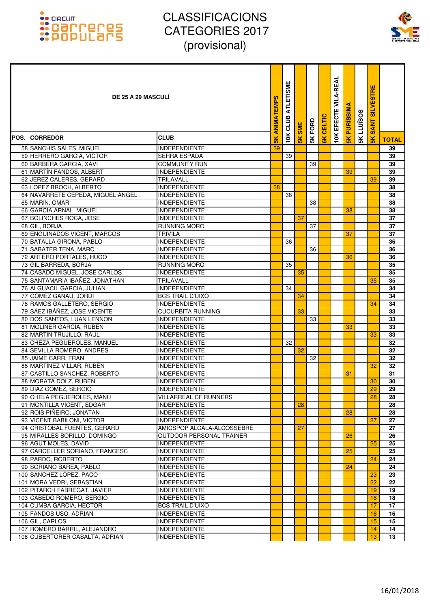

| <b>DE 25 A 29 MASCULI</b>                                  |                                                  | ANIMATEMPS     | ATLETISME<br>CLUB | <b>SME</b>    | <b>5K FORD</b> | <b>CELTIC</b>  | EFECTE VILA-REAL | <b>PURISSIMA</b> | <b>LLUISOS</b> | <b>SILVESTRE</b><br><b>SANT</b> |              |
|------------------------------------------------------------|--------------------------------------------------|----------------|-------------------|---------------|----------------|----------------|------------------|------------------|----------------|---------------------------------|--------------|
| POS. CORREDOR                                              | <b>CLUB</b>                                      | $\frac{8}{10}$ | 10K               | $\frac{8}{5}$ |                | $\frac{8}{10}$ | 10K              | $\frac{8}{10}$   | 5K             | $\frac{1}{5}$                   | <b>TOTAL</b> |
| 58 SANCHIS SALES, MIGUEL                                   | <b>INDEPENDIENTE</b>                             | 39             |                   |               |                |                |                  |                  |                |                                 | 39           |
| 59 HERRERO GARCIA, VICTOR                                  | <b>SERRA ESPADA</b>                              |                | 39                |               |                |                |                  |                  |                |                                 | 39           |
| 60 BARBERA GARCIA, XAVI                                    | <b>COMMUNITY RUN</b>                             |                |                   |               | 39             |                |                  |                  |                |                                 | 39           |
| 61 MARTÍN FANDOS, ALBERT                                   | <b>INDEPENDIENTE</b>                             |                |                   |               |                |                |                  | 39               |                |                                 | 39           |
| 62 JEREZ CALERES, GERARD                                   | TRILAVALL                                        |                |                   |               |                |                |                  |                  |                | 39                              | 39           |
| 63 LOPEZ BROCH, ALBERTO                                    | <b>INDEPENDIENTE</b>                             | 38             |                   |               |                |                |                  |                  |                |                                 | 38           |
| 64 NAVARRETE CEPEDA, MIGUEL ÁNGEL                          | <b>INDEPENDIENTE</b>                             |                | 38                |               |                |                |                  |                  |                |                                 | 38           |
| 65 MARIN, OMAR                                             | <b>INDEPENDIENTE</b>                             |                |                   |               | 38             |                |                  |                  |                |                                 | 38           |
| 66 GARCIA ARNAL, MIGUEL                                    | <b>INDEPENDIENTE</b>                             |                |                   |               |                |                |                  | 38               |                |                                 | 38           |
| 67 BOLINCHES ROCA, JOSE                                    | <b>INDEPENDIENTE</b>                             |                |                   | 37            |                |                |                  |                  |                |                                 | 37           |
| 68 GIL, BORJA                                              | <b>RUNNING MORO</b>                              |                |                   |               | 37             |                |                  |                  |                |                                 | 37           |
| 69 ENGUINADOS VICENT, MARCOS                               | TRIVILA                                          |                |                   |               |                |                |                  | 37               |                |                                 | 37           |
| 70 BATALLA GIRONA, PABLO                                   | <b>INDEPENDIENTE</b>                             |                | 36                |               |                |                |                  |                  |                |                                 | 36           |
| 71 SABATER TENA, MARC                                      | <b>INDEPENDIENTE</b>                             |                |                   |               | 36             |                |                  |                  |                |                                 | 36           |
| 72 ARTERO PORTALES, HUGO                                   | <b>INDEPENDIENTE</b>                             |                |                   |               |                |                |                  | 36               |                |                                 | 36           |
| 73 GIL BARREDA, BORJA                                      | RUNNING MORO                                     |                | 35                |               |                |                |                  |                  |                |                                 | 35           |
| 74 CASADO MIGUEL, JOSE CARLOS                              | <b>INDEPENDIENTE</b>                             |                |                   | 35            |                |                |                  |                  |                |                                 | 35           |
| 75 SANTAMARIA IBAÑEZ, JONATHAN                             | TRILAVALL                                        |                |                   |               |                |                |                  |                  |                | 35                              | 35           |
| 76 ALGUACIL GARCIA, JULIAN                                 | <b>INDEPENDIENTE</b>                             |                | 34                |               |                |                |                  |                  |                |                                 | 34           |
| 77 GÓMEZ GANAU, JORDI                                      | <b>BCS TRAIL D'UIXÓ</b>                          |                |                   | 34            |                |                |                  |                  |                |                                 | 34           |
| 78 RAMOS GALLETERO, SERGIO<br>79 SÁEZ IBÁÑEZ, JOSE VICENTE | <b>INDEPENDIENTE</b>                             |                |                   | 33            |                |                |                  |                  |                | 34                              | 34           |
| 80 DOS SANTOS, LUAN LENNON                                 | <b>CUCURBITA RUNNING</b><br><b>INDEPENDIENTE</b> |                |                   |               | 33             |                |                  |                  |                |                                 | 33<br>33     |
| 81 MOLINER GARCÍA, RUBÉN                                   | <b>INDEPENDIENTE</b>                             |                |                   |               |                |                |                  | 33               |                |                                 | 33           |
| 82 MARTÍN TRUJILLO, RAÚL                                   | <b>INDEPENDIENTE</b>                             |                |                   |               |                |                |                  |                  |                | 33                              | 33           |
| 83 CHEZA PEGUEROLES, MANUEL                                | <b>INDEPENDIENTE</b>                             |                | 32                |               |                |                |                  |                  |                |                                 | 32           |
| 84 SEVILLA ROMERO, ANDRES                                  | <b>INDEPENDIENTE</b>                             |                |                   | 32            |                |                |                  |                  |                |                                 | 32           |
| 85 JAIME CARR, FRAN                                        | <b>INDEPENDIENTE</b>                             |                |                   |               | 32             |                |                  |                  |                |                                 | 32           |
| 86 MARTÍNEZ VILLAR, RUBÉN                                  | <b>INDEPENDIENTE</b>                             |                |                   |               |                |                |                  |                  |                | 32                              | 32           |
| 87 CASTILLO SANCHEZ, ROBERTO                               | <b>INDEPENDIENTE</b>                             |                |                   |               |                |                |                  | 31               |                |                                 | 31           |
| 88 MORATA DOLZ, RUBÉN                                      | <b>INDEPENDIENTE</b>                             |                |                   |               |                |                |                  |                  |                | 30                              | 30           |
| 89 DIAZ GOMEZ, SERGIO                                      | <b>INDEPENDIENTE</b>                             |                |                   |               |                |                |                  |                  |                | 29                              | 29           |
| 90 CHELA PEGUEROLES, MANU                                  | <b>VILLARREAL CF RUNNERS</b>                     |                |                   |               |                |                |                  |                  |                | 28                              | 28           |
| 91 MONTILLA VICENT, EDGAR                                  | <b>INDEPENDIENTE</b>                             |                |                   | 28            |                |                |                  |                  |                |                                 | 28           |
| 92 ROIS PIÑEIRO, JONATAN                                   | <b>INDEPENDIENTE</b>                             |                |                   |               |                |                |                  | 28               |                |                                 | 28           |
| 93 VICENT BABILONI, VICTOR                                 | <b>INDEPENDIENTE</b>                             |                |                   |               |                |                |                  |                  |                | 27                              | 27           |
| 94 CRISTOBAL FUENTES, GERARD                               | AMICSPOP ALCALA-ALCOSSEBRE                       |                |                   | 27            |                |                |                  |                  |                |                                 | 27           |
| 95 MIRALLES BORILLO, DOMINGO                               | <b>OUTDOOR PERSONAL TRAINER</b>                  |                |                   |               |                |                |                  | 26               |                |                                 | 26           |
| 96 AGUT MOLES, DAVID                                       | <b>INDEPENDIENTE</b>                             |                |                   |               |                |                |                  |                  |                | 25                              | 25           |
| 97 CARCELLER SORIANO, FRANCESC                             | <b>INDEPENDIENTE</b>                             |                |                   |               |                |                |                  | 25               |                |                                 | 25           |
| 98 PARDO, ROBERTO                                          | <b>INDEPENDIENTE</b>                             |                |                   |               |                |                |                  |                  |                | 24                              | 24           |
| 99 SORIANO BAREA, PABLO                                    | <b>INDEPENDIENTE</b>                             |                |                   |               |                |                |                  | 24               |                |                                 | 24           |
| 100 SANCHEZ LÓPEZ, PACO                                    | <b>INDEPENDIENTE</b>                             |                |                   |               |                |                |                  |                  |                | 23                              | 23           |
| 101 MORA VEDRI, SEBASTIAN                                  | <b>INDEPENDIENTE</b>                             |                |                   |               |                |                |                  |                  |                | 22                              | 22           |
| 102 PITARCH FABREGAT, JAVIER                               | <b>INDEPENDIENTE</b>                             |                |                   |               |                |                |                  |                  |                | 19                              | 19           |
| 103 CABEDO ROMERO, SERGIO                                  | <b>INDEPENDIENTE</b>                             |                |                   |               |                |                |                  |                  |                | 18                              | 18           |
| 104 CUMBA GARCIA, HÉCTOR                                   | <b>BCS TRAIL D'UIXO</b>                          |                |                   |               |                |                |                  |                  |                | 17                              | 17           |
| 105 FANDOS USO, ADRIAN                                     | <b>INDEPENDIENTE</b>                             |                |                   |               |                |                |                  |                  |                | 16                              | 16           |
| 106 GIL, CARLOS                                            | <b>INDEPENDIENTE</b>                             |                |                   |               |                |                |                  |                  |                | 15                              | 15           |
| 107 ROMERO BARRIL, ALEJANDRO                               | <b>INDEPENDIENTE</b>                             |                |                   |               |                |                |                  |                  |                | 14                              | 14           |
| 108 CUBERTORER CASALTA, ADRIAN                             | <b>INDEPENDIENTE</b>                             |                |                   |               |                |                |                  |                  |                | 13                              | 13           |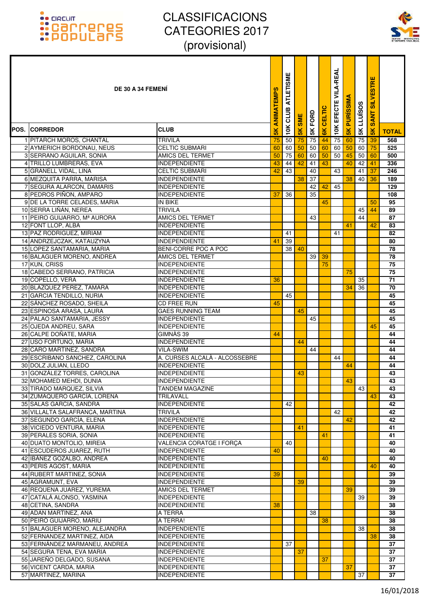

| <b>DE 30 A 34 FEMENI</b>                                   |                                              | <b>ANIMATEMPS</b> | <b>ATLETISME</b><br>CLUB | <b>SME</b>    | 5K FORD | <b>CELTIC</b>  | EFECTE VILA-REAL | <b>PURISSIM</b> | LLUÏSOS  | <b>SILVESTRE</b><br><b>ZNA</b><br>Ø |              |
|------------------------------------------------------------|----------------------------------------------|-------------------|--------------------------|---------------|---------|----------------|------------------|-----------------|----------|-------------------------------------|--------------|
| POS. ICORREDOR                                             | <b>CLUB</b>                                  | 5K                | 10K                      | $\frac{1}{2}$ |         | $\frac{8}{10}$ | 10K              | $\frac{1}{5}$   | 5K       | $\frac{1}{5}$                       | <b>TOTAL</b> |
| 1 PITARCH MOROS, CHANTAL                                   | <b>TRIVILA</b>                               | 75                | 50                       | 75            | 75      | 44             | 75               | 60              | 75       | -39                                 | 568          |
| 2 AYMERICH BORDONAU, NEUS                                  | <b>CELTIC SUBMARI</b>                        | 60                | 60                       | 50            | 50      | 60             | 60               | 50              | 60       | 75                                  | 525          |
| 3 SERRANO AGUILAR, SONIA                                   | AMICS DEL TERMET                             | 50                | 75                       | 60            | 60      | 50             | 50               | 45              | 50       | 60                                  | 500          |
| 4 TRILLO LUMBRERAS, EVA                                    | <b>INDEPENDIENTE</b>                         | 43                | 44                       | 42            | 41      | 43             |                  | 40              | 42       | 41                                  | 336          |
| 5 GRANELL VIDAL, LINA                                      | <b>CELTIC SUBMARI</b>                        | 42                | $\overline{43}$          |               | 40      |                | 43               |                 | 41       | 37                                  | 246          |
| 6 MEZQUITA PARRA, MARISA                                   | <b>INDEPENDIENTE</b>                         |                   |                          | 38            | 37      |                |                  | 38              | 40       | 36                                  | 189          |
| 7 SEGURA ALARCON, DAMARIS                                  | <b>INDEPENDIENTE</b>                         |                   |                          |               | 42      | 42             | 45               |                 |          |                                     | 129          |
| 8 PEDROS PIÑON, AMPARO                                     | <b>INDEPENDIENTE</b>                         | 37                | 36                       |               | 35      |                |                  |                 |          |                                     | 108          |
| 9 DE LA TORRE CELADES, MARIA                               | IN BIKE                                      |                   |                          |               |         | 45             |                  |                 |          | 50                                  | 95           |
| 10 SERRA LIÑÁN, NEREA<br>11 PEIRO GUIJARRO, Mª AURORA      | <b>TRIVILA</b><br><b>AMICS DEL TERMET</b>    |                   |                          |               | 43      |                |                  |                 | 45<br>44 | 44                                  | 89<br>87     |
| 12 FONT LLOP, ALBA                                         | <b>INDEPENDIENTE</b>                         |                   |                          |               |         |                |                  | 41              |          | 42                                  | 83           |
| 13 PAZ RODRIGUEZ, MIRIAM                                   | <b>INDEPENDIENTE</b>                         |                   | 41                       |               |         |                | 41               |                 |          |                                     | 82           |
| 14 ANDRZEJCZAK, KATAUZYNA                                  | <b>INDEPENDIENTE</b>                         | 41                | 39                       |               |         |                |                  |                 |          |                                     | 80           |
| 15 LOPEZ SANTAMARIA, MARIA                                 | BENI-CORRE POC A POC                         |                   | 38                       | 40            |         |                |                  |                 |          |                                     | 78           |
| 16 BALAGUER MORENO, ANDREA                                 | AMICS DEL TERMET                             |                   |                          |               | 39      | 39             |                  |                 |          |                                     | 78           |
| 17 KUN, CRISS                                              | <b>INDEPENDIENTE</b>                         |                   |                          |               |         | 75             |                  |                 |          |                                     | 75           |
| 18 CABEDO SERRANO, PATRICIA                                | <b>INDEPENDIENTE</b>                         |                   |                          |               |         |                |                  | 75              |          |                                     | 75           |
| 19 COPELLO, VERA                                           | <b>INDEPENDIENTE</b>                         | 36                |                          |               |         |                |                  |                 | 35       |                                     | 71           |
| 20 BLAZQUEZ PEREZ, TAMARA                                  | <b>INDEPENDIENTE</b>                         |                   |                          |               |         |                |                  | 34              | 36       |                                     | 70           |
| 21 GARCIA TENDILLO, NURIA                                  | <b>INDEPENDIENTE</b>                         |                   | 45                       |               |         |                |                  |                 |          |                                     | 45           |
| 22 SÁNCHEZ ROSADO, SHEILA                                  | <b>CD FREE RUN</b>                           | 45                |                          |               |         |                |                  |                 |          |                                     | 45           |
| 23 ESPINOSA ARASA, LAURA                                   | <b>GAES RUNNING TEAM</b>                     |                   |                          | 45            |         |                |                  |                 |          |                                     | 45           |
| 24 PALAO SANTAMARIA, JESSY                                 | <b>INDEPENDIENTE</b>                         |                   |                          |               | 45      |                |                  |                 |          |                                     | 45           |
| 25 OJEDA ANDREU, SARA                                      | <b>INDEPENDIENTE</b>                         |                   |                          |               |         |                |                  |                 |          | 45                                  | 45           |
| 26 CALPE DOÑATE, MARIA                                     | GIMNAS 39                                    | 44                |                          |               |         |                |                  |                 |          |                                     | 44           |
| 27 USO FORTUÑO, MARIA                                      | <b>INDEPENDIENTE</b>                         |                   |                          | 44            |         |                |                  |                 |          |                                     | 44           |
| 28 CARO MARTINEZ, SANDRA<br>29 ESCRIBANO SANCHEZ, CAROLINA | VILA-SWIM<br>A. CURSES ALCALÀ - ALCOSSEBRE   |                   |                          |               | 44      |                |                  |                 |          |                                     | 44           |
| 30 DOLZ JULIAN, LLEDO                                      | <b>INDEPENDIENTE</b>                         |                   |                          |               |         |                | 44               | 44              |          |                                     | 44<br>44     |
| 31 GONZÁLEZ TORRES, CAROLINA                               | <b>INDEPENDIENTE</b>                         |                   |                          | 43            |         |                |                  |                 |          |                                     | 43           |
| 32 MOHAMED MEHDI, DUNIA                                    | INDEPENDIENTE                                |                   |                          |               |         |                |                  | 43              |          |                                     | 43           |
| 33 TIRADO MARQUEZ, SILVIA                                  | <b>TANDEM MAGAZINE</b>                       |                   |                          |               |         |                |                  |                 | 43       |                                     | 43           |
| 34 ZUMAQUERO GARCÍA, LORENA                                | <b>TRILAVALL</b>                             |                   |                          |               |         |                |                  |                 |          | 43                                  | 43           |
| 35 SALAS GARCIA, SANDRA                                    | <b>INDEPENDIENTE</b>                         |                   | 42                       |               |         |                |                  |                 |          |                                     | 42           |
| 36 VILLALTA SALAFRANCA, MARTINA                            | <b>TRIVILA</b>                               |                   |                          |               |         |                | 42               |                 |          |                                     | 42           |
| 37 SEGUNDO GARCÍA, ELENA                                   | <b>INDEPENDIENTE</b>                         |                   |                          |               |         |                |                  | 42              |          |                                     | 42           |
| 38 VICIEDO VENTURA, MARIA                                  | <b>INDEPENDIENTE</b>                         |                   |                          | 41            |         |                |                  |                 |          |                                     | 41           |
| 39 PERALES SORIA, SONIA                                    | <b>INDEPENDIENTE</b>                         |                   |                          |               |         | 41             |                  |                 |          |                                     | 41           |
| 40 DUATO MONTOLIO, MIREIA                                  | <b>VALENCIA CORATGE I FORCA</b>              |                   | 40                       |               |         |                |                  |                 |          |                                     | 40           |
| 41 ESCUDEROS JUAREZ, RUTH                                  | <b>INDEPENDIENTE</b>                         | 40                |                          |               |         |                |                  |                 |          |                                     | 40           |
| 42 IBÁÑEZ GOZALBO, ANDREA                                  | <b>INDEPENDIENTE</b>                         |                   |                          |               |         | 40             |                  |                 |          |                                     | 40           |
| 43 PERIS AGOST, MARIA                                      | <b>INDEPENDIENTE</b>                         |                   |                          |               |         |                |                  |                 |          | 40                                  | 40           |
| 44 RUBERT MARTINEZ, SONIA<br>45 AGRAMUNT, EVA              | <b>INDEPENDIENTE</b><br><b>INDEPENDIENTE</b> | 39                |                          | 39            |         |                |                  |                 |          |                                     | 39           |
| 46 REQUENA JUAREZ, YUREMA                                  | AMICS DEL TERMET                             |                   |                          |               |         |                |                  | 39              |          |                                     | 39<br>39     |
| 47 CATALÁ ALONSO, YASMINA                                  | <b>INDEPENDIENTE</b>                         |                   |                          |               |         |                |                  |                 | 39       |                                     | 39           |
| 48 CETINA, SANDRA                                          | <b>INDEPENDIENTE</b>                         | 38                |                          |               |         |                |                  |                 |          |                                     | 38           |
| 49 ADAN MARTINEZ, ANA                                      | A TERRA                                      |                   |                          |               | 38      |                |                  |                 |          |                                     | 38           |
| 50 PEIRÓ GUIJARRO, MARIU                                   | A TERRA!                                     |                   |                          |               |         | 38             |                  |                 |          |                                     | 38           |
| 51 BALAGUER MORENO, ALEJANDRA                              | <b>INDEPENDIENTE</b>                         |                   |                          |               |         |                |                  |                 | 38       |                                     | 38           |
| 52 FERNANDEZ MARTINEZ, AIDA                                | <b>INDEPENDIENTE</b>                         |                   |                          |               |         |                |                  |                 |          | 38                                  | 38           |
| 53 FERNÁNDEZ MARMANEU, ANDREA                              | <b>INDEPENDIENTE</b>                         |                   | 37                       |               |         |                |                  |                 |          |                                     | 37           |
| 54 SEGURA TENA, EVA MARIA                                  | <b>INDEPENDIENTE</b>                         |                   |                          | 37            |         |                |                  |                 |          |                                     | 37           |
| 55 JAREÑO DELGADO, SUSANA                                  | <b>INDEPENDIENTE</b>                         |                   |                          |               |         | 37             |                  |                 |          |                                     | 37           |
| 56 VICENT CARDA, MARIA                                     | <b>INDEPENDIENTE</b>                         |                   |                          |               |         |                |                  | 37              |          |                                     | 37           |
| 57 MARTINEZ, MARINA                                        | <b>INDEPENDIENTE</b>                         |                   |                          |               |         |                |                  |                 | 37       |                                     | 37           |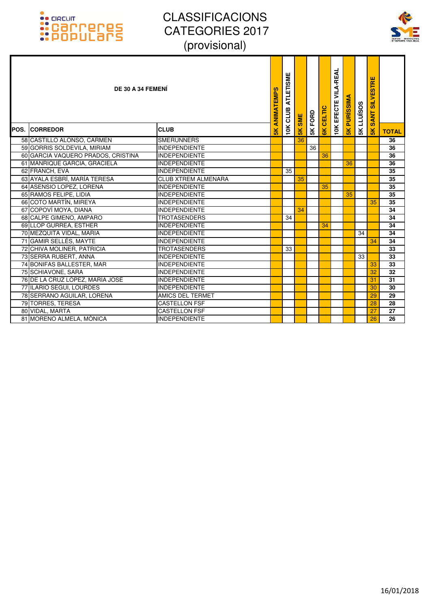

| DE 30 A 34 FEMENI<br><b>POS. CORREDOR</b> | <b>CLUB</b>                | ANIMATEMPS<br>$\frac{8}{10}$ | <b>ATLETISME</b><br>CLUB<br>10K | <b>SME</b><br>$\frac{1}{2}$ | 5K FORD | CELTIC<br>$\frac{1}{8}$ | <b>VILA-REAL</b><br>EFECTE<br>10K | <b>PURISSIM</b><br>5K | <b>SK LLUISOS</b> | <b>SILVESTRE</b><br><b>SANT</b><br>$\frac{8}{5}$ | <b>TOTAL</b>    |
|-------------------------------------------|----------------------------|------------------------------|---------------------------------|-----------------------------|---------|-------------------------|-----------------------------------|-----------------------|-------------------|--------------------------------------------------|-----------------|
| 58 CASTILLO ALONSO, CARMEN                | <b>SMERUNNERS</b>          |                              |                                 | 36                          |         |                         |                                   |                       |                   |                                                  | $\overline{36}$ |
| 59 GORRIS SOLDEVILA, MIRIAM               | <b>INDEPENDIENTE</b>       |                              |                                 |                             | 36      |                         |                                   |                       |                   |                                                  | 36              |
| 60 GARCIA VAQUERO PRADOS, CRISTINA        | <b>INDEPENDIENTE</b>       |                              |                                 |                             |         | 36                      |                                   |                       |                   |                                                  | 36              |
| 61 MANRIQUE GARCIA, GRACIELA              | <b>INDEPENDIENTE</b>       |                              |                                 |                             |         |                         |                                   | 36                    |                   |                                                  | 36              |
| 62 FRANCH, EVA                            | <b>INDEPENDIENTE</b>       |                              | 35                              |                             |         |                         |                                   |                       |                   |                                                  | 35              |
| 63 AYALA ESBRÍ, MARÍA TERESA              | <b>CLUB XTREM ALMENARA</b> |                              |                                 | 35                          |         |                         |                                   |                       |                   |                                                  | 35              |
| 64 ASENSIO LOPEZ, LORENA                  | <b>INDEPENDIENTE</b>       |                              |                                 |                             |         | 35                      |                                   |                       |                   |                                                  | 35              |
| 65 RAMOS FELIPE, LIDIA                    | <b>INDEPENDIENTE</b>       |                              |                                 |                             |         |                         |                                   | 35                    |                   |                                                  | 35              |
| 66 COTO MARTÍN, MIREYA                    | <b>INDEPENDIENTE</b>       |                              |                                 |                             |         |                         |                                   |                       |                   | 35                                               | 35              |
| 67 COPOVÍ MOYA, DIANA                     | <b>INDEPENDIENTE</b>       |                              |                                 | 34                          |         |                         |                                   |                       |                   |                                                  | 34              |
| 68 CALPE GIMENO, AMPARO                   | <b>TROTASENDERS</b>        |                              | 34                              |                             |         |                         |                                   |                       |                   |                                                  | 34              |
| 69 LLOP GURREA, ESTHER                    | <b>INDEPENDIENTE</b>       |                              |                                 |                             |         | 34                      |                                   |                       |                   |                                                  | 34              |
| 70 MEZQUITA VIDAL, MARIA                  | <b>INDEPENDIENTE</b>       |                              |                                 |                             |         |                         |                                   |                       | 34                |                                                  | 34              |
| 71 GAMIR SELLÉS, MAYTE                    | <b>INDEPENDIENTE</b>       |                              |                                 |                             |         |                         |                                   |                       |                   | 34                                               | 34              |
| 72 CHIVA MOLINER, PATRICIA                | <b>TROTASENDERS</b>        |                              | 33                              |                             |         |                         |                                   |                       |                   |                                                  | 33              |
| 73 SERRA RUBERT, ANNA                     | <b>INDEPENDIENTE</b>       |                              |                                 |                             |         |                         |                                   |                       | 33                |                                                  | 33              |
| 74 BONIFAS BALLESTER, MAR                 | <b>INDEPENDIENTE</b>       |                              |                                 |                             |         |                         |                                   |                       |                   | 33                                               | 33              |
| 75 SCHIAVONE, SARA                        | <b>INDEPENDIENTE</b>       |                              |                                 |                             |         |                         |                                   |                       |                   | 32                                               | 32              |
| 76 DE LA CRUZ LÓPEZ, MARÍA JOSÉ           | <b>INDEPENDIENTE</b>       |                              |                                 |                             |         |                         |                                   |                       |                   | 31                                               | 31              |
| 77 ILARIO SEGUI. LOURDES                  | <b>INDEPENDIENTE</b>       |                              |                                 |                             |         |                         |                                   |                       |                   | 30                                               | 30              |
| 78 SERRANO AGUILAR, LORENA                | AMICS DEL TERMET           |                              |                                 |                             |         |                         |                                   |                       |                   | 29                                               | 29              |
| 79 TORRES, TERESA                         | <b>CASTELLON FSF</b>       |                              |                                 |                             |         |                         |                                   |                       |                   | 28                                               | 28              |
| 80 VIDAL, MARTA                           | <b>CASTELLON FSF</b>       |                              |                                 |                             |         |                         |                                   |                       |                   | 27                                               | 27              |
| 81 MORENO ALMELA, MÒNICA                  | <b>INDEPENDIENTE</b>       |                              |                                 |                             |         |                         |                                   |                       |                   | 26                                               | 26              |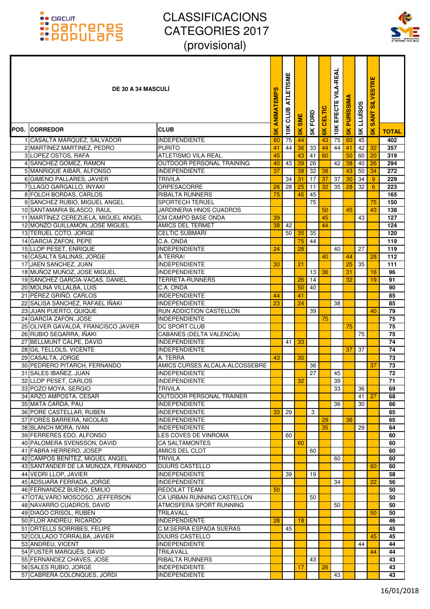

| <b>DE 30 A 34 MASCULI</b>                                              |                                               | ANIMATEMPS | <b>ATLETISMI</b><br>CLUB | <b>SME</b> | 5K FORD  | <b>CELTIC</b> | <b>VILA-REAL</b><br>EFECTE | <b>PURISSIM</b> | <b>LLUÏSOS</b> | <b>SILVESTRE</b><br><b>SANT</b> |                 |
|------------------------------------------------------------------------|-----------------------------------------------|------------|--------------------------|------------|----------|---------------|----------------------------|-----------------|----------------|---------------------------------|-----------------|
| POS. ICORREDOR                                                         | <b>CLUB</b>                                   | 5K         | 10K                      | 5K         |          | 6K            | 10K                        | $\frac{2}{5}$   | 5K             | $\frac{8}{5}$                   | <b>TOTAL</b>    |
| 1 CASALTA MÁRQUEZ, SALVADOR                                            | <b>INDEPENDIENTE</b>                          | 60         | 75                       | 44         |          | 43            | 75                         | 60              | 45             |                                 | 402             |
| 2 MARTINEZ MARTINEZ, PEDRO                                             | <b>PURITO</b>                                 | 41         | 44                       | 36         | 33       | 44            | 44                         | 41              | 42             | 32                              | 357             |
| 3 LOPEZ OSTOS, RAFA                                                    | <b>ATLETISMO VILA-REAL</b>                    | 45         |                          | 43         | 41       | 60            |                            | 50              | 60             | 20                              | 319             |
| 4 SANCHEZ GOMEZ, RAMON                                                 | OUTDOOR PERSONAL TRAINING                     | 40         | 43                       | 39         | 26       |               | 42                         | 38              | 40             | 26                              | 294             |
| 5 MANRIQUE AIBAR, ALFONSO                                              | <b>INDEPENDIENTE</b>                          | 37         |                          | 38         | 32       | 38            |                            | 43              | 50             | 34                              | 272             |
| 6 GIMENO PALLARES, JAVIER                                              | <b>TRIVILA</b>                                |            | 34                       | 31         | 17       | 37            | 37                         | 30              | 34             | 9                               | 229             |
| 7 LLAGO GARGALLO, INYAKI                                               | <b>ORPESACORRE</b>                            | 26         | 28                       | 25         | 11       | 32            | 35                         | 28              | 32             | 6                               | 223             |
| 8 FOLCH BORDAS, CARLOS                                                 | <b>RIBALTA RUNNERS</b>                        | 75         |                          | 45         | 45       |               |                            |                 |                |                                 | 165             |
| 9 SANCHEZ RUBIO, MIGUEL ANGEL                                          | <b>SPORTECH TERUEL</b>                        |            |                          |            | 75       |               |                            |                 |                | 75                              | 150             |
| 10 SANTAMARIA BLASCO, RAUL                                             | JARDINERIA HNOS CUADROS                       |            |                          |            |          | 50            |                            | 45              |                | 43                              | 138             |
| 11 MARTÍNEZ CEREZUELA, MIGUEL ANGEL<br>12 MONZÓ GUILLAMÓN, JOSE MIGUEL | <b>CM CAMPO BASE ONDA</b><br>AMICS DEL TERMET | 39<br>38   | 42                       |            |          | 45<br>44      |                            |                 | 43             |                                 | 127<br>124      |
| 13 TERUEL COTO, JORGE                                                  | <b>CELTIC SUBMARI</b>                         |            | 50                       | 35         | 35       |               |                            |                 |                |                                 | 120             |
| 14 GARCIA ZAFON, PEPE                                                  | C.A. ONDA                                     |            |                          | 75         | 44       |               |                            |                 |                |                                 | 119             |
| 15 LLOP PESET, ENRIQUE                                                 | <b>INDEPENDIENTE</b>                          | 24         |                          | 28         |          |               | 40                         |                 | 27             |                                 | 119             |
| 16 CASALTA SALINAS, JORGE                                              | A TERRA!                                      |            |                          |            |          | 40            |                            | 44              |                | 28                              | 112             |
| 17 JAEN SANCHEZ, JUAN                                                  | <b>INDEPENDIENTE</b>                          | 30         |                          | 21         |          |               |                            | 25              | 35             |                                 | 111             |
| 18 MUÑOZ MUÑOZ, JOSE MIGUEL                                            | <b>INDEPENDIENTE</b>                          |            |                          |            | 13       | 36            |                            | 31              |                | 16                              | 96              |
| 19 SÁNCHEZ GARCÍA-VACAS, DANIEL                                        | <b>TERRETA-RUNNERS</b>                        |            |                          | 26         | 14       |               |                            | 32              |                | 19                              | 91              |
| 20 MOLINA VILLALBA, LUIS                                               | C.A. ONDA                                     |            |                          | 50         | 40       |               |                            |                 |                |                                 | 90              |
| 21 PÉREZ GRIÑÓ, CARLOS                                                 | <b>INDEPENDIENTE</b>                          | 44         |                          | 41         |          |               |                            |                 |                |                                 | 85              |
| 22 SALISA SÁNCHEZ, RAFAEL IÑAKI                                        | <b>INDEPENDIENTE</b>                          | 23         |                          | 24         |          |               | 38                         |                 |                |                                 | 85              |
| 23 JUAN PUERTO, QUIQUE                                                 | RUN ADDICTION CASTELLON                       |            |                          |            | 39       |               |                            |                 |                | 40                              | 79              |
| 24 GARCÍA ZAFÓN, JOSE                                                  | <b>INDEPENDIENTE</b>                          |            |                          |            |          | 75            |                            |                 |                |                                 | 75              |
| 25 OLIVER GAVALDA, FRANCISCO JAVIER                                    | DC SPORT CLUB                                 |            |                          |            |          |               |                            | 75              |                |                                 | 75              |
| 26 RUBIO SEGARRA, IÑAKI                                                | <b>CABANES (DELTA VALENCIA)</b>               |            |                          |            |          |               |                            |                 | 75             |                                 | 75              |
| 27 BELLMUNT CALPE, DAVID                                               | <b>INDEPENDIENTE</b>                          |            | 41                       | 33         |          |               |                            |                 |                |                                 | $\overline{74}$ |
| 28 GIL TELLOLS, VICENTE                                                | <b>INDEPENDIENTE</b>                          |            |                          |            |          |               |                            | 37              | 37             |                                 | 74              |
| 29 CASALTA, JORGE<br>30 PEDRERO PITARCH, FERNANDO                      | A. TERRA<br>AMICS CURSES ALCALA-ALCOSSEBRE    | 43         |                          | 30         |          |               |                            |                 |                |                                 | 73<br>73        |
| 31 SALES IBAÑEZ, JUAN                                                  | <b>INDEPENDIENTE</b>                          |            |                          |            | 36<br>27 |               | 45                         |                 |                | 37                              | 72              |
| 32 LLOP PESET, CARLOS                                                  | INDEPENDIENTE                                 |            |                          | 32         |          |               | 39                         |                 |                |                                 | $\overline{71}$ |
| 33 POZO MOYA, SERGIO                                                   | TRIVILA                                       |            |                          |            |          |               | 33                         |                 | 36             |                                 | 69              |
| 34 ARZO AMPOSTA, CESAR                                                 | <b>OUTDOOR PERSONAL TRAINER</b>               |            |                          |            |          |               |                            |                 | 41             | 27                              | 68              |
| 35 MATA CARDA, PAU                                                     | <b>INDEPENDIENTE</b>                          |            |                          |            |          |               | 36                         |                 | 30             |                                 | 66              |
| 36 PORE CASTELLAR, RUBEN                                               | <b>INDEPENDIENTE</b>                          | 33         | 29                       |            | 3        |               |                            |                 |                |                                 | 65              |
| 37 FORÉS BARRERA, NICOLÁS                                              | <b>INDEPENDIENTE</b>                          |            |                          |            |          | 29            |                            | 36              |                |                                 | 65              |
| 38 BLANCH MORA, IVAN                                                   | <b>INDEPENDIENTE</b>                          |            |                          |            |          | 35            |                            |                 | 29             |                                 | 64              |
| 39 FERRERES EDO, ALFONSO                                               | LES COVES DE VINROMA                          |            | 60                       |            |          |               |                            |                 |                |                                 | 60              |
| 40 PALOMERA SVENSSON, DAVID                                            | <b>CA SALTAMONTES</b>                         |            |                          | 60         |          |               |                            |                 |                |                                 | 60              |
| 41 FABRA HERRERO, JOSEP                                                | AMICS DEL CLOT                                |            |                          |            | 60       |               |                            |                 |                |                                 | 60              |
| 42 CAMPOS BENÍTEZ, MIGUEL ANGEL                                        | <b>TRIVILA</b>                                |            |                          |            |          |               | 60                         |                 |                |                                 | 60              |
| 43 SANTANDER DE LA MUÑOZA, FERNANDO                                    | <b>DUURS CASTELLO</b>                         |            |                          |            |          |               |                            |                 |                | 60                              | 60              |
| 44 VEDRI LLOP, JAVIER                                                  | <b>INDEPENDIENTE</b>                          |            | 39                       |            | 19       |               |                            |                 |                |                                 | 58              |
| 45 ADSUARA FERRADA, JORGE                                              | <b>INDEPENDIENTE</b>                          |            |                          |            |          |               | 34                         |                 |                | 22                              | 56              |
| 46 FERNANDEZ BUENO, EMILIO<br>47 OTALVARO MOSCOSO, JEFFERSON           | REDOLAT TEAM<br>CA URBAN RUNNING CASTELLON    | 50         |                          |            | 50       |               |                            |                 |                |                                 | 50<br>50        |
| 48 NAVARRO CUADROS, DAVID                                              | ATMOSFERA SPORT RUNNING                       |            |                          |            |          |               | 50                         |                 |                |                                 | 50              |
| 49 DIAGO CRISOL, RUBÉN                                                 | TRILAVALL                                     |            |                          |            |          |               |                            |                 |                | 50                              | 50              |
| 50 FLOR ANDREU, RICARDO                                                | <b>INDEPENDIENTE</b>                          | 28         |                          | 18         |          |               |                            |                 |                |                                 | 46              |
| 51 ORTELLS SORRIBES, FELIPE                                            | C.M.SERRA ESPADA SUERAS                       |            | 45                       |            |          |               |                            |                 |                |                                 | 45              |
| 52 COLLADO TORRALBA, JAVIER                                            | <b>DUURS CASTELLO</b>                         |            |                          |            |          |               |                            |                 |                | 45                              | 45              |
| 53 ANDREU, VICENT                                                      | <b>INDEPENDIENTE</b>                          |            |                          |            |          |               |                            |                 | 44             |                                 | 44              |
| 54 FUSTER MARQUÉS, DAVID                                               | TRILAVALL                                     |            |                          |            |          |               |                            |                 |                | 44                              | 44              |
| 55 FERNANDEZ CHAVES, JOSE                                              | <b>RIBALTA RUNNERS</b>                        |            |                          |            | 43       |               |                            |                 |                |                                 | 43              |
| 56 SALES RUBIO, JORGE                                                  | <b>INDEPENDIENTE</b>                          |            |                          | 17         |          | 26            |                            |                 |                |                                 | 43              |
| 57 CABRERA COLONQUES, JORDI                                            | <b>INDEPENDIENTE</b>                          |            |                          |            |          |               | 43                         |                 |                |                                 | 43              |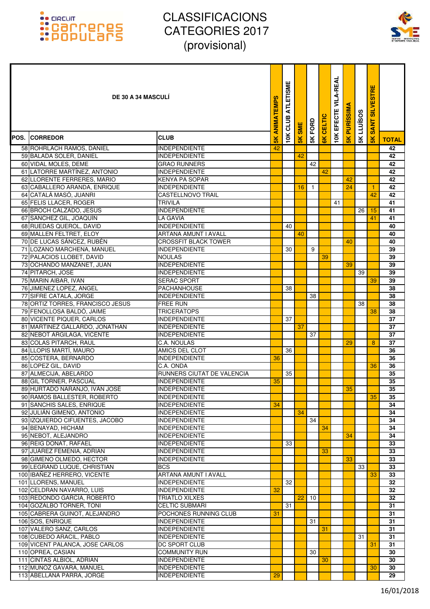

| <b>DE 30 A 34 MASCULI</b>                                  |                                                | ANIMATEMPS     | ATLETISME<br>CLUB | <b>SME</b>    | 5K FORD      | CELTIC         | EFECTE VILA-REAL | <b>PURISSIMA</b> | <b>LLUISOS</b> | <b>SILVESTRE</b><br><b>SANT</b> |              |
|------------------------------------------------------------|------------------------------------------------|----------------|-------------------|---------------|--------------|----------------|------------------|------------------|----------------|---------------------------------|--------------|
| POS. CORREDOR                                              | <b>CLUB</b>                                    | $\frac{8}{10}$ | 10K               | $\frac{1}{2}$ |              | $\frac{8}{10}$ | 10K              | $\frac{2}{5}$    | 5K             | $\frac{1}{5}$                   | <b>TOTAL</b> |
| 58 ROHRLACH RAMOS, DANIEL                                  | <b>INDEPENDIENTE</b>                           | 42             |                   |               |              |                |                  |                  |                |                                 | 42           |
| 59 BALADA SOLER, DANIEL                                    | <b>INDEPENDIENTE</b>                           |                |                   | 42            |              |                |                  |                  |                |                                 | 42           |
| 60 VIDAL MOLES, DEME                                       | <b>GRAO RUNNERS</b>                            |                |                   |               | 42           |                |                  |                  |                |                                 | 42           |
| 61 LATORRE MARTÍNEZ, ANTONIO                               | <b>INDEPENDIENTE</b>                           |                |                   |               |              | 42             |                  |                  |                |                                 | 42           |
| 62 LLORENTE FERRERES, MARIO                                | <b>KENYA PA SOPAR</b><br><b>INDEPENDIENTE</b>  |                |                   | 16            | $\mathbf{1}$ |                |                  | 42<br>24         |                | 1                               | 42<br>42     |
| 63 CABALLERO ARANDA, ENRIQUE<br>64 CATALÁ MASÓ, JUANRI     | <b>CASTELLNOVO TRAIL</b>                       |                |                   |               |              |                |                  |                  |                | 42                              | 42           |
| 65 FELIS LLACER, ROGER                                     | TRIVILA                                        |                |                   |               |              |                | 41               |                  |                |                                 | 41           |
| 66 BROCH CALZADO, JESUS                                    | <b>INDEPENDIENTE</b>                           |                |                   |               |              |                |                  |                  | 26             | 15                              | 41           |
| 67 SANCHEZ GIL, JOAQUÍN                                    | <b>LA GAVIA</b>                                |                |                   |               |              |                |                  |                  |                | 41                              | 41           |
| 68 RUEDAS QUEROL, DAVID                                    | <b>INDEPENDIENTE</b>                           |                | 40                |               |              |                |                  |                  |                |                                 | 40           |
| 69 MALLEN FELTRET, ELOY                                    | <b>ARTANA AMUNT I AVALL</b>                    |                |                   | 40            |              |                |                  |                  |                |                                 | 40           |
| 70 DE LUCAS SÁNCEZ, RUBÉN                                  | <b>CROSSFIT BLACK TOWER</b>                    |                |                   |               |              |                |                  | 40               |                |                                 | 40           |
| 71 LOZANO MARCHENA, MANUEL                                 | <b>INDEPENDIENTE</b>                           |                | 30                |               | 9            |                |                  |                  |                |                                 | 39           |
| 72 PALACIOS LLOBET, DAVID                                  | <b>NOULAS</b>                                  |                |                   |               |              | 39             |                  |                  |                |                                 | 39           |
| 73 OCHANDO MANZANET, JUAN                                  | <b>INDEPENDIENTE</b>                           |                |                   |               |              |                |                  | 39               |                |                                 | 39           |
| 74 PITARCH, JOSE                                           | <b>INDEPENDIENTE</b>                           |                |                   |               |              |                |                  |                  | 39             |                                 | 39           |
| 75 MARIN AIBAR, IVAN                                       | <b>SERAC SPORT</b>                             |                |                   |               |              |                |                  |                  |                | 39                              | 39           |
| 76 JIMENEZ LOPEZ, ANGEL                                    | <b>PACHANHOUSE</b>                             |                | 38                |               |              |                |                  |                  |                |                                 | 38           |
| 77 SIFRE CATALA, JORGE<br>78 ORTIZ TORRES, FRANCISCO JESUS | <b>INDEPENDIENTE</b><br><b>FREE RUN</b>        |                |                   |               | 38           |                |                  |                  | 38             |                                 | 38<br>38     |
| 79 FENOLLOSA BALDÓ, JAIME                                  | <b>TRICERATOPS</b>                             |                |                   |               |              |                |                  |                  |                | 38                              | 38           |
| 80 VICENTE PIQUER, CARLOS                                  | <b>INDEPENDIENTE</b>                           |                | 37                |               |              |                |                  |                  |                |                                 | 37           |
| 81 MARTINEZ GALLARDO, JONATHAN                             | <b>INDEPENDIENTE</b>                           |                |                   | 37            |              |                |                  |                  |                |                                 | 37           |
| 82 NEBOT ARGILAGA, VICENTE                                 | <b>INDEPENDIENTE</b>                           |                |                   |               | 37           |                |                  |                  |                |                                 | 37           |
| 83 COLAS PITARCH, RAUL                                     | C.A. NOULAS                                    |                |                   |               |              |                |                  | 29               |                | 8                               | 37           |
| 84 LLOPIS MARTÍ, MAURO                                     | AMICS DEL CLOT                                 |                | 36                |               |              |                |                  |                  |                |                                 | 36           |
| 85 COSTERA, BERNARDO                                       | <b>INDEPENDIENTE</b>                           | 36             |                   |               |              |                |                  |                  |                |                                 | 36           |
| 86 LOPEZ GIL, DAVID                                        | C.A. ONDA                                      |                |                   |               |              |                |                  |                  |                | 36                              | 36           |
| 87 ALMECIJA, ABELARDO                                      | RUNNERS CIUTAT DE VALENCIA                     |                | 35                |               |              |                |                  |                  |                |                                 | 35           |
| 88 GIL TORNER, PASCUAL                                     | <b>INDEPENDIENTE</b>                           | 35             |                   |               |              |                |                  |                  |                |                                 | 35           |
| 89 HURTADO NARANJO, IVÁN JOSÉ                              | <b>INDEPENDIENTE</b>                           |                |                   |               |              |                |                  | 35               |                |                                 | 35           |
| 90 RAMOS BALLESTER, ROBERTO                                | <b>INDEPENDIENTE</b>                           |                |                   |               |              |                |                  |                  |                | 35                              | 35           |
| 91 SANCHIS SALES, ENRIQUE<br>92 JULIÁN GIMENO, ANTONIO     | <b>INDEPENDIENTE</b><br><b>INDEPENDIENTE</b>   | 34             |                   | 34            |              |                |                  |                  |                |                                 | 34<br>34     |
| 93 IZQUIERDO CIFUENTES, JACOBO                             | <b>INDEPENDIENTE</b>                           |                |                   |               | 34           |                |                  |                  |                |                                 | 34           |
| 94 BENAYAD, HICHAM                                         | <b>INDEPENDIENTE</b>                           |                |                   |               |              | 34             |                  |                  |                |                                 | 34           |
| 95 NEBOT, ALEJANDRO                                        | <b>INDEPENDIENTE</b>                           |                |                   |               |              |                |                  | 34               |                |                                 | 34           |
| 96 REIG DONAT, RAFAEL                                      | <b>INDEPENDIENTE</b>                           |                | 33                |               |              |                |                  |                  |                |                                 | 33           |
| 97 JUÁREZ FEMENIA, ADRIAN                                  | <b>INDEPENDIENTE</b>                           |                |                   |               |              | 33             |                  |                  |                |                                 | 33           |
| 98 GIMENO OLMEDO, HECTOR                                   | <b>INDEPENDIENTE</b>                           |                |                   |               |              |                |                  | 33               |                |                                 | 33           |
| 99 LEGRAND LUQUE, CHRISTIAN                                | <b>BCS</b>                                     |                |                   |               |              |                |                  |                  | 33             |                                 | 33           |
| 100 IBAÑEZ HERRERO, VICENTE                                | ARTANA AMUNT I AVALL                           |                |                   |               |              |                |                  |                  |                | 33                              | 33           |
| 101 LLORENS, MANUEL                                        | <b>INDEPENDIENTE</b>                           |                | 32                |               |              |                |                  |                  |                |                                 | 32           |
| 102 CELDRAN NAVARRO, LUIS                                  | <b>INDEPENDIENTE</b>                           | 32             |                   |               |              |                |                  |                  |                |                                 | 32           |
| 103 REDONDO GARCÍA, ROBERTO                                | <b>TRIATLO XILXES</b>                          |                |                   | 22            | 10           |                |                  |                  |                |                                 | 32           |
| 104 GOZALBO TORNER, TONI<br>105 CABRERA GUINOT, ALEJANDRO  | <b>CELTIC SUBMARI</b><br>POCHONES RUNNING CLUB | 31             | 31                |               |              |                |                  |                  |                |                                 | 31<br>31     |
| 106 SOS, ENRIQUE                                           | <b>INDEPENDIENTE</b>                           |                |                   |               | 31           |                |                  |                  |                |                                 | 31           |
| 107 VALERO SANZ, CARLOS                                    | <b>INDEPENDIENTE</b>                           |                |                   |               |              | 31             |                  |                  |                |                                 | 31           |
| 108 CUBEDO ARACIL, PABLO                                   | <b>INDEPENDIENTE</b>                           |                |                   |               |              |                |                  |                  | 31             |                                 | 31           |
| 109 VICENT PALANCA, JOSE CARLOS                            | DC SPORT CLUB                                  |                |                   |               |              |                |                  |                  |                | 31                              | 31           |
| 110 OPREA, CASIAN                                          | <b>COMMUNITY RUN</b>                           |                |                   |               | 30           |                |                  |                  |                |                                 | 30           |
| 111 CINTAS ALBIOL, ADRIAN                                  | <b>INDEPENDIENTE</b>                           |                |                   |               |              | 30             |                  |                  |                |                                 | 30           |
| 112 MUÑOZ GAVARA, MANUEL                                   | <b>INDEPENDIENTE</b>                           |                |                   |               |              |                |                  |                  |                | 30                              | 30           |
| 113 ABELLANA PARRA, JORGE                                  | <b>INDEPENDIENTE</b>                           | 29             |                   |               |              |                |                  |                  |                |                                 | 29           |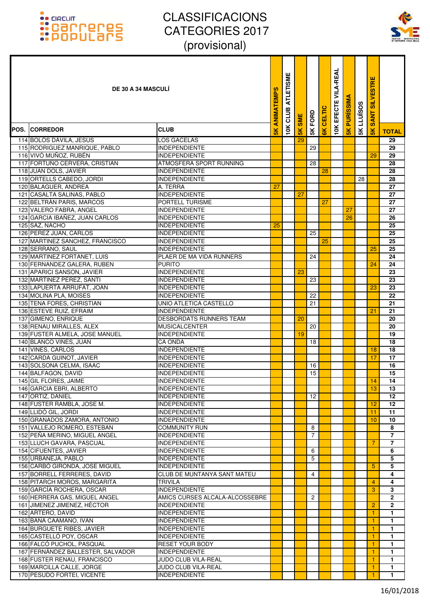

|      | <b>DE 30 A 34 MASCULI</b>                         |                                              | ANIMATEMPS    | <b>ATLETISME</b><br>CLUB | <b>SME</b>     | FORD            | CELTIC         | <b>VILA-REAL</b><br>EFECTE | <b>PURISSIM</b> | LLUÏSOS | <b>SILVESTRE</b><br><b>SANT</b> |                |
|------|---------------------------------------------------|----------------------------------------------|---------------|--------------------------|----------------|-----------------|----------------|----------------------------|-----------------|---------|---------------------------------|----------------|
| POS. | <b>CORREDOR</b>                                   | <b>CLUB</b>                                  | $\frac{8}{5}$ | 10K                      | $\frac{8}{15}$ | 5K              | $\frac{8}{10}$ | 10K                        | $\frac{1}{5}$   | 5K      | $\frac{2}{3}$                   | <b>TOTAL</b>   |
|      | 114 BOLÓS DÁVILA, JESÚS                           | <b>LOS GACELAS</b>                           |               |                          | 29             |                 |                |                            |                 |         |                                 | 29             |
|      | 115 RODRIGUEZ MANRIQUE, PABLO                     | <b>INDEPENDIENTE</b>                         |               |                          |                | 29              |                |                            |                 |         |                                 | 29             |
|      | 116 VIVÓ MUÑOZ, RUBÉN                             | <b>INDEPENDIENTE</b>                         |               |                          |                |                 |                |                            |                 |         | 29                              | 29             |
|      | 117 FORTUÑO CERVERA, CRISTIAN                     | ATMOSFERA SPORT RUNNING                      |               |                          |                | 28              |                |                            |                 |         |                                 | 28             |
|      | 118 JUAN DOLS, JAVIER                             | <b>INDEPENDIENTE</b>                         |               |                          |                |                 | 28             |                            |                 |         |                                 | 28             |
|      | 119 ORTELLS CABEDO, JORDI                         | INDEPENDIENTE                                |               |                          |                |                 |                |                            |                 | 28      |                                 | 28             |
|      | 120 BALAGUER, ANDREA                              | A. TERRA                                     | 27            |                          |                |                 |                |                            |                 |         |                                 | 27             |
|      | 121 CASALTA SALINAS, PABLO                        | <b>INDEPENDIENTE</b>                         |               |                          | 27             |                 |                |                            |                 |         |                                 | 27             |
|      | 122 BELTRÀN PARIS, MARCOS                         | <b>PORTELL TURISME</b>                       |               |                          |                |                 | 27             |                            |                 |         |                                 | 27             |
|      | 123 VALERO FABRA, ANGEL                           | <b>INDEPENDIENTE</b>                         |               |                          |                |                 |                |                            | 27              |         |                                 | 27             |
|      | 124 GARCIA IBAÑEZ, JUAN CARLOS                    | <b>INDEPENDIENTE</b>                         |               |                          |                |                 |                |                            | 26              |         |                                 | 26             |
|      | 125 SAZ, NACHO<br>126 PEREZ JUAN, CARLOS          | INDEPENDIENTE<br><b>INDEPENDIENTE</b>        | 25            |                          |                | 25              |                |                            |                 |         |                                 | 25<br>25       |
|      | 127 MARTINEZ SANCHEZ, FRANCISCO                   | <b>INDEPENDIENTE</b>                         |               |                          |                |                 | 25             |                            |                 |         |                                 | 25             |
|      | 128 SERRANO, SAUL                                 | <b>INDEPENDIENTE</b>                         |               |                          |                |                 |                |                            |                 |         | 25                              | 25             |
|      | 129 MARTINEZ FORTANET, LUIS                       | PLAER DE MA VIDA RUNNERS                     |               |                          |                | 24              |                |                            |                 |         |                                 | 24             |
|      | 130 FERNANDEZ GALERA, RUBEN                       | <b>PURITO</b>                                |               |                          |                |                 |                |                            |                 |         | 24                              | 24             |
|      | 131 APARICI SANSON, JAVIER                        | <b>INDEPENDIENTE</b>                         |               |                          | 23             |                 |                |                            |                 |         |                                 | 23             |
|      | 132 MARTINEZ PEREZ, SANTI                         | <b>INDEPENDIENTE</b>                         |               |                          |                | 23              |                |                            |                 |         |                                 | 23             |
|      | 133 LAPUERTA ARRUFAT, JOAN                        | INDEPENDIENTE                                |               |                          |                |                 |                |                            |                 |         | 23                              | 23             |
|      | 134 MOLINA PLA, MOISES                            | <b>INDEPENDIENTE</b>                         |               |                          |                | 22              |                |                            |                 |         |                                 | 22             |
|      | 135 TENA FORES, CHRISTIAN                         | UNIO ATLETICA CASTELLO                       |               |                          |                | 21              |                |                            |                 |         |                                 | 21             |
|      | 136 ESTEVE RUIZ, EFRAIM                           | <b>INDEPENDIENTE</b>                         |               |                          |                |                 |                |                            |                 |         | 21                              | 21             |
|      | 137 GIMENO, ENRIQUE                               | <b>DESBORDATS RUNNERS TEAM</b>               |               |                          | 20             |                 |                |                            |                 |         |                                 | 20             |
|      | 138 RENAU MIRALLES, ALEX                          | <b>MUSICALCENTER</b>                         |               |                          |                | 20              |                |                            |                 |         |                                 | 20             |
|      | 139 FUSTER ALMELA, JOSE MANUEL                    | <b>INDEPENDIENTE</b>                         |               |                          | 19             |                 |                |                            |                 |         |                                 | 19             |
|      | 140 BLANCO VIÑES, JUAN                            | <b>CA ONDA</b>                               |               |                          |                | 18              |                |                            |                 |         |                                 | 18             |
|      | 141 VINES, CARLOS                                 | <b>INDEPENDIENTE</b>                         |               |                          |                |                 |                |                            |                 |         | 18                              | 18             |
|      | 142 CARDA GUINOT, JAVIER                          | <b>INDEPENDIENTE</b>                         |               |                          |                |                 |                |                            |                 |         | 17                              | 17             |
|      | 143 SOLSONA CELMA, ISAAC                          | <b>INDEPENDIENTE</b>                         |               |                          |                | 16              |                |                            |                 |         |                                 | 16             |
|      | 144 BALFAGON, DAVID                               | <b>INDEPENDIENTE</b>                         |               |                          |                | 15              |                |                            |                 |         |                                 | 15<br>14       |
|      | 145 GIL FLORES, JAIME<br>146 GARCIA EBRI, ALBERTO | <b>INDEPENDIENTE</b><br><b>INDEPENDIENTE</b> |               |                          |                |                 |                |                            |                 |         | 14                              |                |
|      | 147 ORTIZ, DANIEL                                 | <b>INDEPENDIENTE</b>                         |               |                          |                | 12 <sup>2</sup> |                |                            |                 |         | 13                              | 13<br>12       |
|      | 148 FUSTER RAMBLA, JOSE M.                        | <b>INDEPENDIENTE</b>                         |               |                          |                |                 |                |                            |                 |         | 12                              | 12             |
|      | 149 LLIDÓ GIL, JORDI                              | <b>INDEPENDIENTE</b>                         |               |                          |                |                 |                |                            |                 |         | 11                              | 11             |
|      | 150 GRANADOS ZAMORA, ANTONIO                      | <b>INDEPENDIENTE</b>                         |               |                          |                |                 |                |                            |                 |         | 10                              | 10             |
|      | 151 VALLEJO ROMERO, ESTEBAN                       | <b>COMMUNITY RUN</b>                         |               |                          |                | 8               |                |                            |                 |         |                                 | 8              |
|      | 152 PEÑA MERINO. MIGUEL ANGEL                     | <b>INDEPENDIENTE</b>                         |               |                          |                | $\overline{7}$  |                |                            |                 |         |                                 | $\overline{7}$ |
|      | 153 LLUCH GAVARA, PASCUAL                         | <b>INDEPENDIENTE</b>                         |               |                          |                |                 |                |                            |                 |         | 7                               | $\overline{7}$ |
|      | 154 CIFUENTES, JAVIER                             | <b>INDEPENDIENTE</b>                         |               |                          |                | 6               |                |                            |                 |         |                                 | 6              |
|      | 155 URBANEJA, PABLO                               | <b>INDEPENDIENTE</b>                         |               |                          |                | 5               |                |                            |                 |         |                                 | 5              |
|      | 156 CARBÓ GIRONDA, JOSE MIGUEL                    | INDEPENDIENTE                                |               |                          |                |                 |                |                            |                 |         | 5                               | 5              |
|      | 157 BORRELL FERRERES, DAVID                       | <b>CLUB DE MUNTANYA SANT MATEU</b>           |               |                          |                | 4               |                |                            |                 |         |                                 | 4              |
|      | 158 PITARCH MOROS, MARGARITA                      | <b>TRIVILA</b>                               |               |                          |                |                 |                |                            |                 |         | $\overline{4}$                  | 4              |
|      | 159 GARCÍA ROCHERA, OSCAR                         | <b>INDEPENDIENTE</b>                         |               |                          |                |                 |                |                            |                 |         | 3                               | 3              |
|      | 160 HERRERA GAS, MIGUEL ANGEL                     | AMICS CURSES ALCALA-ALCOSSEBRE               |               |                          |                | 2               |                |                            |                 |         |                                 | $\mathbf{2}$   |
|      | 161 JIMENEZ JIMENEZ, HÉCTOR                       | <b>INDEPENDIENTE</b>                         |               |                          |                |                 |                |                            |                 |         | $\overline{2}$                  | $\overline{2}$ |
|      | 162 ARTERO, DAVID<br>163 BAÑA CAAMAÑO, IVAN       | INDEPENDIENTE<br><b>INDEPENDIENTE</b>        |               |                          |                |                 |                |                            |                 |         | 1<br>1                          | 1.<br>1        |
|      | 164 BURGUETE RIBES, JAVIER                        | <b>INDEPENDIENTE</b>                         |               |                          |                |                 |                |                            |                 |         | 1                               | $\mathbf{1}$   |
|      | 165 CASTELLÓ POY, OSCAR                           | <b>INDEPENDIENTE</b>                         |               |                          |                |                 |                |                            |                 |         | 1                               | 1              |
|      | 166 FALCÓ PUCHOL, PASQUAL                         | <b>RESET YOUR BODY</b>                       |               |                          |                |                 |                |                            |                 |         |                                 | $\mathbf{1}$   |
|      | 167 FERNÁNDEZ BALLESTER, SALVADOR                 | <b>INDEPENDIENTE</b>                         |               |                          |                |                 |                |                            |                 |         | 1                               | $\mathbf{1}$   |
|      | 168 FUSTER RENAU, FRANCISCO                       | JUDO CLUB VILA-REAL                          |               |                          |                |                 |                |                            |                 |         | 1                               | $\mathbf{1}$   |
|      | 169 MARCILLA CALLE, JORGE                         | JUDO CLUB VILA-REAL                          |               |                          |                |                 |                |                            |                 |         | 1                               | 1              |
|      | 170 PESUDO FORTEI, VICENTE                        | <b>INDEPENDIENTE</b>                         |               |                          |                |                 |                |                            |                 |         |                                 | $\mathbf{1}$   |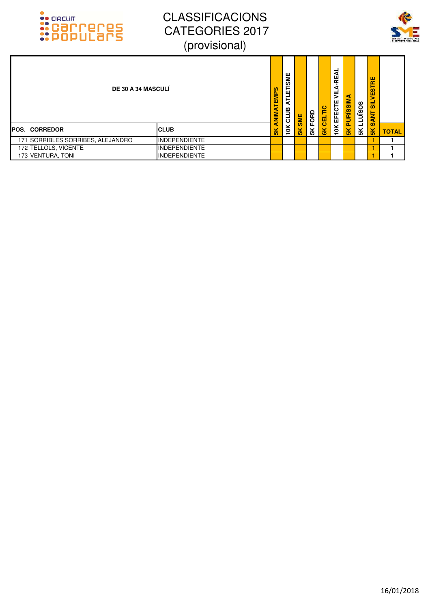



| <b>DE 30 A 34 MASCULÍ</b>         |                       | NIMATEMPS          | <b>TLETISME</b><br>⋖<br>CLUB | SME           | FORD | CELTIC         | -<br>⋖<br>ш<br>œ<br>æ<br>⋚<br>EFECTE | <b>PURISSIM</b> | <b>LLUISOS</b> | VESTRE<br>ಕ<br><b>SANT</b> |              |
|-----------------------------------|-----------------------|--------------------|------------------------------|---------------|------|----------------|--------------------------------------|-----------------|----------------|----------------------------|--------------|
| <b>IPOS. ICORREDOR</b>            | <b>CLUB</b>           | a<br>$\frac{1}{5}$ | 10K                          | $\frac{1}{2}$ | £K   | $\frac{8}{10}$ | 10K                                  | $\frac{8}{10}$  | 5К             | $\frac{1}{2}$              | <b>TOTAL</b> |
| 171 SORRIBLES SORRIBES, ALEJANDRO | <b>INDEPENDIENTE</b>  |                    |                              |               |      |                |                                      |                 |                |                            |              |
| 172 TELLOLS, VICENTE              | <b>IINDEPENDIENTE</b> |                    |                              |               |      |                |                                      |                 |                |                            |              |
| 173 VENTURA, TONI                 | <b>INDEPENDIENTE</b>  |                    |                              |               |      |                |                                      |                 |                |                            |              |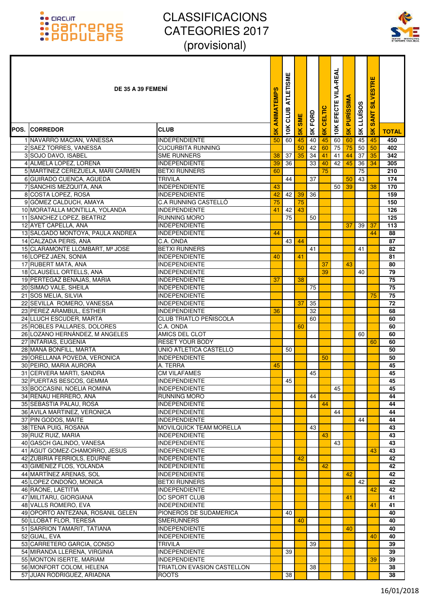

| DE 35 A 39 FEMENI                                      |                                              | ANIMATEMPS     | <b>ATLETISME</b><br>CLUB | <b>SME</b>    | 5K FORD | CELTIC        | EFECTE VILA-REAL | <b>PURISSIM</b> | <b>LLUÏSOS</b> | <b>SILVESTRE</b><br><b>SANT</b> |                       |
|--------------------------------------------------------|----------------------------------------------|----------------|--------------------------|---------------|---------|---------------|------------------|-----------------|----------------|---------------------------------|-----------------------|
| POS. ICORREDOR                                         | <b>CLUB</b>                                  | $\frac{8}{10}$ | 10K                      | $\frac{1}{2}$ |         | $\frac{1}{6}$ | 10K              | 5K              | $\frac{1}{2}$  | $\frac{1}{5}$                   | <b>TOTAL</b>          |
| 1 NAVARRO MACIAN, VANESSA                              | <b>INDEPENDIENTE</b>                         | 50             | 60                       | 45            | 40      | 45            | $\overline{60}$  | 60              | 45             | 45                              | 450                   |
| 2 SAEZ TORRES, VANESSA                                 | <b>CUCURBITA RUNNING</b>                     |                |                          | 50            | 42      | 60            | 75               | 75              | 50             | 50                              | 402                   |
| 3 SOJO DAVO, ISABEL                                    | <b>SME RUNNERS</b>                           | 38             | 37                       | 35            | 34      | 41            | 41               | 44              | 37             | 35                              | 342                   |
| 4 ALMELA LOPEZ, LORENA                                 | <b>INDEPENDIENTE</b>                         | 39             | 36                       |               | 33      | 40            | 42               | 45              | 36             | 34                              | 305                   |
| 5 MARTÍNEZ CEREZUELA, MARI CARMEN                      | <b>BETXI RUNNERS</b>                         | 60             |                          |               |         | 75            |                  |                 | 75             |                                 | 210                   |
| 6 GUIRADO CUENCA, AGUEDA<br>7 SANCHIS MEZQUITA, ANA    | <b>TRIVILA</b><br><b>INDEPENDIENTE</b>       | 43             | 44                       |               | 37      |               |                  | 50<br>39        | 43             | 38                              | 174<br>170            |
| 8 COSTA LOPEZ, ROSA                                    | <b>INDEPENDIENTE</b>                         | 42             | 42                       | 39            | 36      |               | 50               |                 |                |                                 | 159                   |
| 9 GÓMEZ CALDUCH, AMAYA                                 | <b>C.A RUNNING CASTELLO</b>                  | 75             |                          | 75            |         |               |                  |                 |                |                                 | 150                   |
| 10 MORATALLA MONTILLA, YOLANDA                         | <b>INDEPENDIENTE</b>                         | 41             | 42                       | 43            |         |               |                  |                 |                |                                 | 126                   |
| 11 SANCHEZ LOPEZ, BEATRIZ                              | <b>RUNNING MORO</b>                          |                | 75                       |               | 50      |               |                  |                 |                |                                 | 125                   |
| 12 AYET CAPELLA, ANA                                   | <b>INDEPENDIENTE</b>                         |                |                          |               |         |               |                  | 37              | 39             | 37                              | 113                   |
| 13 SALGADO MONTOYA, PAULA ANDREA                       | <b>INDEPENDIENTE</b>                         | 44             |                          |               |         |               |                  |                 |                | 44                              | 88                    |
| 14 CALZADA PERIS, ANA                                  | C.A. ONDA                                    |                | 43                       | 44            |         |               |                  |                 |                |                                 | 87                    |
| 15 CLARAMONTE LLOMBART, Mª JOSE                        | <b>BETXI RUNNERS</b>                         |                |                          |               | 41      |               |                  |                 | 41             |                                 | 82                    |
| 16 LOPEZ JAEN, SONIA                                   | <b>INDEPENDIENTE</b>                         | 40             |                          | 41            |         |               |                  |                 |                |                                 | 81                    |
| 17 RUBERT MATA, ANA                                    | <b>INDEPENDIENTE</b>                         |                |                          |               |         | 37            |                  | 43              |                |                                 | 80                    |
| 18 CLAUSELL ORTELLS, ANA                               | <b>INDEPENDIENTE</b>                         |                |                          |               |         | 39            |                  |                 | 40             |                                 | 79                    |
| 19 PERTEGAZ BENAJAS, MARIA                             | <b>INDEPENDIENTE</b>                         | 37             |                          | 38            |         |               |                  |                 |                |                                 | 75                    |
| 20 SIMAO VALE, SHEILA                                  | <b>INDEPENDIENTE</b>                         |                |                          |               | 75      |               |                  |                 |                |                                 | 75                    |
| 21 SOS MELIA, SILVIA<br>22 SEVILLA ROMERO, VANESSA     | <b>INDEPENDIENTE</b><br><b>INDEPENDIENTE</b> |                |                          | 37            | 35      |               |                  |                 |                | 75                              | 75<br>$\overline{72}$ |
| 23 PEREZ ARAMBUL, ESTHER                               | <b>INDEPENDIENTE</b>                         | 36             |                          |               | 32      |               |                  |                 |                |                                 | 68                    |
| 24 LLUCH ESCUDER, MARTA                                | CLUB TRIATLO PEÑISCOLA                       |                |                          |               | 60      |               |                  |                 |                |                                 | 60                    |
| 25 ROBLES PALLARES, DOLORES                            | C.A. ONDA                                    |                |                          | 60            |         |               |                  |                 |                |                                 | 60                    |
| 26 LOZANO HERNÁNDEZ, M ANGELES                         | <b>AMICS DEL CLOT</b>                        |                |                          |               |         |               |                  |                 | 60             |                                 | 60                    |
| 27 INTARIAS, EUGENIA                                   | <b>RESET YOUR BODY</b>                       |                |                          |               |         |               |                  |                 |                | 60                              | 60                    |
| 28 MAÑÁ BONFILL, MARTA                                 | UNIO ATLETICA CASTELLO                       |                | 50                       |               |         |               |                  |                 |                |                                 | 50                    |
| 29 ORELLANA POVEDA, VERONICA                           | <b>INDEPENDIENTE</b>                         |                |                          |               |         | 50            |                  |                 |                |                                 | 50                    |
| 30 PEIRO, MARIA AURORA                                 | A. TERRA                                     | 45             |                          |               |         |               |                  |                 |                |                                 | 45                    |
| 31 CERVERA MARTI, SANDRA                               | <b>CM VILAFAMES</b>                          |                |                          |               | 45      |               |                  |                 |                |                                 | 45                    |
| 32 PUERTAS BESCOS, GEMMA                               | <b>INDEPENDIENTE</b>                         |                | 45                       |               |         |               |                  |                 |                |                                 | 45                    |
| 33 BOCCASINI, NOELIA ROMINA                            | <b>INDEPENDIENTE</b>                         |                |                          |               |         |               | 45               |                 |                |                                 | 45                    |
| 34 RENAU HERRERO, ANA                                  | RUNNING MORO                                 |                |                          |               | 44      |               |                  |                 |                |                                 | 44                    |
| 35 SEBASTIA PALAU, ROSA<br>36 AVILA MARTINEZ, VERONICA | <b>INDEPENDIENTE</b><br><b>INDEPENDIENTE</b> |                |                          |               |         | 44            | 44               |                 |                |                                 | 44<br>44              |
| 37 PIN GODOS, MAITE                                    | <b>INDEPENDIENTE</b>                         |                |                          |               |         |               |                  |                 | 44             |                                 | 44                    |
| 38 TENA PUIG, ROSANA                                   | MOVILQUICK TEAM MORELLA                      |                |                          |               | 43      |               |                  |                 |                |                                 | 43                    |
| 39 RUIZ RUIZ, MARIA                                    | <b>INDEPENDIENTE</b>                         |                |                          |               |         | 43            |                  |                 |                |                                 | 43                    |
| 40 GASCH GALINDO, VANESA                               | <b>INDEPENDIENTE</b>                         |                |                          |               |         |               | 43               |                 |                |                                 | 43                    |
| 41 AGUT GOMEZ-CHAMORRO, JESUS                          | <b>INDEPENDIENTE</b>                         |                |                          |               |         |               |                  |                 |                | 43                              | 43                    |
| 42 ZUBIRIA FERRIOLS, EDURNE                            | <b>INDEPENDIENTE</b>                         |                |                          | 42            |         |               |                  |                 |                |                                 | 42                    |
| 43 GIMÉNEZ FLOS, YOLANDA                               | <b>INDEPENDIENTE</b>                         |                |                          |               |         | 42            |                  |                 |                |                                 | 42                    |
| 44 MARTÍNEZ ARENAS, SOL                                | <b>INDEPENDIENTE</b>                         |                |                          |               |         |               |                  | 42              |                |                                 | 42                    |
| 45 LOPEZ ONDOÑO, MONICA                                | <b>BETXI RUNNERS</b>                         |                |                          |               |         |               |                  |                 | 42             |                                 | 42                    |
| 46 RAONE, LAETITIA                                     | <b>INDEPENDIENTE</b>                         |                |                          |               |         |               |                  |                 |                | 42                              | 42                    |
| 47 MILITARU, GIORGIANA<br>48 VALLS ROMERO, EVA         | DC SPORT CLUB<br><b>INDEPENDIENTE</b>        |                |                          |               |         |               |                  | 41              |                | 41                              | 41<br>41              |
| 49 OPORTO ANTEZANA, ROSANIL GELEN                      | PIONEROS DE SUDAMERICA                       |                | 40                       |               |         |               |                  |                 |                |                                 | 40                    |
| 50 LLOBAT FLOR, TERESA                                 | <b>SMERUNNERS</b>                            |                |                          | 40            |         |               |                  |                 |                |                                 | 40                    |
| 51 SARRION TAMARIT, TATIANA                            | <b>INDEPENDIENTE</b>                         |                |                          |               |         |               |                  | 40              |                |                                 | 40                    |
| 52 GUAL, EVA                                           | <b>INDEPENDIENTE</b>                         |                |                          |               |         |               |                  |                 |                | 40                              | 40                    |
| 53 CARRETERO GARCIA, CONSO                             | <b>TRIVILA</b>                               |                |                          |               | 39      |               |                  |                 |                |                                 | 39                    |
| 54 MIRANDA LLERENA, VIRGINIA                           | <b>INDEPENDIENTE</b>                         |                | 39                       |               |         |               |                  |                 |                |                                 | 39                    |
| 55 MONTON ISERTE, MARIAM                               | <b>INDEPENDIENTE</b>                         |                |                          |               |         |               |                  |                 |                | 39                              | 39                    |
| 56 MONFORT COLOM, HELENA                               | TRIATLON EVASION CASTELLON                   |                |                          |               | 38      |               |                  |                 |                |                                 | 38                    |
| 57 JUAN RODRIGUEZ, ARIADNA                             | <b>ROOTS</b>                                 |                | 38                       |               |         |               |                  |                 |                |                                 | 38                    |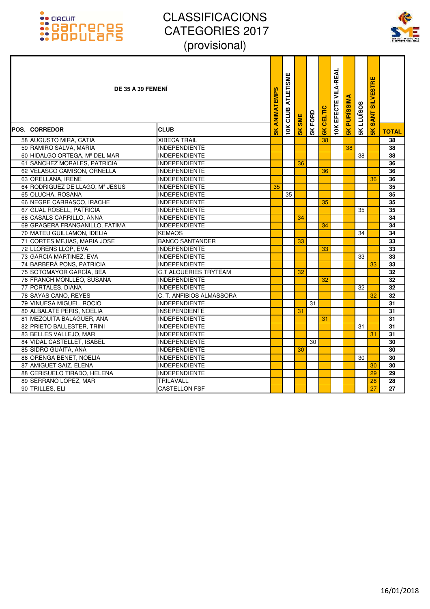### :: GRCUIT<br>:: Carroteres<br>:: Populars



| DE 35 A 39 FEMENI               |                          | <b>SK ANIMATEMPS</b> | <b>ATLETISME</b><br>CLUB | SME           | 5K FORD | <b>EK CELTIC</b> | <b>VILA-REAL</b><br><b>10K EFECTE</b> | <b>SK PURISSIMA</b> | <b>SK LLUISOS</b> | <b>SILVESTRE</b><br><b>SANT</b> |              |
|---------------------------------|--------------------------|----------------------|--------------------------|---------------|---------|------------------|---------------------------------------|---------------------|-------------------|---------------------------------|--------------|
| <b>POS. ICORREDOR</b>           | <b>CLUB</b>              |                      | 10K                      | $\frac{1}{5}$ |         |                  |                                       |                     |                   | $\frac{1}{10}$                  | <b>TOTAL</b> |
| 58 AUGUSTO MIRA, CATIA          | <b>XIBECA TRAIL</b>      |                      |                          |               |         | 38               |                                       |                     |                   |                                 | 38           |
| 59 RAMIRO SALVA, MARIA          | <b>INDEPENDIENTE</b>     |                      |                          |               |         |                  |                                       | 38                  |                   |                                 | 38           |
| 60 HIDALGO ORTEGA, Mª DEL MAR   | <b>INDEPENDIENTE</b>     |                      |                          |               |         |                  |                                       |                     | 38                |                                 | 38           |
| 61 SANCHEZ MORALES, PATRICIA    | <b>INDEPENDIENTE</b>     |                      |                          | 36            |         |                  |                                       |                     |                   |                                 | 36           |
| 62 VELASCO CAMISON, ORNELLA     | <b>INDEPENDIENTE</b>     |                      |                          |               |         | 36               |                                       |                     |                   |                                 | 36           |
| 63 ORELLANA, IRENE              | <b>INDEPENDIENTE</b>     |                      |                          |               |         |                  |                                       |                     |                   | 36                              | 36           |
| 64 RODRIGUEZ DE LLAGO, Mª JESUS | <b>INDEPENDIENTE</b>     | 35                   |                          |               |         |                  |                                       |                     |                   |                                 | 35           |
| 65 OLUCHA, ROSANA               | <b>INDEPENDIENTE</b>     |                      | 35                       |               |         |                  |                                       |                     |                   |                                 | 35           |
| 66 NEGRE CARRASCO, IRACHE       | <b>INDEPENDIENTE</b>     |                      |                          |               |         | 35               |                                       |                     |                   |                                 | 35           |
| 67 GUAL ROSELL, PATRICIA        | <b>INDEPENDIENTE</b>     |                      |                          |               |         |                  |                                       |                     | 35                |                                 | 35           |
| 68 CASALS CARRILLO, ANNA        | <b>INDEPENDIENTE</b>     |                      |                          | 34            |         |                  |                                       |                     |                   |                                 | 34           |
| 69 GRAGERA FRANGANILLO, FÁTIMA  | <b>INDEPENDIENTE</b>     |                      |                          |               |         | 34               |                                       |                     |                   |                                 | 34           |
| 70 MATEU GUILLAMON, IDELIA      | <b>KEMAOS</b>            |                      |                          |               |         |                  |                                       |                     | 34                |                                 | 34           |
| 71 CORTES MEJIAS, MARIA JOSE    | <b>BANCO SANTANDER</b>   |                      |                          | 33            |         |                  |                                       |                     |                   |                                 | 33           |
| 72 LLORENS LLOP, EVA            | <b>INDEPENDIENTE</b>     |                      |                          |               |         | 33               |                                       |                     |                   |                                 | 33           |
| 73 GARCIA MARTINEZ, EVA         | <b>INDEPENDIENTE</b>     |                      |                          |               |         |                  |                                       |                     | 33                |                                 | 33           |
| 74 BARBERÁ PONS, PATRICIA       | <b>INDEPENDIENTE</b>     |                      |                          |               |         |                  |                                       |                     |                   | 33                              | 33           |
| 75 SOTOMAYOR GARCÍA, BEA        | C.T ALQUERIES TRYTEAM    |                      |                          | 32            |         |                  |                                       |                     |                   |                                 | 32           |
| 76 FRANCH MONLLEO, SUSANA       | <b>INDEPENDIENTE</b>     |                      |                          |               |         | 32               |                                       |                     |                   |                                 | 32           |
| 77 PORTALÉS, DIANA              | <b>INDEPENDIENTE</b>     |                      |                          |               |         |                  |                                       |                     | 32                |                                 | 32           |
| 78 SAYAS CANO, REYES            | C. T. ANFIBIOS ALMASSORA |                      |                          |               |         |                  |                                       |                     |                   | 32                              | 32           |
| 79 VINUESA MIGUEL, ROCIO        | <b>INDEPENDIENTE</b>     |                      |                          |               | 31      |                  |                                       |                     |                   |                                 | 31           |
| 80 ALBALATE PERIS, NOELIA       | <b>INSEPENDIENTE</b>     |                      |                          | 31            |         |                  |                                       |                     |                   |                                 | 31           |
| 81 MEZQUITA BALAGUER, ANA       | <b>INDEPENDIENTE</b>     |                      |                          |               |         | 31               |                                       |                     |                   |                                 | 31           |
| 82 PRIETO BALLESTER, TRINI      | <b>INDEPENDIENTE</b>     |                      |                          |               |         |                  |                                       |                     | 31                |                                 | 31           |
| 83 BELLES VALLEJO, MAR          | <b>INDEPENDIENTE</b>     |                      |                          |               |         |                  |                                       |                     |                   | 31                              | 31           |
| 84 VIDAL CASTELLET, ISABEL      | <b>INDEPENDIENTE</b>     |                      |                          |               | 30      |                  |                                       |                     |                   |                                 | 30           |
| 85 SIDRO GUAITA, ANA            | <b>INDEPENDIENTE</b>     |                      |                          | 30            |         |                  |                                       |                     |                   |                                 | 30           |
| 86 ORENGA BENET, NOELIA         | <b>INDEPENDIENTE</b>     |                      |                          |               |         |                  |                                       |                     | 30                |                                 | 30           |
| 87 AMIGUET SAIZ, ELENA          | <b>INDEPENDIENTE</b>     |                      |                          |               |         |                  |                                       |                     |                   | 30                              | 30           |
| 88 CERISUELO TIRADO, HELENA     | <b>INDEPENDIENTE</b>     |                      |                          |               |         |                  |                                       |                     |                   | 29                              | 29           |
| 89 SERRANO LOPEZ, MAR           | TRILAVALL                |                      |                          |               |         |                  |                                       |                     |                   | 28                              | 28           |
| 90 TRILLES, ELI                 | <b>CASTELLON FSF</b>     |                      |                          |               |         |                  |                                       |                     |                   | 27                              | 27           |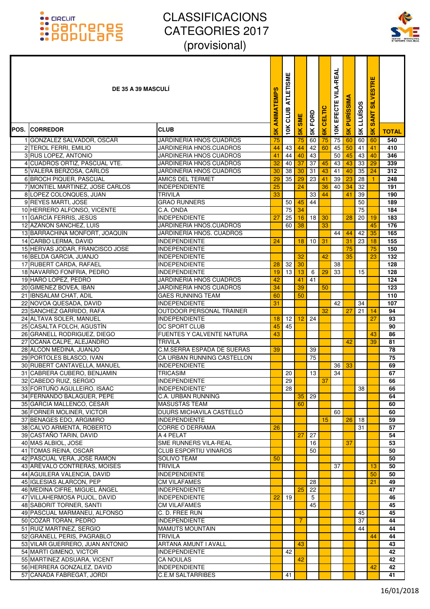

| <b>DE 35 A 39 MASCULI</b>                              |                                                  | ANIMATEMPS     | <b>ETISME</b><br><b>ATLI</b><br>≃<br>cLUI | <b>SME</b>    | <b>5K FORD</b> | CELTIC         | <b>VILA-REAL</b><br>EFECTE | <b>PURISSIM</b> | <b>LLUISOS</b> | STRE<br>щ<br><b>NTIS</b><br><b>SANT</b> |              |
|--------------------------------------------------------|--------------------------------------------------|----------------|-------------------------------------------|---------------|----------------|----------------|----------------------------|-----------------|----------------|-----------------------------------------|--------------|
| <b>POS. CORREDOR</b>                                   | <b>CLUB</b>                                      | $\frac{8}{10}$ | 10K                                       | $\frac{1}{5}$ |                | $\frac{8}{10}$ | 10K                        | $\frac{8}{10}$  | 5К             | š                                       | <b>TOTAL</b> |
| 1 GONZALEZ SALVADOR, OSCAR                             | <b>JARDINERIA HNOS CUADROS</b>                   | 75             |                                           | 75            | 60             | 75             | 75                         | 60              | 60             | 60                                      | 540          |
| 2 TEROL FERRI, EMILIO                                  | JARDINERIA HNOS.CUADROS                          | 44             | 43 I                                      | 44            | 42             | 60             | 45                         | 50              | 41             | 41                                      | 410          |
| 3 RUS LOPEZ, ANTONIO                                   | JARDINERIA HNOS CUADROS                          | 41             | 44                                        | 40            | 43             |                | 50                         | 45              | 43             | 40                                      | 346          |
| 4 CUADROS ORTIZ, PASCUAL VTE.                          | JARDINERIA HNOS CUADROS                          | 32             | 40                                        | 37            | 37             | 45             | 43                         | 43              | 33             | 29                                      | 339          |
| 5 VALERA BERZOSA, CARLOS                               | JARDINERIA HNOS CUADROS                          | 30             | 38                                        | 30            | 31             | 43             | 41                         | 40              | 35             | 24                                      | 312          |
| 6 BROCH PIQUER, PASCUAL                                | AMICS DEL TERMET                                 | 29             | 35                                        | 29            | 23             | 41             | 39                         | 23              | 28             |                                         | 248          |
| 7 MONTIEL MARTINEZ, JOSE CARLOS                        | <b>INDEPENDIENTE</b>                             | 25             |                                           | 24            |                | 36             | 40                         | 34              | 32             |                                         | 191          |
| 8 LOPEZ COLONQUES, JUAN                                | <b>TRIVILA</b>                                   | 33             |                                           |               | 33             | 44             |                            | 41              | 39             |                                         | 190          |
| 9 REYES MARTI, JOSE                                    | <b>GRAO RUNNERS</b>                              |                | 50 <sup>1</sup>                           | 45            | 44             |                |                            |                 | 50             |                                         | 189          |
| 10 HERRERO ALFONSO, VICENTE                            | C.A. ONDA                                        |                | 75                                        | 34            |                |                |                            |                 | 75             |                                         | 184          |
| 11 GARCÍA FERRIS, JESÚS                                | <b>INDEPENDIENTE</b>                             | 27             | 25                                        | 16            | 18             | 30             |                            | 28              | 20             | 19                                      | 183          |
| 12 AZAÑON SANCHEZ, LUIS                                | JARDINERIA HNOS.CUADROS                          |                | 60                                        | 38            |                | 33             |                            |                 |                | 45                                      | 176          |
| 13 BARRACHINA MONFORT, JOAQUÍN                         | JARDINERÍA HNOS. CUADROS                         |                |                                           |               |                |                | 44                         | 44              | 42             | 35                                      | 165          |
| 14 CARBO LERMA, DAVID                                  | <b>INDEPENDIENTE</b>                             | 24             |                                           | 18            | 10             | 31             |                            | 31              | 23             | 18                                      | 155          |
| 15 HERVAS JODAR, FRANCISCO JOSE                        | <b>INDEPENDIENTE</b>                             |                |                                           |               |                |                |                            | 75              |                | 75                                      | 150          |
| 16 BELDA GARCIA, JUANJO<br>17 RUBERT CARDA, RAFAEL     | <b>INDEPENDIENTE</b><br><b>INDEPENDIENTE</b>     |                |                                           | 32<br>30      |                | 42             | 38                         | 35              |                | 23                                      | 132<br>128   |
| 18 NAVARRO FONFRIA, PEDRO                              | <b>INDEPENDIENTE</b>                             | 28<br>19       | 32<br>13                                  | 13            | 6              | 29             | 33                         |                 | 15             |                                         | 128          |
| 19 HARO LOPEZ, PEDRO                                   | JARDINERIA HNOS CUADROS                          | 42             |                                           | 41            | 41             |                |                            |                 |                |                                         | 124          |
| 20 GIMENEZ BOVEA, IBAN                                 | JARDINERIA HNOS CUADROS                          | 34             |                                           | 39            |                | 50             |                            |                 |                |                                         | 123          |
| 21 IBNSALAM CHAT, ADIL                                 | <b>GAES RUNNING TEAM</b>                         | 60             |                                           | 50            |                |                |                            |                 |                |                                         | 110          |
| 22 NOVOA QUESADA, DAVID                                | <b>INDEPENDIENTE</b>                             | 31             |                                           |               |                |                | 42                         |                 | 34             |                                         | 107          |
| 23 SANCHEZ GARRIDO, RAFA                               | OUTDOOR PERSONAL TRAINER                         |                |                                           |               |                | 32             |                            | 27              | 21             | 14                                      | 94           |
| 24 ALTAVA SOLER, MANUEL                                | <b>INDEPENDIENTE</b>                             | 18             | 12                                        | 12            | 24             |                |                            |                 |                | 27                                      | 93           |
| 25 CASALTA FOLCH, AGUSTÍN                              | <b>DC SPORT CLUB</b>                             | 45             | 45                                        |               |                |                |                            |                 |                |                                         | 90           |
| 26 GRANELL RODRIGUEZ, DIEGO                            | FUENTES Y CALVENTE NATURA                        | 43             |                                           |               |                |                |                            |                 |                | 43                                      | 86           |
| 27 OCAÑA CALPE, ALEJANDRO                              | <b>TRIVILA</b>                                   |                |                                           |               |                |                |                            | 42              |                | 39                                      | 81           |
| 28 ALCON MEDINA, JUANJO                                | <b>C.M.SERRA ESPADA DE SUERAS</b>                | 39             |                                           |               | 39             |                |                            |                 |                |                                         | 78           |
| 29 PORTOLES BLASCO, IVAN                               | CA URBAN RUNNING CASTELLON                       |                |                                           |               | 75             |                |                            |                 |                |                                         | 75           |
| 30 RUBERT CANTAVELLA, MANUEL                           | <b>INDEPENDIENTE</b>                             |                |                                           |               |                |                | 36                         | 33              |                |                                         | 69           |
| 31 CABRERA CUBERO, BENJAMIN                            | TRICASIM                                         |                | 20                                        |               | 13             |                | 34                         |                 |                |                                         | 67           |
| 32 CABEDO RUIZ, SERGIO                                 | <b>INDEPENDIENTE</b>                             |                | 29                                        |               |                | 37             |                            |                 |                |                                         | 66           |
| 33 FORTUÑO AGULLEIRO, ISAAC                            | INDEPENDIENTE'                                   |                | 28                                        |               |                |                |                            |                 | 38             |                                         | 66           |
| 34 FERNANDO BALAGUER, PEPE                             | C.A. URBAN RUNNING                               |                |                                           | 35            | 29             |                |                            |                 |                |                                         | 64           |
| 35 GARCIA MALLENCO, CESAR                              | <b>MASUSTAS TEAM</b>                             |                |                                           | 60            |                |                |                            |                 |                |                                         | 60           |
| 36 FORNER MOLINER, VICTOR<br>37 BENAGES EDO, ARGIMIRO  | DUURS MICHAVILA CASTELLÓ<br><b>INDEPENDIENTE</b> |                |                                           |               |                | 15             | 60                         | 26              | 18             |                                         | 60<br>59     |
| 38 CALVO ARMENTA, ROBERTO                              | <b>CORRE O DERRAMA</b>                           | 26             |                                           |               |                |                |                            |                 | 31             |                                         | 57           |
| 39 CASTAÑO TARIN, DAVID                                | A 4 PELAT                                        |                |                                           | 27            | 27             |                |                            |                 |                |                                         | 54           |
| 40 MAS ALBIOL, JOSE                                    | SME RUNNERS VILA-REAL                            |                |                                           |               | 16             |                |                            | 37              |                |                                         | 53           |
| 41 TOMAS REINA, OSCAR                                  | <b>CLUB ESPORTIU VINAROS</b>                     |                |                                           |               | 50             |                |                            |                 |                |                                         | 50           |
| 42 PASCUAL VERA, JOSE RAMON                            | <b>SOLIVO TEAM</b>                               | 50             |                                           |               |                |                |                            |                 |                |                                         | 50           |
| 43 ARÉVALO CONTRERAS, MOISES                           | <b>TRIVILA</b>                                   |                |                                           |               |                |                | 37                         |                 |                | 13                                      | 50           |
| 44 AGUILERA VALENCIA, DAVID                            | <b>INDEPENDIENTE</b>                             |                |                                           |               |                |                |                            |                 |                | 50                                      | 50           |
| 45 IGLESIAS ALARCON, PEP                               | <b>CM VILAFAMES</b>                              |                |                                           |               | 28             |                |                            |                 |                | 21                                      | 49           |
| 46 MEDINA CIFRE, MIGUEL ÁNGEL                          | <b>INDEPENDIENTE</b>                             |                |                                           | 25            | 22             |                |                            |                 |                |                                         | 47           |
| 47 VILLAHERMOSA PUJOL, DAVID                           | <b>INDEPENDIENTE</b>                             | 22             | 19                                        |               | 5              |                |                            |                 |                |                                         | 46           |
| 48 SABORIT TORNER, SANTI                               | <b>CM VILAFAMES</b>                              |                |                                           |               | 45             |                |                            |                 |                |                                         | 45           |
| 49 PASCUAL MARMANEU, ALFONSO                           | C. D. FREE RUN                                   |                |                                           |               |                |                |                            |                 | 45             |                                         | 45           |
| 50 CÓZAR TORÁN, PEDRO                                  | <b>INDEPENDIENTE</b>                             |                |                                           | 7             |                |                |                            |                 | 37             |                                         | 44           |
| 51 RUIZ MARTINEZ, SERGIO                               | <b>MAMUTS MOUNTAIN</b>                           |                |                                           |               |                |                |                            |                 | 44             |                                         | 44           |
| 52 GRANELL PERIS, PAGRABLO                             | <b>TRIVILA</b>                                   |                |                                           |               |                |                |                            |                 |                | 44                                      | 44           |
| 53 VILAR GUERRERO, JUAN ANTONIO                        | ARTANA AMUNT I AVALL<br><b>INDEPENDIENTE</b>     |                | 42                                        | 43            |                |                |                            |                 |                |                                         | 43<br>42     |
| 54 MARTI GIMENO, VICTOR<br>55 MARTINEZ ADSUARA, VICENT | <b>CA NOULAS</b>                                 |                |                                           | 42            |                |                |                            |                 |                |                                         | 42           |
| 56 HERRERA GONZALEZ, DAVID                             | <b>INDEPENDIENTE</b>                             |                |                                           |               |                |                |                            |                 |                | 42                                      | 42           |
| 57 CAÑADA FABREGAT, JORDI                              | <b>C.E.M SALTARRIBES</b>                         |                | 41                                        |               |                |                |                            |                 |                |                                         | 41           |
|                                                        |                                                  |                |                                           |               |                |                |                            |                 |                |                                         |              |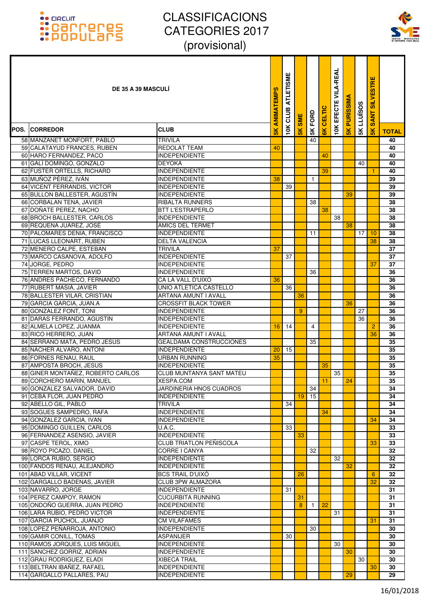

| <b>DE 35 A 39 MASCULI</b>                          |                                                   | ANIMATEMPS     | <b>ATLETISME</b><br>CLUB | <b>SME</b> | 5K FORD      | CELTIC | <b>VILA-REAL</b><br>EFECTE | <b>PURISSIMA</b> | <b>LLUÏSOS</b> | <b>SILVESTRE</b><br><b>SANT</b> |              |
|----------------------------------------------------|---------------------------------------------------|----------------|--------------------------|------------|--------------|--------|----------------------------|------------------|----------------|---------------------------------|--------------|
| <b>POS. CORREDOR</b>                               | <b>CLUB</b>                                       | $\frac{8}{10}$ | 10K                      | 5K         |              |        | 10K                        | $\frac{1}{5}$    | 5K             | $\frac{1}{5}$                   | <b>TOTAL</b> |
| 58 MANZANET MONFORT, PABLO                         | <b>TRIVILA</b>                                    |                |                          |            | 40           |        |                            |                  |                |                                 | 40           |
| 59 CALATAYUD FRANCES, RUBEN                        | REDOLAT TEAM                                      | 40             |                          |            |              |        |                            |                  |                |                                 | 40           |
| 60 HARO FERNANDEZ, PACO                            | <b>INDEPENDIENTE</b>                              |                |                          |            |              | 40     |                            |                  |                |                                 | 40           |
| 61 GALÍ DOMINGO, GONZALO                           | <b>DEYOKA</b>                                     |                |                          |            |              |        |                            |                  | 40             |                                 | 40           |
| 62 FUSTER ORTELLS, RICHARD                         | <b>INDEPENDIENTE</b>                              |                |                          |            |              | 39     |                            |                  |                |                                 | 40           |
| 63 MUÑOZ PÉREZ, IVÁN                               | <b>INDEPENDIENTE</b>                              | 38             |                          |            | $\mathbf{1}$ |        |                            |                  |                |                                 | 39           |
| 64 VICENT FERRANDIS, VICTOR                        | <b>INDEPENDIENTE</b>                              |                | 39                       |            |              |        |                            |                  |                |                                 | 39           |
| 65 BULLON BALLESTER, AGUSTÍN                       | <b>INDEPENDIENTE</b>                              |                |                          |            |              |        |                            | 39               |                |                                 | 39           |
| 66 CORBALAN TENA, JAVIER<br>67 DOÑATE PEREZ, NACHO | <b>RIBALTA RUNNERS</b><br><b>BTT L'ESTRAPERLO</b> |                |                          |            | 38           | 38     |                            |                  |                |                                 | 38<br>38     |
| 68 BROCH BALLESTER, CARLOS                         | <b>INDEPENDIENTE</b>                              |                |                          |            |              |        | 38                         |                  |                |                                 | 38           |
| 69 REQUENA JUÁREZ, JOSÉ                            | AMICS DEL TERMET                                  |                |                          |            |              |        |                            | 38               |                |                                 | 38           |
| 70 PALOMARES DENIA, FRANCISCO                      | <b>INDEPENDIENTE</b>                              |                |                          |            | 11           |        |                            |                  | 17             | 10                              | 38           |
| 71 LUCAS LLEONART, RUBEN                           | DELTA VALENCIA                                    |                |                          |            |              |        |                            |                  |                | 38                              | 38           |
| 72 MENERO CALPE, ESTEBAN                           | <b>TRIVILA</b>                                    | 37             |                          |            |              |        |                            |                  |                |                                 | 37           |
| 73 MARCO CASANOVA, ADOLFO                          | <b>INDEPENDIENTE</b>                              |                | 37                       |            |              |        |                            |                  |                |                                 | 37           |
| 74 JORGE, PEDRO                                    | <b>INDEPENDIENTE</b>                              |                |                          |            |              |        |                            |                  |                | 37                              | 37           |
| 75 TERREN MARTOS, DAVID                            | <b>INDEPENDIENTE</b>                              |                |                          |            | 36           |        |                            |                  |                |                                 | 36           |
| 76 ANDRES PACHECO, FERNANDO                        | CA LA VALL D'UIXO                                 | 36             |                          |            |              |        |                            |                  |                |                                 | 36           |
| 77 RUBERT MASIÁ, JAVIER                            | UNIO ATLETICA CASTELLO                            |                | 36                       |            |              |        |                            |                  |                |                                 | 36           |
| 78 BALLESTER VILAR, CRISTIAN                       | ARTANA AMUNT I AVALL                              |                |                          | 36         |              |        |                            |                  |                |                                 | 36           |
| 79 GARCIA GARCIA, JUAN.A                           | <b>CROSSFIT BLACK TOWER</b>                       |                |                          |            |              |        |                            | 36               |                |                                 | 36           |
| 80 GONZALEZ FONT, TONI                             | <b>INDEPENDIENTE</b>                              |                |                          | 9          |              |        |                            |                  | 27             |                                 | 36           |
| 81 DARAS FERRANDO, AGUSTIN                         | <b>INDEPENDIENTE</b>                              |                |                          |            |              |        |                            |                  | 36             |                                 | 36           |
| 82 ALMELA LOPEZ, JUANMA                            | <b>INDEPENDIENTE</b>                              | 16             | 14                       |            | 4            |        |                            |                  |                | $\overline{2}$                  | 36           |
| 83 RICO HERRERO, JUAN                              | ARTANA AMUNT I AVALL                              |                |                          |            |              |        |                            |                  |                | 36                              | 36           |
| 84 SERRANO MATA, PEDRO JESUS                       | <b>GEALDAMA CONSTRUCCIONES</b>                    |                |                          |            | 35           |        |                            |                  |                |                                 | 35           |
| 85 NACHER ALVARO, ANTONI                           | <b>INDEPENDIENTE</b>                              | 20             | 15                       |            |              |        |                            |                  |                |                                 | 35           |
| 86 FORNES RENAU, RAUL<br>87 AMPOSTA BROCH, JESUS   | URBAN RUNNING<br><b>INDEPENDIENTE</b>             | 35             |                          |            |              | 35     |                            |                  |                |                                 | 35<br>35     |
| 88 GINER MONTAÑEZ, ROBERTO CARLOS                  | CLUB MUNTANYA SANT MATEU                          |                |                          |            |              |        | 35                         |                  |                |                                 | 35           |
| 89 CORCHERO MARIN, MANUEL                          | <b>XESPA.COM</b>                                  |                |                          |            |              | 11     |                            | 24               |                |                                 | 35           |
| 90 GONZALEZ SALVADOR, DAVID                        | JARDINERIA HNOS CUADROS                           |                |                          |            | 34           |        |                            |                  |                |                                 | 34           |
| 91 CEBA FLOR. JUAN PEDRO                           | <b>INDEPENDIENTE</b>                              |                |                          | 19         | 15           |        |                            |                  |                |                                 | 34           |
| 92 ABELLO GIL, PABLO                               | <b>TRIVILA</b>                                    |                | 34                       |            |              |        |                            |                  |                |                                 | 34           |
| 93 SOGUES SAMPEDRO, RAFA                           | <b>INDEPENDIENTE</b>                              |                |                          |            |              | 34     |                            |                  |                |                                 | 34           |
| 94 GONZALEZ GARCIA, IVAN                           | <b>INDEPENDIENTE</b>                              |                |                          |            |              |        |                            |                  |                | 34                              | 34           |
| 95 DOMINGO GUILLEN, CARLOS                         | <b>U.A.C.</b>                                     |                | 33                       |            |              |        |                            |                  |                |                                 | 33           |
| 96 FERNANDEZ ASENSIO, JAVIER                       | <b>INDEPENDIENTE</b>                              |                |                          | 33         |              |        |                            |                  |                |                                 | 33           |
| 97 CASPE TEROL, XIMO                               | <b>CLUB TRIATLON PEÑISCOLA</b>                    |                |                          |            |              |        |                            |                  |                | 33                              | 33           |
| 98 ROYO PICAZO, DANIEL                             | CORRE I CANYA                                     |                |                          |            | 32           |        |                            |                  |                |                                 | 32           |
| 99 LORCA RUBIO, SERGIO                             | <b>INDEPENDIENTE</b>                              |                |                          |            |              |        | 32                         |                  |                |                                 | 32           |
| 100 FANDOS RENAU, ALEJANDRO                        | <b>INDEPENDIENTE</b>                              |                |                          |            |              |        |                            | 32               |                |                                 | 32           |
| 101 ABAD VILLAR, VICENT                            | <b>BCS TRAIL D'UIXO</b>                           |                |                          | 26         |              |        |                            |                  |                | 6                               | 32           |
| 102 GARGALLO BADENAS, JAVIER                       | <b>CLUB 3PW ALMAZORA</b>                          |                |                          |            |              |        |                            |                  |                | 32                              | 32           |
| 103 NAVARRO, JORGE<br>104 PEREZ CAMPOY, RAMON      | <b>INDEPENDIENTE</b><br><b>CUCURBITA RUNNING</b>  |                | 31                       |            |              |        |                            |                  |                |                                 | 31<br>31     |
| 105 ONDOÑO GUERRA, JUAN PEDRO                      | <b>INDEPENDIENTE</b>                              |                |                          | 31<br>8    | $\mathbf{1}$ | 22     |                            |                  |                |                                 | 31           |
| 106 LARA RUBIO, PEDRO VICTOR                       | <b>INDEPENDIENTE</b>                              |                |                          |            |              |        | 31                         |                  |                |                                 | 31           |
| 107 GARCIA PUCHOL, JUANJO                          | <b>CM VILAFAMES</b>                               |                |                          |            |              |        |                            |                  |                | 31                              | 31           |
| 108 LOPEZ PEÑARROJA, ANTONIO                       | <b>INDEPENDIENTE</b>                              |                |                          |            | 30           |        |                            |                  |                |                                 | 30           |
| 109 GAMIR CONILL, TOMAS                            | <b>ASPANIJER</b>                                  |                | 30                       |            |              |        |                            |                  |                |                                 | 30           |
| 110 RAMOS JORQUES, LUIS MIGUEL                     | <b>INDEPENDIENTE</b>                              |                |                          |            |              |        | 30                         |                  |                |                                 | 30           |
| 111 SANCHEZ GORRIZ, ADRIAN                         | <b>INDEPENDIENTE</b>                              |                |                          |            |              |        |                            | 30               |                |                                 | 30           |
| 112 GRAU RODRIGUEZ, ELADI                          | <b>XIBECA TRAIL</b>                               |                |                          |            |              |        |                            |                  | 30             |                                 | 30           |
| 113 BELTRAN IBANEZ, RAFAEL                         | <b>INDEPENDIENTE</b>                              |                |                          |            |              |        |                            |                  |                | 30                              | 30           |
| 114 GARGALLO PALLARES, PAU                         | <b>INDEPENDIENTE</b>                              |                |                          |            |              |        |                            | 29               |                |                                 | 29           |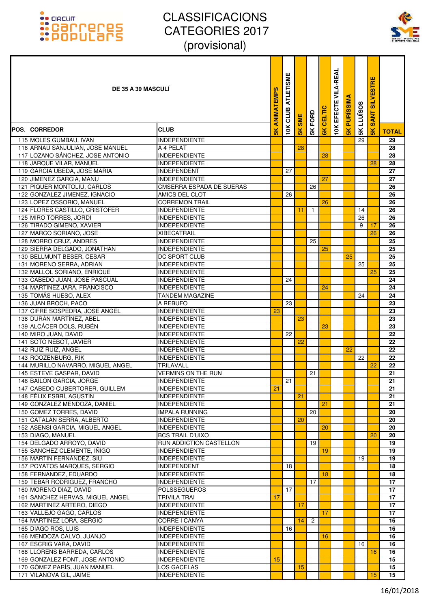

| <b>DE 35 A 39 MASCULI</b>                                  |                                              | ANIMATEMPS     | <b>ATLETISME</b><br>CLUB | <b>SME</b>    | 5K FORD        | CELTIC | EFECTE VILA-REAL | <b>PURISSIMA</b> | <b>5K LLUISOS</b> | <b>SILVESTRE</b><br><b>SANT</b> |              |
|------------------------------------------------------------|----------------------------------------------|----------------|--------------------------|---------------|----------------|--------|------------------|------------------|-------------------|---------------------------------|--------------|
| <b>POS. ICORREDOR</b>                                      | <b>CLUB</b>                                  | $\frac{8}{10}$ | 10K                      | $\frac{1}{5}$ |                | 6K     | 10K              | $\frac{1}{5}$    |                   | $\frac{1}{5}$                   | <b>TOTAL</b> |
| 115 MOLES GUMBAU, IVAN                                     | <b>INDEPENDIENTE</b>                         |                |                          |               |                |        |                  |                  | 29                |                                 | 29           |
| 116 ARNAU SANJULIAN, JOSE MANUEL                           | A 4 PELAT                                    |                |                          | 28            |                |        |                  |                  |                   |                                 | 28           |
| 117 LOZANO SÁNCHEZ, JOSE ANTONIO                           | <b>INDEPENDIENTE</b>                         |                |                          |               |                | 28     |                  |                  |                   |                                 | 28           |
| 118 JARQUE VILAR, MANUEL                                   | <b>INDEPENDIENTE</b>                         |                |                          |               |                |        |                  |                  |                   | 28                              | 28           |
| 119 GARCIA UBEDA, JOSE MARIA                               | <b>INDEPENDENT</b>                           |                | 27                       |               |                |        |                  |                  |                   |                                 | 27           |
| 120 JIMENEZ GARCIA, MANU                                   | <b>INDEPENDIENTE</b>                         |                |                          |               |                | 27     |                  |                  |                   |                                 | 27           |
| 121 PIQUER MONTOLIU, CARLOS                                | <b>CMSERRA ESPADA DE SUERAS</b>              |                |                          |               | 26             |        |                  |                  |                   |                                 | 26           |
| 122 GONZALEZ JIMENEZ, IGNACIO                              | AMICS DEL CLOT                               |                | 26                       |               |                |        |                  |                  |                   |                                 | 26           |
| 123 LOPEZ OSSORIO, MANUEL                                  | <b>CORREMON TRAIL</b>                        |                |                          |               |                | 26     |                  |                  |                   |                                 | 26           |
| 124 FLORES CASTILLO, CRISTOFER                             | <b>INDEPENDIENTE</b>                         |                |                          | 11            | $\mathbf{1}$   |        |                  |                  | 14                |                                 | 26           |
| 125 MIRO TORRES, JORDI<br>126 TIRADO GIMENO, XAVIER        | <b>INDEPENDIENTE</b><br><b>INDEPENDIENTE</b> |                |                          |               |                |        |                  |                  | 26<br>9           | 17                              | 26<br>26     |
| 127 MARCO SORIANO, JOSE                                    | XIBECATRAIL                                  |                |                          |               |                |        |                  |                  |                   | 26                              | 26           |
| 128 MORRO CRUZ, ANDRES                                     | <b>INDEPENDIENTE</b>                         |                |                          |               | 25             |        |                  |                  |                   |                                 | 25           |
| 129 SIERRA DELGADO, JONATHAN                               | <b>INDEPENDIENTE</b>                         |                |                          |               |                | 25     |                  |                  |                   |                                 | 25           |
| 130 BELLMUNT BESER, CESAR                                  | DC SPORT CLUB                                |                |                          |               |                |        |                  | 25               |                   |                                 | 25           |
| 131 MORENO SERRA, ADRIAN                                   | <b>INDEPENDIENTE</b>                         |                |                          |               |                |        |                  |                  | 25                |                                 | 25           |
| 132 MALLOL SORIANO, ENRIQUE                                | <b>INDEPENDIENTE</b>                         |                |                          |               |                |        |                  |                  |                   | 25                              | 25           |
| 133 CABEDO JUAN, JOSE PASCUAL                              | <b>INDEPENDIENTE</b>                         |                | 24                       |               |                |        |                  |                  |                   |                                 | 24           |
| 134 MARTÍNEZ JARA, FRANCISCO                               | <b>INDEPENDIENTE</b>                         |                |                          |               |                | 24     |                  |                  |                   |                                 | 24           |
| 135 TOMÁS HUESO, ALEX                                      | TANDEM MAGAZINE                              |                |                          |               |                |        |                  |                  | 24                |                                 | 24           |
| 136 JUAN BROCH, PACO                                       | A REBUFO                                     |                | 23                       |               |                |        |                  |                  |                   |                                 | 23           |
| 137 CIFRE SOSPEDRA, JOSE ANGEL                             | <b>INDEPENDIENTE</b>                         | 23             |                          |               |                |        |                  |                  |                   |                                 | 23           |
| 138 DURÁN MARTÍNEZ, ABEL                                   | <b>INDEPENDIENTE</b>                         |                |                          | 23            |                |        |                  |                  |                   |                                 | 23           |
| 139 ALCÁCER DOLS, RUBÉN                                    | <b>INDEPENDIENTE</b>                         |                |                          |               |                | 23     |                  |                  |                   |                                 | 23           |
| 140 MIRO JUAN, DAVID                                       | <b>INDEPENDIENTE</b>                         |                | 22                       |               |                |        |                  |                  |                   |                                 | 22           |
| 141 SOTO NEBOT, JAVIER                                     | <b>INDEPENDIENTE</b>                         |                |                          | 22            |                |        |                  |                  |                   |                                 | 22           |
| 142 RUIZ RUIZ, ANGEL                                       | <b>INDEPENDIENTE</b>                         |                |                          |               |                |        |                  | 22               |                   |                                 | 22           |
| 143 ROOZENBURG, RIK                                        | <b>INDEPENDIENTE</b>                         |                |                          |               |                |        |                  |                  | 22                |                                 | 22           |
| 144 MURILLO NAVARRO, MIGUEL ANGEL                          | TRILAVALL                                    |                |                          |               |                |        |                  |                  |                   | $\overline{22}$                 | 22           |
| 145 ESTEVE GASPAR, DAVID                                   | VERMINS ON THE RUN                           |                |                          |               | 21             |        |                  |                  |                   |                                 | 21<br>21     |
| 146 BAILON GARCIA, JORGE<br>147 CABEDO CUBERTORER, GUILLEM | <b>INDEPENDIENTE</b><br><b>INDEPENDIENTE</b> | 21             | 21                       |               |                |        |                  |                  |                   |                                 | 21           |
| 148 FÉLIX ESBRÍ, AGUSTÍN                                   | <b>INDEPENDIENTE</b>                         |                |                          | 21            |                |        |                  |                  |                   |                                 | 21           |
| 149 GONZALEZ MENDOZA, DANIEL                               | <b>INDEPENDIENTE</b>                         |                |                          |               |                | 21     |                  |                  |                   |                                 | 21           |
| 150 GOMEZ TORRES, DAVID                                    | IMPALA RUNNING                               |                |                          |               | 20             |        |                  |                  |                   |                                 | 20           |
| 151 CATALÁN SERRA, ALBERTO                                 | <b>INDEPENDIENTE</b>                         |                |                          | 20            |                |        |                  |                  |                   |                                 | 20           |
| 152 ASENSI GARCIA, MIGUEL ANGEL                            | <b>INDEPENDIENTE</b>                         |                |                          |               |                | 20     |                  |                  |                   |                                 | 20           |
| 153 DIAGO, MANUEL                                          | <b>BCS TRAIL D'UIXO</b>                      |                |                          |               |                |        |                  |                  |                   | 20                              | 20           |
| 154 DELGADO ARROYO, DAVID                                  | RUN ADDICTION CASTELLON                      |                |                          |               | 19             |        |                  |                  |                   |                                 | 19           |
| 155 SANCHEZ CLEMENTE, IÑIGO                                | <b>INDEPENDIENTE</b>                         |                |                          |               |                | 19     |                  |                  |                   |                                 | 19           |
| 156 MARTIN FERNÁNDEZ, SIU                                  | <b>INDEPENDIENTE</b>                         |                |                          |               |                |        |                  |                  | 19                |                                 | 19           |
| 157 POYATOS MARQUES, SERGIO                                | <b>INDEPENDENT</b>                           |                | 18                       |               |                |        |                  |                  |                   |                                 | 18           |
| 158 FERNANDEZ, EDUARDO                                     | <b>INDEPENDIENTE</b>                         |                |                          |               |                | 18     |                  |                  |                   |                                 | 18           |
| 159 TEBAR RODRIGUEZ, FRANCHO                               | <b>INDEPENDIENTE</b>                         |                |                          |               | 17             |        |                  |                  |                   |                                 | 17           |
| 160 MORENO DIAZ, DAVID                                     | POLSSEGUEROS                                 |                | 17                       |               |                |        |                  |                  |                   |                                 | 17           |
| 161 SANCHEZ HERVAS, MIGUEL ANGEL                           | TRIVILA TRAI                                 | 17             |                          |               |                |        |                  |                  |                   |                                 | 17           |
| 162 MARTINEZ ARTERO, DIEGO                                 | <b>INDEPENDIENTE</b>                         |                |                          | 17            |                |        |                  |                  |                   |                                 | 17           |
| 163 VALLEJO GAGO, CARLOS                                   | <b>INDEPENDIENTE</b>                         |                |                          |               |                | 17     |                  |                  |                   |                                 | 17           |
| 164 MARTINEZ LORA, SERGIO                                  | CORRE I CANYA                                |                |                          | 14            | $\overline{c}$ |        |                  |                  |                   |                                 | 16           |
| 165 DIAGO ROS, LUIS                                        | <b>INDEPENDIENTE</b>                         |                | 16                       |               |                |        |                  |                  |                   |                                 | 16           |
| 166 MENDOZA CALVO, JUANJO<br>167 ESCRIG VARA, DAVID        | <b>INDEPENDIENTE</b>                         |                |                          |               |                | 16     |                  |                  |                   |                                 | 16<br>16     |
| 168 LLORENS BARREDA, CARLOS                                | <b>INDEPENDIENTE</b><br><b>INDEPENDIENTE</b> |                |                          |               |                |        |                  |                  | 16                | 16                              | 16           |
| 169 GONZALEZ FONT, JOSE ANTONIO                            | <b>INDEPENDIENTE</b>                         | 15             |                          |               |                |        |                  |                  |                   |                                 | 15           |
| 170 GÓMEZ PARÍS, JUAN MANUEL                               | LOS GACELAS                                  |                |                          | 15            |                |        |                  |                  |                   |                                 | 15           |
| 171 VILANOVA GIL, JAIME                                    | <b>INDEPENDIENTE</b>                         |                |                          |               |                |        |                  |                  |                   | 15                              | 15           |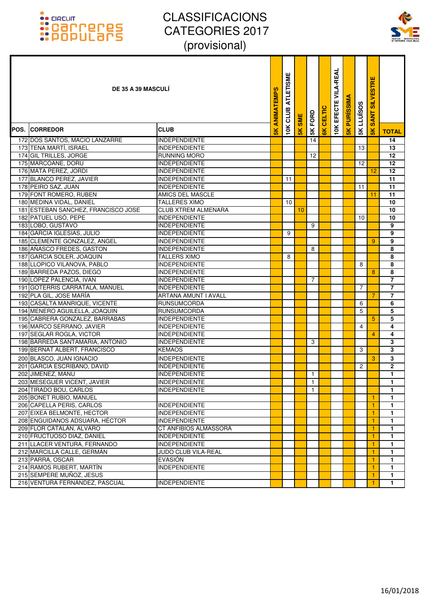

| <b>DE 35 A 39 MASCULI</b>                                  |                                               | <b>ANIMATEMPS</b> | <b>ATLETISME</b><br>CLUB | <b>SME</b>    |                | CELTIC        | <b>10K EFECTE VILA-REAL</b> | <b>PURISSIMA</b> | <b>LLUISOS</b> | <b>SANT SILVESTRE</b> |                   |
|------------------------------------------------------------|-----------------------------------------------|-------------------|--------------------------|---------------|----------------|---------------|-----------------------------|------------------|----------------|-----------------------|-------------------|
| <b>POS. ICORREDOR</b>                                      | <b>CLUB</b>                                   | $\frac{8}{10}$    | 10K                      | $\frac{8}{5}$ | 5K FORD        | $\frac{1}{6}$ |                             | $\frac{1}{5}$    | 5K             | $\frac{8}{5}$         | <b>TOTAL</b>      |
| 172 DOS SANTOS, MACIO LANZARRE                             | <b>INDEPENDIENTE</b>                          |                   |                          |               | 14             |               |                             |                  |                |                       | 14                |
| 173 TENA MARTÍ, ISRAEL                                     | <b>INDEPENDIENTE</b>                          |                   |                          |               |                |               |                             |                  | 13             |                       | 13                |
| 174 GIL TRILLES, JORGE                                     | <b>RUNNING MORO</b>                           |                   |                          |               | 12             |               |                             |                  |                |                       | 12                |
| 175 MARCOANE, DORU                                         | <b>INDEPENDIENTE</b>                          |                   |                          |               |                |               |                             |                  | 12             |                       | 12                |
| 176 MATA PEREZ, JORDI                                      | <b>INDEPENDIENTE</b>                          |                   |                          |               |                |               |                             |                  |                | 12                    | 12                |
| 177 BLANCO PEREZ, JAVIER                                   | <b>INDEPENDIENTE</b>                          |                   | 11                       |               |                |               |                             |                  |                |                       | 11                |
| 178 PEIRO SAZ, JUAN                                        | <b>INDEPENDIENTE</b>                          |                   |                          |               |                |               |                             |                  | 11             |                       | 11                |
| 179 FONT ROMERO, RUBEN                                     | AMICS DEL MASCLE                              |                   |                          |               |                |               |                             |                  |                | 11                    | $\overline{11}$   |
| 180 MEDINA VIDAL, DANIEL                                   | <b>TALLERES XIMO</b>                          |                   | 10                       |               |                |               |                             |                  |                |                       | 10                |
| 181 ESTEBAN SANCHEZ, FRANCISCO JOSE                        | <b>CLUB XTREM ALMENARA</b>                    |                   |                          | 10            |                |               |                             |                  |                |                       | 10                |
| 182 PATUEL USÓ, PEPE                                       | <b>INDEPENDIENTE</b>                          |                   |                          |               | 9              |               |                             |                  | 10             |                       | 10<br>9           |
| 183 LOBO, GUSTAVO<br>184 GARCIA IGLESIAS, JULIO            | <b>INDEPENDIENTE</b><br><b>INDEPENDIENTE</b>  |                   | 9                        |               |                |               |                             |                  |                |                       | 9                 |
| 185 CLEMENTE GONZALEZ, ANGEL                               | <b>INDEPENDIENTE</b>                          |                   |                          |               |                |               |                             |                  |                | 9                     | 9                 |
| 186 AÑASCO FREDES, GASTON                                  | <b>INDEPENDIENTE</b>                          |                   |                          |               | 8              |               |                             |                  |                |                       | 8                 |
| 187 GARCIA SOLER, JOAQUIN                                  | TALLERS XIMO                                  |                   | 8                        |               |                |               |                             |                  |                |                       | 8                 |
| 188 LLOPICO VILANOVA, PABLO                                | <b>INDEPENDIENTE</b>                          |                   |                          |               |                |               |                             |                  | 8              |                       | 8                 |
| 189 BARREDA PAZOS, DIEGO                                   | <b>INDEPENDIENTE</b>                          |                   |                          |               |                |               |                             |                  |                | 8                     | 8                 |
| 190 LOPEZ PALENCIA, IVAN                                   | <b>INDEPENDIENTE</b>                          |                   |                          |               | 7              |               |                             |                  |                |                       | $\overline{7}$    |
| 191 GOTERRIS CARRATALA, MANUEL                             | <b>INDEPENDIENTE</b>                          |                   |                          |               |                |               |                             |                  | 7              |                       | $\overline{7}$    |
| 192 PLA GIL, JOSE MARÍA                                    | ARTANA AMUNT I AVALL                          |                   |                          |               |                |               |                             |                  |                | 7                     | $\overline{7}$    |
| 193 CASALTA MANRIQUE, VICENTE                              | <b>RUNSUMCORDA</b>                            |                   |                          |               |                |               |                             |                  | 6              |                       | 6                 |
| 194 MENERO AGUILELLA, JOAQUIN                              | <b>RUNSUMCORDA</b>                            |                   |                          |               |                |               |                             |                  | 5              |                       | 5                 |
| 195 CABRERA GONZALEZ, BARRABAS                             | <b>INDEPENDIENTE</b>                          |                   |                          |               |                |               |                             |                  |                | 5                     | 5                 |
| 196 MARCO SERRANO, JAVIER                                  | <b>INDEPENDIENTE</b>                          |                   |                          |               |                |               |                             |                  | 4              |                       | 4                 |
| 197 SEGLAR ROGLA, VICTOR                                   | <b>INDEPENDIENTE</b>                          |                   |                          |               |                |               |                             |                  |                | $\overline{4}$        | 4                 |
| 198 BARREDA SANTAMARIA, ANTONIO                            | <b>INDEPENDIENTE</b>                          |                   |                          |               | 3              |               |                             |                  |                |                       | 3                 |
| 199 BERNAT ALBERT, FRANCISCO                               | <b>KEMAOS</b>                                 |                   |                          |               |                |               |                             |                  | 3              |                       | 3                 |
| 200 BLASCO, JUAN IGNACIO                                   | <b>INDEPENDIENTE</b>                          |                   |                          |               |                |               |                             |                  |                | 3                     | 3                 |
| 201 GARCIA ESCRIBANO, DAVID                                | <b>INDEPENDIENTE</b>                          |                   |                          |               |                |               |                             |                  | 2              |                       | $\overline{2}$    |
| 202 JIMENEZ, MANU                                          | <b>INDEPENDIENTE</b>                          |                   |                          |               | $\mathbf{1}$   |               |                             |                  |                |                       | $\mathbf{1}$      |
| 203 MESEGUER VICENT, JAVIER                                | <b>INDEPENDIENTE</b>                          |                   |                          |               | $\overline{1}$ |               |                             |                  |                |                       | $\overline{1}$    |
| 204 TIRADO BOU, CARLOS                                     | <b>INDEPENDIENTE</b>                          |                   |                          |               | $\mathbf{1}$   |               |                             |                  |                |                       | $\mathbf{1}$      |
| 205 BONET RUBIO, MANUEL                                    |                                               |                   |                          |               |                |               |                             |                  |                | $\mathbf{1}$          | 1.                |
| 206 CAPELLA PERIS, CARLOS                                  | <b>INDEPENDIENTE</b>                          |                   |                          |               |                |               |                             |                  |                | $\overline{1}$        | 1                 |
| 207 EIXEA BELMONTE, HECTOR                                 | <b>INDEPENDIENTE</b>                          |                   |                          |               |                |               |                             |                  |                | -1                    | 1                 |
| 208 ENGUIDANOS ADSUARA, HÉCTOR<br>209 FLOR CATALÁN, ALVARO | <b>INDEPENDIENTE</b><br>CT ANFIBIOS ALMASSORA |                   |                          |               |                |               |                             |                  |                | $\overline{1}$<br>1   | $\mathbf{1}$<br>1 |
| 210 FRUCTUOSO DIAZ, DANIEL                                 | <b>INDEPENDIENTE</b>                          |                   |                          |               |                |               |                             |                  |                | 1                     | $\mathbf{1}$      |
| 211 LLACER VENTURA, FERNANDO                               | <b>INDEPENDIENTE</b>                          |                   |                          |               |                |               |                             |                  |                | 1                     | 1                 |
| 212 MARCILLA CALLE, GERMÁN                                 | JUDO CLUB VILA-REAL                           |                   |                          |               |                |               |                             |                  |                | 1                     | 1                 |
| 213 PARRA, OSCAR                                           | <b>EVASIÓN</b>                                |                   |                          |               |                |               |                             |                  |                | 1                     | $\mathbf{1}$      |
| 214 RAMOS RUBERT, MARTÍN                                   | <b>INDEPENDIENTE</b>                          |                   |                          |               |                |               |                             |                  |                | $\overline{1}$        | $\mathbf{1}$      |
| 215 SEMPERE MUÑOZ, JESUS                                   |                                               |                   |                          |               |                |               |                             |                  |                | -1                    | 1                 |
| 216 VENTURA FERNÁNDEZ, PASCUAL                             | <b>INDEPENDIENTE</b>                          |                   |                          |               |                |               |                             |                  |                | -1                    | 1.                |
|                                                            |                                               |                   |                          |               |                |               |                             |                  |                |                       |                   |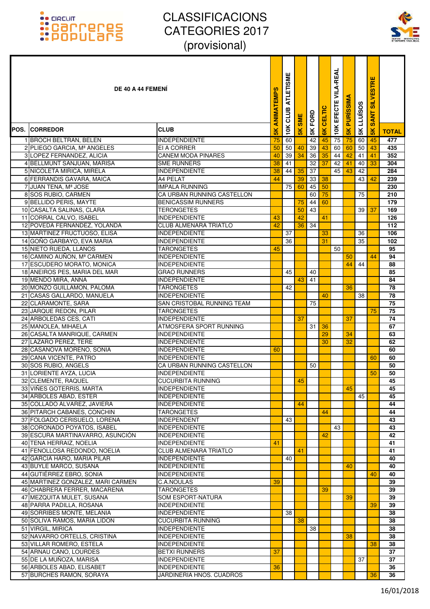

| DE 40 A 44 FEMENI                                       |                                                      | ANIMATEMPS | <b>ATLETISME</b><br>CLUB | <b>SME</b>     | FORD          | <b>CELTIC</b>  | <b>VILA-REAL</b><br>EFECTE | <b>PURISSIM</b> | LLUÏSOS | <b>SILVESTRE</b><br>Ę<br>$\overline{\mathbf{s}}$ |              |
|---------------------------------------------------------|------------------------------------------------------|------------|--------------------------|----------------|---------------|----------------|----------------------------|-----------------|---------|--------------------------------------------------|--------------|
| <b>POS. ICORREDOR</b>                                   | <b>CLUB</b>                                          | 5K         | 10K                      | $\frac{8}{10}$ | $\frac{1}{2}$ | $\frac{8}{10}$ | 10K                        | $\frac{1}{5}$   | $5K$    | $\frac{1}{5}$                                    | <b>TOTAL</b> |
| 1 BROCH BELTRAN, BELEN                                  | <b>INDEPENDIENTE</b>                                 | 75         | 60                       |                | 42            | 45             | 75                         | 75              | 60      | 45                                               | 477          |
| 2 PLIEGO GARCIA, Mª ANGELES                             | EI A CORRER                                          | 50         | 50                       | 40             | 39            | 43             | 60                         | 60              | 50      | 43                                               | 435          |
| 3 LOPEZ FERNANDEZ, ALICIA                               | <b>CANEM MODA PINARES</b>                            | 40         | 39                       | 34             | 36            | 35             | 44                         | 42              | 41      | 41                                               | 352          |
| 4 BELLMUNT SANJUAN, MARISA                              | <b>SME RUNNERS</b>                                   | 38         | 41                       |                | 32            | 37             | 42                         | 41              | 40      | 33                                               | 304          |
| 5 NICOLETA MIRICA, MIRELA                               | <b>INDEPENDIENTE</b>                                 | 38         | 44                       | 35             | 37            |                | 45                         | 43              | 42      |                                                  | 284          |
| 6 FERRANDIS GAVARA, MAICA                               | A4 PELAT                                             | 44         |                          | 39             | 33            | 38             |                            |                 | 43      | 42                                               | 239          |
| 7 JUAN TENA, Mª JOSE                                    | <b>IMPALA RUNNING</b>                                |            | 75                       | 60             | 45            | 50             |                            |                 |         |                                                  | 230          |
| 8 SOS RUBIO, CARMEN                                     | CA URBAN RUNNING CASTELLON                           |            |                          |                | 60            | 75             |                            |                 | 75      |                                                  | 210          |
| 9 BELLIDO PERIS, MAYTE                                  | <b>BENICASSIM RUNNERS</b>                            |            |                          | 75             | 44            | 60             |                            |                 |         |                                                  | 179          |
| 10 CASALTA SALINAS, CLARA                               | <b>TERONGETES</b>                                    |            |                          | 50             | 43            |                |                            |                 | 39      | 37                                               | 169          |
| 11 CORRAL CALVO, ISABEL<br>12 POVEDA FERNANDEZ, YOLANDA | <b>INDEPENDIENTE</b><br><b>CLUB ALMENARA TRIATLO</b> | 43<br>42   |                          | 42<br>36       | 34            | 41             |                            |                 |         |                                                  | 126<br>112   |
| 13 MARTINEZ FRUCTUOSO, ELISA                            | <b>INDEPENDIENTE</b>                                 |            | 37                       |                |               | 33             |                            |                 | 36      |                                                  | 106          |
| 14 GOÑO GARBAYO, EVA MARIA                              | <b>INDEPENDIENTE</b>                                 |            | 36                       |                |               | 31             |                            |                 | 35      |                                                  | 102          |
| 15 NIETO RUEDA, LLANOS                                  | TARONGETES                                           | 45         |                          |                |               |                | 50                         |                 |         |                                                  | 95           |
| 16 CAMINO AUÑON, Mª CARMEN                              | <b>INDEPENDIENTE</b>                                 |            |                          |                |               |                |                            | 50              |         | 44                                               | 94           |
| 17 ESCUDERO MORATO, MONICA                              | <b>INDEPENDIENTE</b>                                 |            |                          |                |               |                |                            | 44              | 44      |                                                  | 88           |
| 18 ANEIROS PES, MARIA DEL MAR                           | <b>GRAO RUNNERS</b>                                  |            | 45                       |                | 40            |                |                            |                 |         |                                                  | 85           |
| 19 MENDO MIRA, ANNA                                     | <b>INDEPENDIENTE</b>                                 |            |                          | 43             | 41            |                |                            |                 |         |                                                  | 84           |
| 20 MONZO GUILLAMON, PALOMA                              | TARONGETES                                           |            | 42                       |                |               |                |                            | 36              |         |                                                  | 78           |
| 21 CASAS GALLARDO, MANUELA                              | <b>INDEPENDIENTE</b>                                 |            |                          |                |               | 40             |                            |                 | 38      |                                                  | 78           |
| 22 CLARAMONTE, SARA                                     | <b>SAN CRISTOBAL RUNNING TEAM</b>                    |            |                          |                | 75            |                |                            |                 |         |                                                  | 75           |
| 23 JARQUE REDON, PILAR                                  | TARONGETES                                           |            |                          |                |               |                |                            |                 |         | 75                                               | 75           |
| 24 ARBOLEDAS CES, CATI                                  | <b>INDEPENDIENTE</b>                                 |            |                          | 37             |               |                |                            | 37              |         |                                                  | 74           |
| 25 MANOLEA, MIHAELA                                     | ATMOSFERA SPORT RUNNING                              |            |                          |                | 31            | 36             |                            |                 |         |                                                  | 67           |
| 26 CASALTA MANRIQUE, CARMEN                             | <b>INDEPENDIENTE</b>                                 |            |                          |                |               | 29             |                            | 34              |         |                                                  | 63           |
| 27 LAZARO PEREZ, TERE                                   | <b>INDEPENDIENTE</b>                                 |            |                          |                |               | 30             |                            | 32              |         |                                                  | 62           |
| 28 CASANOVA MORENO, SONIA                               | <b>INDEPENDIENTE</b>                                 | 60         |                          |                |               |                |                            |                 |         |                                                  | 60           |
| 29 CANA VICENTE, PATRO                                  | <b>INDEPENDIENTE</b>                                 |            |                          |                |               |                |                            |                 |         | 60                                               | 60           |
| 30 SOS RUBIO, ANGELS                                    | CA URBAN RUNNING CASTELLON                           |            |                          |                | 50            |                |                            |                 |         |                                                  | 50           |
| 31 LORIENTE AYZA, LUCIA<br>32 CLEMENTE, RAQUEL          | <b>INDEPENDIENTE</b><br><b>CUCURBITA RUNNING</b>     |            |                          | 45             |               |                |                            |                 |         | 50                                               | 50<br>45     |
| 33 VIÑES GOTERRIS, MARTA                                | <b>INDEPENDIENTE</b>                                 |            |                          |                |               |                |                            | 45              |         |                                                  | 45           |
| 34 ARBOLES ABAD, ESTER                                  | <b>INDEPENDIENTE</b>                                 |            |                          |                |               |                |                            |                 | 45      |                                                  | 45           |
| 35 COLLADO ÁLVAREZ, JAVIERA                             | <b>INDEPENDIENTE</b>                                 |            |                          | 44             |               |                |                            |                 |         |                                                  | 44           |
| 36 PITARCH CABANES, CONCHIN                             | TARONGETES                                           |            |                          |                |               | 44             |                            |                 |         |                                                  | 44           |
| 37 FOLGADO CERISUELO, LORENA                            | <b>INDEPENDENT</b>                                   |            | 43                       |                |               |                |                            |                 |         |                                                  | 43           |
| 38 CORONADO POYATOS, ISABEL                             | <b>INDEPENDIENTE</b>                                 |            |                          |                |               |                | 43                         |                 |         |                                                  | 43           |
| 39 ESCURA MARTINAVARRO, ASUNCIÓN                        | <b>INDEPENDIENTE</b>                                 |            |                          |                |               | 42             |                            |                 |         |                                                  | 42           |
| 40 TENA HERRAIZ, NOELIA                                 | <b>INDEPENDIENTE</b>                                 | 41         |                          |                |               |                |                            |                 |         |                                                  | 41           |
| 41 FENOLLOSA REDONDO, NOELIA                            | CLUB ALMENARA TRIATLO                                |            |                          | 41             |               |                |                            |                 |         |                                                  | 41           |
| 42 GARCIA HARO, MARIA PILAR                             | <b>INDEPENDIENTE</b>                                 |            | 40                       |                |               |                |                            |                 |         |                                                  | 40           |
| 43 BUYLE MARCO, SUSANA                                  | <b>INDEPENDIENTE</b>                                 |            |                          |                |               |                |                            | 40              |         |                                                  | 40           |
| 44 GUTIÉRREZ EBRO, SONIA                                | <b>INDEPENDIENTE</b>                                 |            |                          |                |               |                |                            |                 |         | 40                                               | 40           |
| 45 MARTINEZ GONZALEZ, MARI CARMEN                       | <b>C.A.NOULAS</b>                                    | 39         |                          |                |               |                |                            |                 |         |                                                  | 39           |
| 46 CHABRERA FERRER, MACARENA                            | <b>TARONGETES</b>                                    |            |                          |                |               | 39             |                            |                 |         |                                                  | 39           |
| 47 MEZQUITA MULET, SUSANA<br>48 PARRA PADILLA, ROSANA   | SOM ESPORT-NATURA<br><b>INDEPENDIENTE</b>            |            |                          |                |               |                |                            | 39              |         | 39                                               | 39<br>39     |
| 49 SORRIBES MONTE, MELANIA                              | <b>INDEPENDIENTE</b>                                 |            | 38                       |                |               |                |                            |                 |         |                                                  | 38           |
| 50 SOLIVA RAMOS, MARIA LIDON                            | <b>CUCURBITA RUNNING</b>                             |            |                          | 38             |               |                |                            |                 |         |                                                  | 38           |
| 51 VIRGIL, MIRICA                                       | <b>INDEPENDIENTE</b>                                 |            |                          |                | 38            |                |                            |                 |         |                                                  | 38           |
| 52 NAVARRO ORTELLS, CRISTINA                            | <b>INDEPENDIENTE</b>                                 |            |                          |                |               |                |                            | 38              |         |                                                  | 38           |
| 53 VILLAR ROMERO, ESTELA                                | <b>INDEPENDIENTE</b>                                 |            |                          |                |               |                |                            |                 |         | 38                                               | 38           |
| 54 ARNAU CANO, LOURDES                                  | <b>BETXI RUNNERS</b>                                 | 37         |                          |                |               |                |                            |                 |         |                                                  | 37           |
| 55 DE LA MUÑOZA, MARISA                                 | <b>INDEPENDIENTE</b>                                 |            |                          |                |               |                |                            |                 | 37      |                                                  | 37           |
| 56 ARBOLES ABAD, ELISABET                               | <b>INDEPENDIENTE</b>                                 | 36         |                          |                |               |                |                            |                 |         |                                                  | 36           |
| 57 BURCHES RAMON, SORAYA                                | JARDINERIA HNOS. CUADROS                             |            |                          |                |               |                |                            |                 |         | 36                                               | 36           |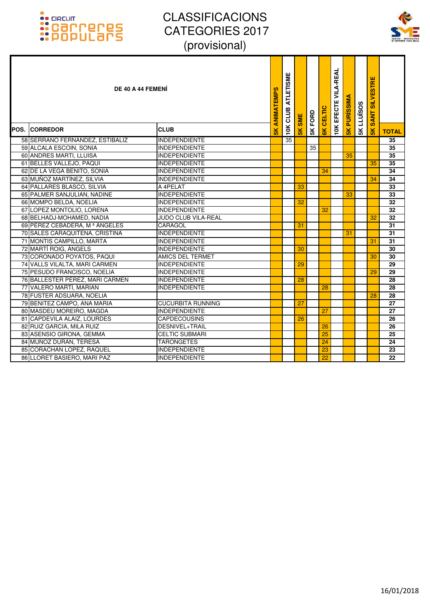

| DE 40 A 44 FEMENÍ<br><b>POS. CORREDOR</b> | <b>CLUB</b>                | ANIMATEMPS<br>5K | <b>ATLETISME</b><br>CLUB<br>10K | SME<br>$\frac{1}{2}$ | 5K FORD | CELTIC<br>$\frac{1}{2}$ | <b>10K EFECTE VILA-REAL</b> | <b>PURISSIMA</b><br>$\frac{1}{5}$ | <b>SKLLUISOS</b> | <b>SILVESTRE</b><br><b>SANT</b><br>$\frac{1}{10}$ | <b>TOTAL</b>    |
|-------------------------------------------|----------------------------|------------------|---------------------------------|----------------------|---------|-------------------------|-----------------------------|-----------------------------------|------------------|---------------------------------------------------|-----------------|
| 58 SERRANO FERNANDEZ, ESTIBALIZ           | <b>INDEPENDIENTE</b>       |                  | 35                              |                      |         |                         |                             |                                   |                  |                                                   | $\overline{35}$ |
| 59 ALCALA ESCOIN, SONIA                   | <b>INDEPENDIENTE</b>       |                  |                                 |                      | 35      |                         |                             |                                   |                  |                                                   | 35              |
| 60 ANDRES MARTI, LLUISA                   | <b>INDEPENDIENTE</b>       |                  |                                 |                      |         |                         |                             | 35                                |                  |                                                   | 35              |
| 61 BELLES VALLEJO, PAQUI                  | <b>INDEPENDIENTE</b>       |                  |                                 |                      |         |                         |                             |                                   |                  | 35                                                | 35              |
| 62 DE LA VEGA BENITO, SONIA               | <b>INDEPENDIENTE</b>       |                  |                                 |                      |         | 34                      |                             |                                   |                  |                                                   | 34              |
| 63 MUÑOZ MARTÍNEZ, SILVIA                 | <b>INDEPENDIENTE</b>       |                  |                                 |                      |         |                         |                             |                                   |                  | 34                                                | 34              |
| 64 PALLARES BLASCO, SILVIA                | A 4PELAT                   |                  |                                 | 33                   |         |                         |                             |                                   |                  |                                                   | 33              |
| 65 PALMER SANJULIAN, NADINE               | <b>INDEPENDIENTE</b>       |                  |                                 |                      |         |                         |                             | 33                                |                  |                                                   | 33              |
| 66 MOMPO BELDA, NOELIA                    | <b>INDEPENDIENTE</b>       |                  |                                 | 32                   |         |                         |                             |                                   |                  |                                                   | 32              |
| 67 LOPEZ MONTOLIO, LORENA                 | <b>INDEPENDIENTE</b>       |                  |                                 |                      |         | 32                      |                             |                                   |                  |                                                   | 32              |
| 68 BELHADJ-MOHAMED, NADIA                 | <b>JUDO CLUB VILA-REAL</b> |                  |                                 |                      |         |                         |                             |                                   |                  | 32                                                | 32              |
| 69 PÉREZ CEBADERA, Mª ÁNGELES             | CARAGOL                    |                  |                                 | 31                   |         |                         |                             |                                   |                  |                                                   | 31              |
| 70 SALES CARAQUITENA, CRISTINA            | <b>INDEPENDIENTE</b>       |                  |                                 |                      |         |                         |                             | 31                                |                  |                                                   | 31              |
| 71 MONTIS CAMPILLO, MARTA                 | <b>INDEPENDIENTE</b>       |                  |                                 |                      |         |                         |                             |                                   |                  | 31                                                | 31              |
| 72 MARTÍ ROIG, ÀNGELS                     | <b>INDEPENDIENTE</b>       |                  |                                 | 30                   |         |                         |                             |                                   |                  |                                                   | 30              |
| 73 CORONADO POYATOS, PAQUI                | <b>AMICS DEL TERMET</b>    |                  |                                 |                      |         |                         |                             |                                   |                  | 30                                                | 30              |
| 74 VALLS VILALTA, MARI CARMEN             | <b>INDEPENDIENTE</b>       |                  |                                 | 29                   |         |                         |                             |                                   |                  |                                                   | 29              |
| 75 PESUDO FRANCISCO, NOELIA               | <b>INDEPENDIENTE</b>       |                  |                                 |                      |         |                         |                             |                                   |                  | 29                                                | 29              |
| 76 BALLESTER PÉREZ, MARI CARMEN           | <b>INDEPENDIENTE</b>       |                  |                                 | 28                   |         |                         |                             |                                   |                  |                                                   | 28              |
| 77 VALERO MARTÍ, MARIAN                   | <b>INDEPENDIENTE</b>       |                  |                                 |                      |         | 28                      |                             |                                   |                  |                                                   | 28              |
| 78 FUSTER ADSUARA, NOELIA                 |                            |                  |                                 |                      |         |                         |                             |                                   |                  | 28                                                | 28              |
| 79 BENITEZ CAMPO, ANA MARIA               | <b>CUCURBITA RUNNING</b>   |                  |                                 | 27                   |         |                         |                             |                                   |                  |                                                   | $\overline{27}$ |
| 80 MASDEU MOREIRO, MAGDA                  | <b>INDEPENDIENTE</b>       |                  |                                 |                      |         | 27                      |                             |                                   |                  |                                                   | 27              |
| 81 CAPDEVILA ALAIZ, LOURDES               | <b>CAPDECOUSINS</b>        |                  |                                 | 26                   |         |                         |                             |                                   |                  |                                                   | 26              |
| 82 RUIZ GARCIA, MILA RUIZ                 | DESNIVEL+TRAIL             |                  |                                 |                      |         | 26                      |                             |                                   |                  |                                                   | 26              |
| 83 ASENSIO GIRONA, GEMMA                  | <b>CELTIC SUBMARI</b>      |                  |                                 |                      |         | 25                      |                             |                                   |                  |                                                   | 25              |
| 84 MUÑOZ DURAN, TERESA                    | <b>TARONGETES</b>          |                  |                                 |                      |         | 24                      |                             |                                   |                  |                                                   | 24              |
| 85 CORACHAN LOPEZ, RAQUEL                 | <b>INDEPENDIENTE</b>       |                  |                                 |                      |         | 23                      |                             |                                   |                  |                                                   | 23              |
| 86 LLORET BASIERO, MARI PAZ               | <b>INDEPENDIENTE</b>       |                  |                                 |                      |         | $\overline{22}$         |                             |                                   |                  |                                                   | 22              |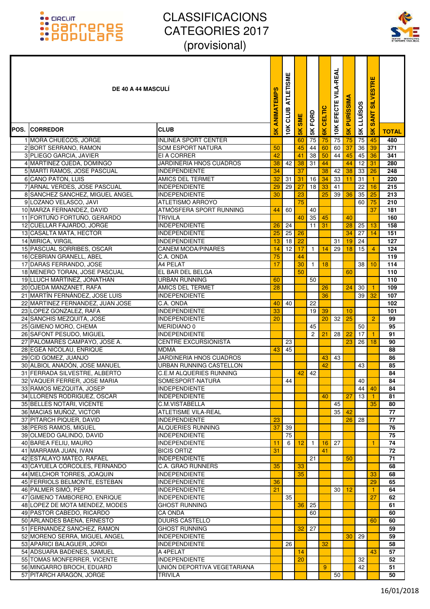

| <b>DE 40 A 44 MASCULI</b>                                   |                                                 | ANIMATEMPS     | <b>ATLETISME</b><br>CLUB | <b>SME</b>      | 5K FORD      | CELTIC        | <b>VILA-REAL</b><br>EFECTE | <b>PURISSIM</b> | <b>LLUÏSOS</b> | <b>SILVESTRE</b><br><b>SANT</b> |              |
|-------------------------------------------------------------|-------------------------------------------------|----------------|--------------------------|-----------------|--------------|---------------|----------------------------|-----------------|----------------|---------------------------------|--------------|
| POS. ICORREDOR                                              | <b>CLUB</b>                                     | $\frac{8}{10}$ | 10K                      | $\frac{1}{5}$   |              | $\frac{1}{6}$ | <b>10K</b>                 | $\frac{1}{2}$   | 5K             | $\frac{1}{5}$                   | <b>TOTAL</b> |
| 1 MORA CHUECOS, JORGE                                       | <b>INLINEA SPORT CENTER</b>                     |                |                          | 60              | 75           | 75            | 75                         | 75              | 75             | 45                              | 480          |
| 2 BORT SERRANO, RAMON                                       | <b>SOM ESPORT NATURA</b>                        | 50             |                          | 45              | 44           | 60            | 60                         | 37              | 36             | 39                              | 371          |
| 3 PLIEGO GARCIA, JAVIER                                     | EI A CORRER                                     | 42             |                          | 41              | 38           | 50            | 44                         | 45              | 45             | 36                              | 341          |
| 4 MARTINEZ OJEDA, DOMINGO                                   | JARDINERIA HNOS CUADROS                         | 38             | 42                       | 38              | 31           | 44            |                            | 44              | 12             | 31                              | 280          |
| 5 MARTI RAMOS, JOSE PASCUAL                                 | <b>INDEPENDIENTE</b>                            | 34             |                          | 37              |              | 38            | 42                         | 38              | 33             | 26                              | 248          |
| 6 CANO PATON, LUIS                                          | AMICS DEL TERMET                                | 32             | 31                       | 31              | 16           | 34            | 33                         | 11              | 31             |                                 | 220          |
| 7 ARNAL VERDES, JOSE PASCUAL                                | <b>INDEPENDIENTE</b>                            | 29             | 29                       | $\overline{27}$ | 18           | 33            | 41                         |                 | 22             | 16                              | 215          |
| 8 SANCHEZ SANCHEZ, MIGUEL ANGEL<br>9 LOZANO VELASCO, JAVI   | <b>INDEPENDIENTE</b><br><b>ATLETISMO ARROYO</b> | 30             |                          | 23<br>75        |              | 25            | 39                         | 36              | 35<br>60       | 25<br>75                        | 213<br>210   |
| 10 MARZA FERNANDEZ, DAVID                                   | ATMÓSFERA SPORT RUNNING                         | 44             | 60                       |                 | 40           |               |                            |                 |                | $\overline{37}$                 | 181          |
| 11 FORTUÑO FORTUÑO, GERARDO                                 | <b>TRIVILA</b>                                  |                |                          | 40              | 35           | 45            |                            | 40              |                |                                 | 160          |
| 12 CUELLAR FAJARDO, JORGE                                   | <b>INDEPENDIENTE</b>                            | 26             | 24                       |                 | 11           | 31            |                            | 28              | 25             | 13                              | 158          |
| 13 CASALTA MATA, HECTOR                                     | <b>INDEPENDIENTE</b>                            | 25             | 25                       | 26              |              |               |                            | 34              | 27             | 14                              | 151          |
| 14 MIRICA, VIRGIL                                           | <b>INDEPENDIENTE</b>                            | 13             | 18                       | 22              |              |               | 31                         | 19              | 24             |                                 | 127          |
| 15 PASCUAL SORRIBES, OSCAR                                  | <b>CANEM MODA/PINARES</b>                       | 14             | 12                       | 17              | $\mathbf{1}$ | 14            | 29                         | 18              | 15             | 4                               | 124          |
| 16 CEBRIAN GRANELL, ABEL                                    | C.A. ONDA                                       | 75             |                          | 44              |              |               |                            |                 |                |                                 | 119          |
| 17 DARAS FERRANDO, JOSE                                     | A4 PELAT                                        | 17             |                          | 30              | $\mathbf{1}$ | 18            |                            |                 | 38             | 10                              | 114          |
| 18 MENERO TORAN, JOSE PASCUAL                               | EL BAR DEL BELGA                                |                |                          | 50              |              |               |                            | 60              |                |                                 | 110          |
| 19 LLUCH MARTINEZ, JONATHAN                                 | <b>URBAN RUNNING</b>                            | 60             |                          |                 | 50           |               |                            |                 |                |                                 | 110          |
| 20 OJEDA MANZANET, RAFA<br>21 MARTÍN FERNÁNDEZ, JOSE LUIS   | AMICS DEL TERMET<br><b>INDEPENDIENTE</b>        | 28             |                          |                 |              | 26<br>36      |                            | 24              | 30<br>39       | 32                              | 109<br>107   |
| 22 MARTINEZ FERNANDEZ, JUAN JOSE                            | C.A. ONDA                                       | 40             | 40                       |                 | 22           |               |                            |                 |                |                                 | 102          |
| 23 LOPEZ GONZALEZ, RAFA                                     | <b>INDEPENDIENTE</b>                            | 33             |                          |                 | 19           | 39            |                            | 10              |                |                                 | 101          |
| 24 SANCHIS MEZQUITA, JOSE                                   | <b>INDEPENDIENTE</b>                            | 20             |                          |                 |              | 20            | 32                         | 25              |                | $\overline{2}$                  | 99           |
| 25 GIMENO MORO, CHEMA                                       | <b>MERIDIANO 0</b>                              |                |                          |                 | 45           |               |                            |                 | 50             |                                 | 95           |
| 26 SAFONT PESUDO, MIGUEL                                    | <b>INDEPENDIENTE</b>                            |                |                          |                 | 2            | 21            | 28                         | 22              | 17             |                                 | 91           |
| 27 PALOMARES CAMPAYO, JOSE A.                               | <b>CENTRE EXCURSIONISTA</b>                     |                | 23                       |                 |              |               |                            | 23              | 26             | 18                              | 90           |
| 28 EGEA NICOLAU, ENRIQUE                                    | <b>MDMA</b>                                     | 43             | 45                       |                 |              |               |                            |                 |                |                                 | 88           |
| 29 CID GOMEZ, JUANJO                                        | JARDINERIA HNOS CUADROS                         |                |                          |                 |              | 43            | 43                         |                 |                |                                 | 86           |
| 30 ALBIOL ANADÓN, JOSE MANUEL                               | URBAN RUNNING CASTELLON                         |                |                          |                 |              | 42            |                            |                 | 43             |                                 | 85           |
| 31 FERRADA SILVESTRE, ALBERTO                               | <b>C.E.M ALQUERIES RUNNING</b>                  |                | 44                       | 42              | 42           |               |                            |                 | 40             |                                 | 84<br>84     |
| 32 VAQUER FERRER. JOSE MARIA<br>33 RAMOS MEZQUITA, JOSEP    | SOMESPORT-NATURA<br><b>INDEPENDIENTE</b>        |                |                          |                 |              |               |                            |                 | 44             | 40                              | 84           |
| 34 LLORENS RODRIGUEZ, OSCAR                                 | <b>INDEPENDIENTE</b>                            |                |                          |                 |              | 40            |                            | 27              | 13             |                                 | 81           |
| 35 BELLES NOTARI, VICENTE                                   | C.M.VISTABELLA                                  |                |                          |                 |              |               | 45                         |                 |                | 35                              | 80           |
| 36 MACIAS MUÑOZ, VICTOR                                     | <b>ATLETISME VILA-REAL</b>                      |                |                          |                 |              |               | 35                         | 42              |                |                                 | 77           |
| 37 PITARCH PIQUER, DAVID                                    | <b>INDEPENDIENTE</b>                            | 23             |                          |                 |              |               |                            | 26              | 28             |                                 | 77           |
| 38 PERIS RAMOS, MIGUEL                                      | ALQUERIES RUNNING                               | 37             | 39                       |                 |              |               |                            |                 |                |                                 | 76           |
| 39 OLMEDO GALINDO, DAVID                                    | <b>INDEPENDIENTE</b>                            |                | 75                       |                 |              |               |                            |                 |                |                                 | 75           |
| 40 BAREA FELIU, MAURO                                       | <b>INDEPENDIENTE</b>                            | 11             | 6                        | 12              | $\mathbf{1}$ | 16            | 27                         |                 |                |                                 | 74           |
| 41 MARRAMA JUAN, IVAN                                       | <b>BICIS ORTIZ</b>                              | 31             |                          |                 |              | 41            |                            |                 |                |                                 | 72           |
| 42 ESTALAYO MATEO, RAFAEL                                   | <b>INDEPENDIENTE</b>                            |                |                          |                 | 21           |               |                            | 50              |                |                                 | 71           |
| 43 CAYUELA CÓRCOLES, FERNANDO                               | C.A. GRAO RUNNERS                               | 35             |                          | 33              |              |               |                            |                 |                |                                 | 68           |
| 44 MELCHOR TORRES, JOAQUIN<br>45 FERRIOLS BELMONTE, ESTEBAN | <b>INDEPENDIENTE</b><br><b>INDEPENDIENTE</b>    | 36             |                          | 35              |              |               |                            |                 |                | 33<br>29                        | 68<br>65     |
| 46 PALMER SIMÓ, PEP                                         | <b>INDEPENDIENTE</b>                            | 21             |                          |                 |              |               | 30                         | 12              |                | 1                               | 64           |
| 47 GIMENO TAMBORERO, ENRIQUE                                | <b>INDEPENDIENTE</b>                            |                | 35                       |                 |              |               |                            |                 |                | 27                              | 62           |
| 48 LOPEZ DE MOTA MENDEZ, MODES                              | <b>GHOST RUNNING</b>                            |                |                          | 36              | 25           |               |                            |                 |                |                                 | 61           |
| 49 PASTOR CABEDO, RICARDO                                   | CA ONDA                                         |                |                          |                 | 60           |               |                            |                 |                |                                 | 60           |
| 50 ARLANDES BAENA, ERNESTO                                  | <b>DUURS CASTELLO</b>                           |                |                          |                 |              |               |                            |                 |                | 60                              | 60           |
| 51 FERNANDEZ SANCHEZ, RAMON                                 | <b>GHOST RUNNING</b>                            |                |                          | 32              | 27           |               |                            |                 |                |                                 | 59           |
| 52 MORENO SERRA, MIGUEL ANGEL                               | <b>INDEPENDIENTE</b>                            |                |                          |                 |              |               |                            | 30              | 29             |                                 | 59           |
| 53 APARICI BALAGUER, JORDI                                  | <b>INDEPENDIENTE</b>                            |                | 26                       |                 |              | 32            |                            |                 |                |                                 | 58           |
| 54 ADSUARA BADENES, SAMUEL                                  | A 4PELAT                                        |                |                          | 14              |              |               |                            |                 |                | 43                              | 57           |
| 55 TOMAS MONFERRER, VICENTE                                 | <b>INDEPENDIENTE</b>                            |                |                          | 20              |              |               |                            |                 | 32             |                                 | 52           |
| 56 MINGARRO BROCH, EDUARD                                   | UNION DEPORTIVA VEGETARIANA                     |                |                          |                 |              | 9             |                            |                 | 42             |                                 | 51           |
| 57 PITARCH ARAGÓN, JORGE                                    | <b>TRIVILA</b>                                  |                |                          |                 |              |               | 50                         |                 |                |                                 | 50           |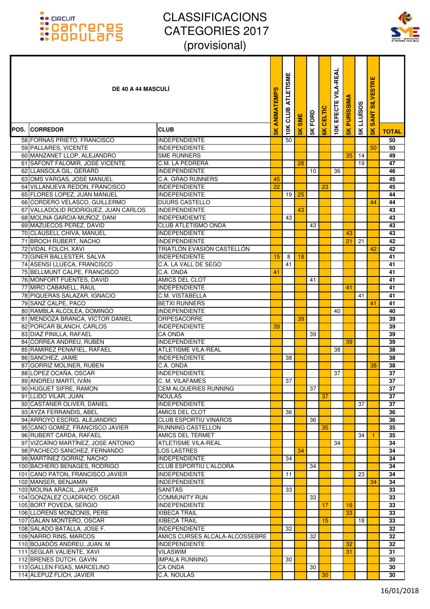

| <b>DE 40 A 44 MASCULI</b>                                    |                                                  | ANIMATEMPS    | <b>ATLETISME</b><br>CLUB | <b>SME</b>     | FORD | <b>CELTIC</b> | <b>VILA-REAL</b><br>EFECTE | <b>PURISSIM</b> | <b>LLUISOS</b> | <b>SILVESTRE</b><br><b>SANT</b> |              |
|--------------------------------------------------------------|--------------------------------------------------|---------------|--------------------------|----------------|------|---------------|----------------------------|-----------------|----------------|---------------------------------|--------------|
| POS. ICORREDOR                                               | <b>CLUB</b>                                      | $\frac{1}{2}$ | 10K                      | $\frac{8}{10}$ | 5K   |               | 10K                        | $\frac{1}{5}$   | 5K             | $\frac{1}{2}$                   | <b>TOTAL</b> |
| 58 FORNAS PRIETO, FRANCISCO                                  | <b>INDEPENDIENTE</b>                             |               | 50                       |                |      |               |                            |                 |                |                                 | 50           |
| 59 PALLARES, VICENTE                                         | <b>INDEPENDIENTE</b>                             |               |                          |                |      |               |                            |                 |                | 50                              | 50           |
| 60 MANZANET LLOP, ALEJANDRO                                  | <b>SME RUNNERS</b>                               |               |                          |                |      |               |                            | 35              | 14             |                                 | 49           |
| 61 SAFONT FALOMIR, JOSE VICENTE                              | C.M. LA PEDRERA                                  |               |                          | 28             |      |               |                            |                 | 19             |                                 | 47           |
| 62 LLANSOLA GIL, GERARD                                      | <b>INDEPENDIENTE</b>                             |               |                          |                | 10   |               | 36                         |                 |                |                                 | 46           |
| 63 OMS VARGAS, JOSE MANUEL<br>64 VILLANUEVA REDON, FRANCISCO | <b>C.A. GRAO RUNNERS</b><br><b>INDEPENDIENTE</b> | 45<br>22      |                          |                |      | 23            |                            |                 |                |                                 | 45<br>45     |
| 65 FLORES LOPEZ, JUAN MANUEL                                 | <b>INDEPENDIENTE</b>                             |               | 19                       | 25             |      |               |                            |                 |                |                                 | 44           |
| 66 CORDERO VELASCO, GUILLERMO                                | <b>DUURS CASTELLO</b>                            |               |                          |                |      |               |                            |                 |                | 44                              | 44           |
| 67 VALLADOLID RODRIGUEZ, JUAN CARLOS                         | <b>INDEPENDIENTE</b>                             |               |                          | 43             |      |               |                            |                 |                |                                 | 43           |
| 68 MOLINA GARCIA-MUÑOZ, DANI                                 | <b>INDEPEMDIEMTE</b>                             |               | 43                       |                |      |               |                            |                 |                |                                 | 43           |
| 69 MAZUECOS PEREZ, DAVID                                     | <b>CLUB ATLETISMO ONDA</b>                       |               |                          |                | 43   |               |                            |                 |                |                                 | 43           |
| 70 CLAUSELL CHIVA, MANUEL                                    | <b>INDEPENDIENTE</b>                             |               |                          |                |      |               |                            | 43              |                |                                 | 43           |
| 71 BROCH RUBERT, NACHO                                       | <b>INDEPENDIENTE</b>                             |               |                          |                |      |               |                            | 21              | 21             |                                 | 42           |
| 72 VIDAL FOLCH, XAVI                                         | TRIATLON EVASIÓN CASTELLÓN                       |               |                          |                |      |               |                            |                 |                | 42                              | 42           |
| 73 GINER BALLESTER, SALVA                                    | <b>INDEPENDIENTE</b>                             | 15            | 8                        | 18             |      |               |                            |                 |                |                                 | 41           |
| 74 ASENSI LLUECA, FRANCISCO                                  | C.A. LA VALL DE SEGO                             |               | 41                       |                |      |               |                            |                 |                |                                 | 41           |
| 75 BELLMUNT CALPE, FRANCISCO                                 | C.A. ONDA                                        | 41            |                          |                |      |               |                            |                 |                |                                 | 41           |
| 76 MONFORT FUENTES, DAVID                                    | AMICS DEL CLOT                                   |               |                          |                | 41   |               |                            |                 |                |                                 | 41           |
| 77 MIRO CABANELL, RAUL<br>78 PIQUERAS SALAZAR, IGNACIO       | <b>INDEPENDIENTE</b><br>C.M. VISTABELLA          |               |                          |                |      |               |                            | 41              | 41             |                                 | 41<br>41     |
| 79 SANZ CALPE, PACO                                          | <b>BETXI RUNNERS</b>                             |               |                          |                |      |               |                            |                 |                | 41                              | 41           |
| 80 RAMBLA ALCOLEA, DOMINGO                                   | <b>INDEPENDIENTE</b>                             |               |                          |                |      |               | 40                         |                 |                |                                 | 40           |
| 81 MENDOZA BRANCA, VICTOR DANIEL                             | <b>ORPESACORRE</b>                               |               |                          | 39             |      |               |                            |                 |                |                                 | 39           |
| 82 PORCAR BLANCH, CARLOS                                     | <b>INDEPENDIENTE</b>                             | 39            |                          |                |      |               |                            |                 |                |                                 | 39           |
| 83 DIAZ PINILLA, RAFAEL                                      | CA ONDA                                          |               |                          |                | 39   |               |                            |                 |                |                                 | 39           |
| 84 CORREA ANDREU, RUBEN                                      | <b>INDEPENDIENTE</b>                             |               |                          |                |      |               |                            | 39              |                |                                 | 39           |
| 85 RAMÍREZ PEÑAFIEL, RAFAEL                                  | ATLETISME VILA-REAL                              |               |                          |                |      |               | 38                         |                 |                |                                 | 38           |
| 86 SANCHEZ, JAIME                                            | <b>INDEPENDIENTE</b>                             |               | 38                       |                |      |               |                            |                 |                |                                 | 38           |
| 87 GORRIZ MOLINER, RUBEN                                     | C.A. ONDA                                        |               |                          |                |      |               |                            |                 |                | 38                              | 38           |
| 88 LÓPEZ OCAÑA, OSCAR                                        | <b>INDEPENDIENTE</b>                             |               |                          |                |      |               | 37                         |                 |                |                                 | 37           |
| 89 ANDREU MARTÍ, IVÁN                                        | C. M. VILAFAMES                                  |               | 37                       |                |      |               |                            |                 |                |                                 | 37           |
| 90 HUGUET SIFRE, RAMON                                       | <b>CEM ALQUERIES RUNNING</b>                     |               |                          |                | 37   |               |                            |                 |                |                                 | 37           |
| 91 LLIDO VILAR, JUAN<br>92 CASTAÑER OLIVER, DANIEL           | <b>NOULAS</b><br><b>INDEPENDIENTE</b>            |               |                          |                |      | 37            |                            |                 | 37             |                                 | 37<br>37     |
| 93 AYZA FERRANDIS, ABEL                                      | AMICS DEL CLOT                                   |               | 36                       |                |      |               |                            |                 |                |                                 | 36           |
| 94 ARROYO ESCRIG, ALEJANDRO                                  | <b>CLUB ESPORTIU VINAROS</b>                     |               |                          |                | 36   |               |                            |                 |                |                                 | 36           |
| 95 CANO GOMEZ, FRANCISCO JAVIER                              | <b>RUNNING CASTELLON</b>                         |               |                          |                |      | 35            |                            |                 |                |                                 | 35           |
| 96 RUBERT CARDA, RAFAEL                                      | AMICS DEL TERMET                                 |               |                          |                |      |               |                            |                 | 34             |                                 | 35           |
| 97 VIZCAÍNO MARTÍNEZ. JOSE ANTONIO                           | <b>ATLETISME VILA-REAL</b>                       |               |                          |                |      |               | 34                         |                 |                |                                 | 34           |
| 98 PACHECO SANCHEZ, FERNANDO                                 | <b>LOS LASTRES</b>                               |               |                          | 34             |      |               |                            |                 |                |                                 | 34           |
| 99 MARTÍNEZ GORRIZ, NACHO                                    | <b>INDEPENDIENTE</b>                             |               | 34                       |                |      |               |                            |                 |                |                                 | 34           |
| 100 BACHERO BENAGES, RODRIGO                                 | CLUB ESPORTIU L'ALCORA                           |               |                          |                | 34   |               |                            |                 |                |                                 | 34           |
| 101 CANO PATON, FRANCISCO JAVIER                             | <b>INDEPENDIENTE</b>                             |               | 11                       |                |      |               |                            |                 | 23             |                                 | 34           |
| 102 MANSER, BENJAMIN                                         | <b>INDEPENDIENTE</b>                             |               |                          |                |      |               |                            |                 |                | 34                              | 34           |
| 103 MOLINA ARACIL, JAVIER                                    | <b>SANITAS</b>                                   |               | 33                       |                |      |               |                            |                 |                |                                 | 33           |
| 104 GONZALEZ CUADRADO, OSCAR<br>105 BORT POVEDA, SERGIO      | <b>COMMUNITY RUN</b><br><b>INDEPENDIENTE</b>     |               |                          |                | 33   | 17            |                            | 16              |                |                                 | 33<br>33     |
| 106 LLORENS MONZONIS, PERE                                   | <b>XIBECA TRAIL</b>                              |               |                          |                |      |               |                            | 33              |                |                                 | 33           |
| 107 GALAN MONTERO, OSCAR                                     | <b>XIBECA TRAIL</b>                              |               |                          |                |      | 15            |                            |                 | 18             |                                 | 33           |
| 108 SALADO BATALLA, JOSE F.                                  | <b>INDEPENDIENTE</b>                             |               | 32                       |                |      |               |                            |                 |                |                                 | 32           |
| 109 NARRO RINS, MARCOS                                       | AMICS CURSES ALCALA-ALCOSSEBRE                   |               |                          |                | 32   |               |                            |                 |                |                                 | 32           |
| 110 BOJADÓS ANDREU, JUAN. M                                  | <b>INDEPENDIENTE</b>                             |               |                          |                |      |               |                            | 32              |                |                                 | 32           |
| 111 SEGLAR VALIENTE, XAVI                                    | <b>VILASWIM</b>                                  |               |                          |                |      |               |                            | 31              |                |                                 | 31           |
| 112 BRENES DUTCH, GAVIN                                      | <b>IMPALA RUNNING</b>                            |               | 30                       |                |      |               |                            |                 |                |                                 | 30           |
| 113 GALLEN FIGAS, MARCELINO                                  | <b>CA ONDA</b>                                   |               |                          |                | 30   |               |                            |                 |                |                                 | 30           |
| 114 ALEPUZ FLICH, JAVIER                                     | C.A. NOULAS                                      |               |                          |                |      | 30            |                            |                 |                |                                 | 30           |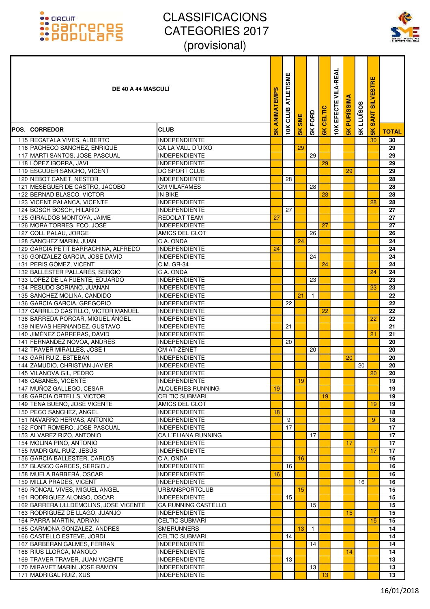

| <b>DE 40 A 44 MASCULI</b>                                               |                                             | ANIMATEMPS     | <b>ATLETISME</b><br>CLUB | <b>SME</b>      | FORD         | CELTIC        | EFECTE VILA-REAL | <b>PURISSIM</b> | LLUÏSOS | <b>SILVESTRE</b><br><b>SANT</b> |              |
|-------------------------------------------------------------------------|---------------------------------------------|----------------|--------------------------|-----------------|--------------|---------------|------------------|-----------------|---------|---------------------------------|--------------|
| <b>POS. ICORREDOR</b>                                                   | <b>CLUB</b>                                 | $\frac{8}{10}$ | 10K                      | $\frac{1}{5}$   | 5K           | $\frac{1}{6}$ | 10K              | $\frac{1}{5}$   | 5K      | $\frac{1}{2}$                   | <b>TOTAL</b> |
| 115 RECATALA VIVES, ALBERTO                                             | <b>INDEPENDIENTE</b>                        |                |                          |                 |              |               |                  |                 |         | 30                              | 30           |
| 116 PACHECO SANCHEZ, ENRIQUE                                            | CA LA VALL D'UIXO                           |                |                          | 29              |              |               |                  |                 |         |                                 | 29           |
| 117 MARTI SANTOS, JOSE PASCUAL                                          | <b>INDEPENDIENTE</b>                        |                |                          |                 | 29           |               |                  |                 |         |                                 | 29           |
| 118 LÓPEZ IBORRA, JAVI                                                  | <b>INDEPENDIENTE</b>                        |                |                          |                 |              | 29            |                  |                 |         |                                 | 29           |
| 119 ESCUDER SANCHO, VICENT                                              | DC SPORT CLUB                               |                |                          |                 |              |               |                  | 29              |         |                                 | 29           |
| 120 NEBOT CANET, NESTOR                                                 | <b>INDEPENDIENTE</b>                        |                | 28                       |                 |              |               |                  |                 |         |                                 | 28           |
| 121 MESEGUER DE CASTRO, JACOBO                                          | <b>CM VILAFAMES</b>                         |                |                          |                 | 28           |               |                  |                 |         |                                 | 28           |
| 122 BERNAD BLASCO, VICTOR                                               | IN BIKE                                     |                |                          |                 |              | 28            |                  |                 |         |                                 | 28           |
| 123 VICENT PALANCA, VICENTE                                             | <b>INDEPENDIENTE</b>                        |                |                          |                 |              |               |                  |                 |         | 28                              | 28           |
| 124 BOSCH BOSCH, HILARIO                                                | <b>INDEPENDIENTE</b>                        |                | 27                       |                 |              |               |                  |                 |         |                                 | 27           |
| 125 GIRALDÓS MONTOYA, JAIME                                             | REDOLAT TEAM                                | 27             |                          |                 |              |               |                  |                 |         |                                 | 27           |
| 126 MORA TORRES, FCO. JOSÉ                                              | <b>INDEPENDIENTE</b>                        |                |                          |                 |              | 27            |                  |                 |         |                                 | 27           |
| 127 COLL PALAU, JORGE                                                   | AMICS DEL CLOT                              |                |                          |                 | 26           |               |                  |                 |         |                                 | 26           |
| 128 SANCHEZ MARIN, JUAN                                                 | C.A. ONDA                                   |                |                          | 24              |              |               |                  |                 |         |                                 | 24           |
| 129 GARCIA PETIT BARRACHINA, ALFREDO<br>130 GONZALEZ GARCIA, JOSE DAVID | <b>INDEPENDIENTE</b>                        | 24             |                          |                 |              |               |                  |                 |         |                                 | 24           |
| 131 PERIS GÓMEZ, VICENT                                                 | <b>INDEPENDIENTE</b><br>C.M. GR-34          |                |                          |                 | 24           |               |                  |                 |         |                                 | 24<br>24     |
|                                                                         |                                             |                |                          |                 |              | 24            |                  |                 |         |                                 | 24           |
| 132 BALLESTER PALLARÉS, SERGIO<br>133 LOPEZ DE LA FUENTE, EDUARDO       | C.A. ONDA<br><b>INDEPENDIENTE</b>           |                |                          |                 | 23           |               |                  |                 |         | 24                              | 23           |
| 134 PESUDO SORIANO, JUANAN                                              | <b>INDEPENDIENTE</b>                        |                |                          |                 |              |               |                  |                 |         | 23                              | 23           |
| 135 SANCHEZ MOLINA, CANDIDO                                             | <b>INDEPENDIENTE</b>                        |                |                          | 21              | $\mathbf{1}$ |               |                  |                 |         |                                 | 22           |
| 136 GARCIA GARCIA, GREGORIO                                             | <b>INDEPENDIENTE</b>                        |                | 22                       |                 |              |               |                  |                 |         |                                 | 22           |
| 137 CARRILLO CASTILLO, VICTOR MANUEL                                    | <b>INDEPENDIENTE</b>                        |                |                          |                 |              | 22            |                  |                 |         |                                 | 22           |
| 138 BARREDA PORCAR, MIGUEL ÁNGEL                                        | <b>INDEPENDIENTE</b>                        |                |                          |                 |              |               |                  |                 |         | 22                              | 22           |
| 139 NIEVAS HERNANDEZ, GUSTAVO                                           | <b>INDEPENDIENTE</b>                        |                | 21                       |                 |              |               |                  |                 |         |                                 | 21           |
| 140 JIMÉNEZ CARRERAS, DAVID                                             | <b>INDEPENDIENTE</b>                        |                |                          |                 |              |               |                  |                 |         | 21                              | 21           |
| 141 FERNANDEZ NOVOA, ANDRES                                             | <b>INDEPENDIENTE</b>                        |                | 20                       |                 |              |               |                  |                 |         |                                 | 20           |
| 142 TRAVER MIRALLES, JOSE I                                             | CM AT-ZENET                                 |                |                          |                 | 20           |               |                  |                 |         |                                 | 20           |
| 143 GARÍ RUIZ, ESTEBAN                                                  | <b>INDEPENDIENTE</b>                        |                |                          |                 |              |               |                  | 20              |         |                                 | 20           |
| 144 ZAMUDIO, CHRISTIAN JAVIER                                           | <b>INDEPENDIENTE</b>                        |                |                          |                 |              |               |                  |                 | 20      |                                 | 20           |
| 145 VILANOVA GIL, PEDRO                                                 | <b>INDEPENDIENTE</b>                        |                |                          |                 |              |               |                  |                 |         | 20                              | 20           |
| 146 CABANES, VICENTE                                                    | <b>INDEPENDIENTE</b>                        |                |                          | 19 <sup>1</sup> |              |               |                  |                 |         |                                 | 19           |
| 147 MUÑOZ GALLEGO, CESAR                                                | ALQUERIES RUNNING                           | 19             |                          |                 |              |               |                  |                 |         |                                 | 19           |
| 148 GARCIA ORTELLS, VICTOR                                              | <b>CELTIC SUBMARI</b>                       |                |                          |                 |              | 19            |                  |                 |         |                                 | 19           |
| 149 TENA BUENO, JOSÉ VICENTE                                            | AMICS DEL CLOT                              |                |                          |                 |              |               |                  |                 |         | 19                              | 19           |
| 150 PECO SANCHEZ, ANGEL                                                 | <b>INDEPENDIENTE</b>                        | 18             |                          |                 |              |               |                  |                 |         |                                 | 18           |
| 151 NAVARRO HERVAS, ANTONIO                                             | <b>INDEPENDIENTE</b>                        |                | 9                        |                 |              |               |                  |                 |         | 9                               | 18           |
| 152 FONT ROMERO, JOSE PASCUAL<br>153 ALVAREZ RIZO, ANTONIO              | <b>INDEPENDIENTE</b>                        |                | 17                       |                 |              |               |                  |                 |         |                                 | 17           |
| 154 MOLINA PINO, ANTONIO                                                | CA L'ELIANA RUNNING<br><b>INDEPENDIENTE</b> |                |                          |                 | 17           |               |                  | 17              |         |                                 | 17<br>17     |
| 155 MADRIGAL RUÍZ. JESÚS                                                | <b>INDEPENDIENTE</b>                        |                |                          |                 |              |               |                  |                 |         | 17                              | 17           |
| 156 GARCIA BALLESTER, CARLOS                                            | C.A. ONDA                                   |                |                          | 16              |              |               |                  |                 |         |                                 | 16           |
| 157 BLASCO GARCES, SERGIO J                                             | <b>INDEPENDIENTE</b>                        |                | 16                       |                 |              |               |                  |                 |         |                                 | 16           |
| 158 MUELA BARBERÁ, OSCAR                                                | <b>INDEPENDIENTE</b>                        | 16             |                          |                 |              |               |                  |                 |         |                                 | 16           |
| 159 MILLÀ PRADES, VICENT                                                | <b>INDEPENDIENTE</b>                        |                |                          |                 |              |               |                  |                 | 16      |                                 | 16           |
| 160 RONCAL VIVES, MIGUEL ANGEL                                          | URBANSPORTCLUB                              |                |                          | 15              |              |               |                  |                 |         |                                 | 15           |
| 161 RODRIGUEZ ALONSO, OSCAR                                             | <b>INDEPENDIENTE</b>                        |                | 15                       |                 |              |               |                  |                 |         |                                 | 15           |
| 162 BARRERA ULLDEMOLINS, JOSE VICENTE                                   | CA RUNNING CASTELLO                         |                |                          |                 | 15           |               |                  |                 |         |                                 | 15           |
| 163 RODRIGUEZ DE LLAGO, JUANJO                                          | <b>INDEPENDIENTE</b>                        |                |                          |                 |              |               |                  | 15              |         |                                 | 15           |
| 164 PARRA MARTÍN, ADRIAN                                                | <b>CELTIC SUBMARÍ</b>                       |                |                          |                 |              |               |                  |                 |         | 15                              | 15           |
| 165 CARMONA GONZALEZ, ANDRES                                            | SMERUNNERS                                  |                |                          | 13              | $\mathbf{1}$ |               |                  |                 |         |                                 | 14           |
| 166 CASTELLO ESTEVE, JORDI                                              | CELTIC SUBMARI                              |                | 14                       |                 |              |               |                  |                 |         |                                 | 14           |
| 167 BARBERAN GALMES, FERRAN                                             | <b>INDEPENDIENTE</b>                        |                |                          |                 | 14           |               |                  |                 |         |                                 | 14           |
| 168 RIUS LLORCA, MANOLO                                                 | <b>INDEPENDIENTE</b>                        |                |                          |                 |              |               |                  | 14              |         |                                 | 14           |
| 169 TRAVER TRAVER, JUAN VICENTE                                         | <b>INDEPENDIENTE</b>                        |                | 13                       |                 |              |               |                  |                 |         |                                 | 13           |
| 170 MIRAVET MARIN, JOSE RAMON                                           | <b>INDEPENDIENTE</b>                        |                |                          |                 | 13           |               |                  |                 |         |                                 | 13           |
| 171 MADRIGAL RUIZ, XUS                                                  | <b>INDEPENDIENTE</b>                        |                |                          |                 |              | 13            |                  |                 |         |                                 | 13           |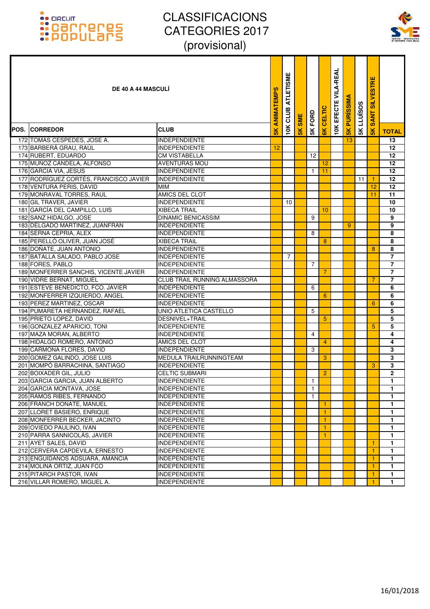

| <b>DE 40 A 44 MASCULI</b>                                   |                                              | <b>SK ANIMATEMPS</b> | <b>ATLETISME</b><br>10K CLUB | <b>SME</b> | <b>SK FORD</b> | CELTIC          | <b>10K EFECTE VILA-REAL</b> | <b>PURISSIMA</b> | <b>LLUÏSOS</b> | <b>SILVESTRE</b><br><b>SANT</b> |                         |
|-------------------------------------------------------------|----------------------------------------------|----------------------|------------------------------|------------|----------------|-----------------|-----------------------------|------------------|----------------|---------------------------------|-------------------------|
| <b>POS. CORREDOR</b>                                        | <b>CLUB</b>                                  |                      |                              | 5K         |                | $\frac{1}{6}$   |                             | 5K               | 5K             | 5K                              | <b>TOTAL</b>            |
| 172 TOMAS CESPEDES, JOSE A.                                 | <b>INDEPENDIENTE</b>                         |                      |                              |            |                |                 |                             | 13               |                |                                 | 13                      |
| 173 BARBERÁ GRAU, RAÚL                                      | <b>INDEPENDIENTE</b>                         | 12                   |                              |            |                |                 |                             |                  |                |                                 | 12                      |
| 174 RUBERT, EDUARDO                                         | <b>CM VISTABELLA</b>                         |                      |                              |            | 12             |                 |                             |                  |                |                                 | 12                      |
| 175 MUÑOZ CANDELA, ALFONSO                                  | <b>AVENTURAS MOU</b>                         |                      |                              |            |                | 12              |                             |                  |                |                                 | 12 <sup>2</sup>         |
| 176 GARCIA VIA, JESUS                                       | <b>INDEPENDIENTE</b>                         |                      |                              |            | $\mathbf{1}$   | 11              |                             |                  |                |                                 | 12                      |
| 177 RODRÍGUEZ CORTÉS, FRANCISCO JAVIER                      | <b>INDEPENDIENTE</b>                         |                      |                              |            |                |                 |                             |                  | 11             | $\overline{1}$                  | 12                      |
| 178 VENTURA PERIS, DAVID                                    | <b>MIM</b>                                   |                      |                              |            |                |                 |                             |                  |                | 12                              | 12                      |
| 179 MONRAVAL TORRES, RAUL                                   | AMICS DEL CLOT                               |                      |                              |            |                |                 |                             |                  |                | 11                              | 11                      |
| 180 GIL TRAVER, JAVIER                                      | <b>INDEPENDIENTE</b>                         |                      | 10                           |            |                |                 |                             |                  |                |                                 | 10                      |
| 181 GARCÍA DEL CAMPILLO, LUIS                               | <b>XIBECA TRAIL</b>                          |                      |                              |            |                | 10              |                             |                  |                |                                 | 10                      |
| 182 SANZ HIDALGO, JOSE                                      | <b>DINAMIC BENICASSIM</b>                    |                      |                              |            | 9              |                 |                             |                  |                |                                 | 9                       |
| 183 DELGADO MARTINEZ, JUANFRAN                              | <b>INDEPENDIENTE</b>                         |                      |                              |            |                |                 |                             | 9                |                |                                 | 9                       |
| 184 SERNA CEPRIA, ALEX                                      | <b>INDEPENDIENTE</b>                         |                      |                              |            | 8              |                 |                             |                  |                |                                 | 8                       |
| 185 PERELLÓ OLIVER, JUAN JOSÉ                               | <b>XIBECA TRAIL</b>                          |                      |                              |            |                | 8               |                             |                  |                |                                 | 8                       |
| 186 DOÑATE, JUAN ANTONIO                                    | <b>INDEPENDIENTE</b>                         |                      |                              |            |                |                 |                             |                  |                | 8                               | 8                       |
| 187 BATALLA SALADO, PABLO JOSE                              | <b>INDEPENDIENTE</b>                         |                      | $\overline{7}$               |            |                |                 |                             |                  |                |                                 | $\overline{7}$          |
| 188 FORES, PABLO                                            | <b>INDEPENDIENTE</b>                         |                      |                              |            | $\overline{7}$ |                 |                             |                  |                |                                 | $\overline{7}$          |
| 189 MONFERRER SANCHIS, VICENTE JAVIER                       | <b>INDEPENDIENTE</b>                         |                      |                              |            |                | $\overline{7}$  |                             |                  |                |                                 | $\overline{7}$          |
| 190 VIDRE BERNAT, MIGUEL                                    | CLUB TRAIL RUNNING ALMASSORA                 |                      |                              |            |                |                 |                             |                  |                | 7                               | $\overline{7}$          |
| 191 ESTEVE BENEDICTO, FCO. JAVIER                           | <b>INDEPENDIENTE</b>                         |                      |                              |            | 6              |                 |                             |                  |                |                                 | 6                       |
| 192 MONFERRER IZQUIERDO, ANGEL<br>193 PEREZ MARTINEZ, OSCAR | <b>INDEPENDIENTE</b><br><b>INDEPENDIENTE</b> |                      |                              |            |                | 6               |                             |                  |                |                                 | 6<br>6                  |
| 194 PUMARETA HERNANDEZ, RAFAEL                              | UNIO ATLETICA CASTELLO                       |                      |                              |            |                |                 |                             |                  |                | 6                               | 5                       |
| 195 PRIETO LOPEZ, DAVID                                     | DESNIVEL+TRAIL                               |                      |                              |            | 5              | $5\phantom{.0}$ |                             |                  |                |                                 | 5                       |
| 196 GONZALEZ APARICIO, TONI                                 | <b>INDEPENDIENTE</b>                         |                      |                              |            |                |                 |                             |                  |                | 5                               | 5                       |
| 197 MAZA MORAN, ALBERTO                                     | <b>INDEPENDIENTE</b>                         |                      |                              |            | 4              |                 |                             |                  |                |                                 | 4                       |
| 198 HIDALGO ROMERO, ANTONIO                                 | AMICS DEL CLOT                               |                      |                              |            |                | $\overline{4}$  |                             |                  |                |                                 | 4                       |
| 199 CARMONA FLORES, DAVID                                   | <b>INDEPENDIENTE</b>                         |                      |                              |            | 3              |                 |                             |                  |                |                                 | 3                       |
| 200 GOMEZ GALINDO, JOSE LUIS                                | MEDULA TRAILRUNNINGTEAM                      |                      |                              |            |                | 3               |                             |                  |                |                                 | 3                       |
| 201 MOMPÓ BARRACHINA, SANTIAGO                              | <b>INDEPENDIENTE</b>                         |                      |                              |            |                |                 |                             |                  |                | 3                               | 3                       |
| 202 BOIXADER GIL, JULIO                                     | <b>CELTIC SUBMARI</b>                        |                      |                              |            |                | $\overline{2}$  |                             |                  |                |                                 | $\overline{\mathbf{c}}$ |
| 203 GARCIA GARCIA, JUAN ALBERTO                             | <b>INDEPENDIENTE</b>                         |                      |                              |            | $\mathbf{1}$   |                 |                             |                  |                |                                 | 1                       |
| 204 GARCIA MONTAVA, JOSE                                    | <b>INDEPENDIENTE</b>                         |                      |                              |            | $\mathbf{1}$   |                 |                             |                  |                |                                 | 1                       |
| 205 RAMOS RIBES, FERNANDO                                   | <b>INDEPENDIENTE</b>                         |                      |                              |            | $\mathbf{1}$   |                 |                             |                  |                |                                 | 1.                      |
| 206 FRANCH DOÑATE, MANUEL                                   | <b>INDEPENDIENTE</b>                         |                      |                              |            |                | -1              |                             |                  |                |                                 | 1                       |
| 207 LLORET BASIERO, ENRIQUE                                 | <b>INDEPENDIENTE</b>                         |                      |                              |            |                | $\mathbf{1}$    |                             |                  |                |                                 | 1                       |
| 208 MONFERRER BECKER, JACINTO                               | <b>INDEPENDIENTE</b>                         |                      |                              |            |                | $\vert$ 1       |                             |                  |                |                                 | 1                       |
| 209 OVIEDO PAULINO, IVAN                                    | <b>INDEPENDIENTE</b>                         |                      |                              |            |                | $\mathbf{1}$    |                             |                  |                |                                 | 1.                      |
| 210 PARRA SANNICOLÁS, JAVIER                                | <b>INDEPENDIENTE</b>                         |                      |                              |            |                | -1              |                             |                  |                |                                 | 1.                      |
| 211 AYET SALES, DAVID                                       | <b>INDEPENDIENTE</b>                         |                      |                              |            |                |                 |                             |                  |                | 1                               | 1                       |
| 212 CERVERA CAPDEVILA, ERNESTO                              | <b>INDEPENDIENTE</b>                         |                      |                              |            |                |                 |                             |                  |                | 1                               | 1.                      |
| 213 ENGUIDANOS ADSUARA, AMANCIA                             | <b>INDEPENDIENTE</b>                         |                      |                              |            |                |                 |                             |                  |                | $\mathbf{1}$                    | 1.                      |
| 214 MOLINA ORTIZ, JUAN FCO                                  | <b>INDEPENDIENTE</b>                         |                      |                              |            |                |                 |                             |                  |                | $\overline{1}$                  | 1.                      |
| 215 PITARCH PASTOR, IVAN                                    | <b>INDEPENDIENTE</b>                         |                      |                              |            |                |                 |                             |                  |                | 1                               | 1.                      |
| 216 VILLAR ROMERO, MIGUEL A.                                | <b>INDEPENDIENTE</b>                         |                      |                              |            |                |                 |                             |                  |                |                                 | 1.                      |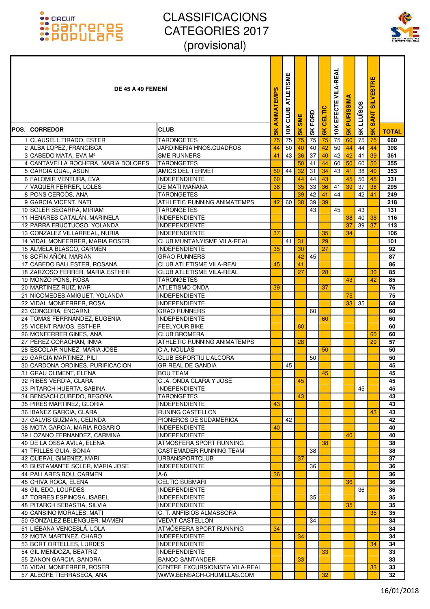

| DE 45 A 49 FEMENI                                           |                                              | ANIMATEMPS     | <b>ATLETISME</b><br>CLUB | <b>SME</b>    | <b>SK FORD</b> | <b>CELTIC</b> | EFECTE VILA-REAL | <b>PURISSIMA</b> | LLUÏSOS  | <b>SILVESTRE</b><br><b>SANT</b> |              |
|-------------------------------------------------------------|----------------------------------------------|----------------|--------------------------|---------------|----------------|---------------|------------------|------------------|----------|---------------------------------|--------------|
| <b>POS. ICORREDOR</b>                                       | <b>CLUB</b>                                  | $\frac{8}{10}$ | 10K                      | $\frac{1}{2}$ |                | $\frac{1}{6}$ | 10K              | $\frac{1}{5}$    | 5K       | $\frac{1}{2}$                   | <b>TOTAL</b> |
| 1 CLAUSELL TIRADO, ESTER                                    | <b>TARONGETES</b>                            | 75             | 75                       | 75            | 75             | 75            | 75               | 60               | 75       | 75                              | 660          |
| 2 ALBA LOPEZ, FRANCISCA                                     | JARDINERIA HNOS.CUADROS                      | 44             | 50                       | 40            | 40             | 42            | 50               | 44               | 44       | 44                              | 398          |
| 3 CABEDO MATA, EVA Mª                                       | <b>SME RUNNERS</b>                           | 41             | 43                       | 36            | 37             | 40            | 42               | 42               | 41       | 39                              | 361          |
| 4 CANTAVELLA ROCHERA, MARIA DOLORES                         | <b>TARONGETES</b>                            |                |                          | 50            | 41             | 44            | 60               | 50               | 60       | 50                              | 355          |
| 5 GARCIA GUAL, ASUN                                         | <b>AMICS DEL TERMET</b>                      | 50             | 44                       | 32            | 31             | 34            | 43               | 41               | 38       | 40                              | 353          |
| 6 FALOMIR VENTURA, EVA                                      | <b>INDEPENDIENTE</b>                         | 60             |                          | 44            | 44             | 43            |                  | 45               | 50       | 45                              | 331          |
| 7 VAQUER FERRER, LOLES                                      | DE MATI MAÑANA                               | 38             |                          | 35            | 33             | 36            | 41               | 39               | 37       | 36                              | 295          |
| 8 PONS CERCÓS, ANA                                          | <b>TARONGETES</b>                            |                |                          | 39            | 42             | 41            | 44               |                  | 42       | 41                              | 249          |
| 9 GARCIA VICENT, NATI                                       | ATHLETIC RUNNING ANIMATEMPS                  | 42             | 60                       | 38            | 39             | 39            |                  |                  |          |                                 | 218          |
| 10 SOLER SEGARRA, MIRIAM                                    | <b>TARONGETES</b>                            |                |                          |               | 43             |               | 45               |                  | 43       |                                 | 131          |
| 11 HENARES CATALÁN, MARINELA<br>12 PARRA FRUCTUOSO, YOLANDA | <b>INDEPENDIENTE</b><br><b>INDEPENDIENTE</b> |                |                          |               |                |               |                  | 38<br>37         | 40<br>39 | 38<br>37                        | 116<br>113   |
| 13 GONZALEZ VILLARREAL, NURIA                               | <b>INDEPENDIENTE</b>                         | 37             |                          |               |                | 35            |                  | 34               |          |                                 | 106          |
| 14 VIDAL MONFERRER, MARIA ROSER                             | CLUB MUNTANYISME VILA-REAL                   |                | 41                       | 31            |                | 29            |                  |                  |          |                                 | 101          |
| 15 ALMELA BLASCO, CARMEN                                    | <b>INDEPENDIENTE</b>                         | 35             |                          | 30            |                | 27            |                  |                  |          |                                 | 92           |
| 16 SOFÍN AÑÓN, MARIAN                                       | <b>GRAO RUNNERS</b>                          |                |                          | 42            | 45             |               |                  |                  |          |                                 | 87           |
| 17 CABEDO BALLESTER, ROSANA                                 | <b>CLUB ATLETISME VILA-REAL</b>              | 45             |                          | 41            |                |               |                  |                  |          |                                 | 86           |
| 18 ZARZOSO FERRER, MARIA ESTHER                             | <b>CLUB ATLETISME VILA-REAL</b>              |                |                          | 27            |                | 28            |                  |                  |          | 30                              | 85           |
| 19 MONZÓ PONS, ROSA                                         | <b>TARONGETES</b>                            |                |                          |               |                |               |                  | 43               |          | 42                              | 85           |
| 20 MARTINEZ RUIZ, MAR                                       | <b>ATLETISMO ONDA</b>                        | 39             |                          |               |                | 37            |                  |                  |          |                                 | 76           |
| 21 NICOMEDES AMIGUET, YOLANDA                               | <b>INDEPENDIENTE</b>                         |                |                          |               |                |               |                  | 75               |          |                                 | 75           |
| 22 VIDAL MONFERRER, ROSA                                    | <b>INDEPENDIENTE</b>                         |                |                          |               |                |               |                  | 33               | 35       |                                 | 68           |
| 23 GONGORA, ENCARNI                                         | <b>GRAO RUNNERS</b>                          |                |                          |               | 60             |               |                  |                  |          |                                 | 60           |
| 24 TOMÁS FERRNÁNDEZ, EUGENIA                                | <b>INDEPENDIENTE</b>                         |                |                          |               |                | 60            |                  |                  |          |                                 | 60           |
| 25 VICENT RAMOS, ESTHER                                     | <b>FEELYOUR BIKE</b>                         |                |                          | 60            |                |               |                  |                  |          |                                 | 60           |
| 26 MONFERRER GINES, ANA                                     | <b>CLUB BROMERA</b>                          |                |                          |               |                |               |                  |                  |          | 60                              | 60           |
| 27 PÉREZ CORACHÁN, INMA                                     | <b>ATHLETIC RUNNING ANIMATEMPS</b>           |                |                          | 28            |                |               |                  |                  |          | 29                              | 57           |
| 28 ESCOLAR NUÑEZ, MARIA JOSE<br>29 GARCIA MARTINEZ, PILI    | <b>C.A. NOULAS</b><br>CLUB ESPORTIU L'ALCORA |                |                          |               |                | 50            |                  |                  |          |                                 | 50           |
| 30 CARDONA ORDINES, PURIFICACION                            | <b>GR REAL DE GANDIA</b>                     |                | 45                       |               | 50             |               |                  |                  |          |                                 | 50<br>45     |
| 31 GRAU CLIMENT, ELENA                                      | <b>BOU TEAM</b>                              |                |                          |               |                | 45            |                  |                  |          |                                 | 45           |
| 32 RIBES VERDIA, CLARA                                      | CA. ONDA CLARA Y JOSE                        |                |                          | 45            |                |               |                  |                  |          |                                 | 45           |
| 33 PITARCH HUERTA, SABINA                                   | <b>INDEPENDIENTE</b>                         |                |                          |               |                |               |                  |                  | 45       |                                 | 45           |
| 34 BENSACH CUBEDO, BEGOÑA                                   | <b>TARONGETES</b>                            |                |                          | 43            |                |               |                  |                  |          |                                 | 43           |
| 35 PIRES MARTINEZ, GLORIA                                   | <b>INDEPENDIENTE</b>                         | 43             |                          |               |                |               |                  |                  |          |                                 | 43           |
| 36 IBAÑEZ GARCIA, CLARA                                     | RUNING CASTELLON                             |                |                          |               |                |               |                  |                  |          | 43                              | 43           |
| 37 GALVIS GUZMAN, CELINDA                                   | PIONEROS DE SUDAMERICA                       |                | 42                       |               |                |               |                  |                  |          |                                 | 42           |
| 38 MOTA GARCIA, MARIA ROSARIO                               | <b>INDEPENDIENTE</b>                         | 40             |                          |               |                |               |                  |                  |          |                                 | 40           |
| 39 LOZANO FERNANDEZ, CARMINA                                | <b>INDEPENDIENTE</b>                         |                |                          |               |                |               |                  | 40               |          |                                 | 40           |
| 40 DE LA OSSA AVILA, ELENA                                  | ATMOSFERA SPORT RUNNING                      |                |                          |               |                | 38            |                  |                  |          |                                 | 38           |
| 41 TRILLES GUIA, SONIA                                      | <b>CASTEMADER RUNNING TEAM</b>               |                |                          |               | 38             |               |                  |                  |          |                                 | 38           |
| 42 QUERAL GIMENEZ, MARI                                     | <b>URBANSPORTCLUB</b>                        |                |                          | 37            |                |               |                  |                  |          |                                 | 37           |
| 43 BUSTAMANTE SOLER, MARIA JOSE                             | <b>INDEPENDIENTE</b>                         |                |                          |               | 36             |               |                  |                  |          |                                 | 36           |
| 44 PALLARES BOU, CARMEN                                     | $A-6$                                        | 36             |                          |               |                |               |                  |                  |          |                                 | 36           |
| 45 CHIVA ROCA, ELENA                                        | <b>CELTIC SUBMARI</b>                        |                |                          |               |                |               |                  | 36               |          |                                 | 36           |
| 46 GIL EDO, LOURDES<br>47 TORRES ESPINOSA, ISABEL           | <b>INDEPENDIENTE</b><br><b>INDEPENDIENTE</b> |                |                          |               | 35             |               |                  |                  | 36       |                                 | 36<br>35     |
| 48 PITARCH SEBASTIA, SILVIA                                 | <b>INDEPENDIENTE</b>                         |                |                          |               |                |               |                  | 35               |          |                                 | 35           |
| 49 CANSINO MORALES, MATI                                    | C. T. ANFIBIOS ALMASSORA                     |                |                          |               |                |               |                  |                  |          | 35                              | 35           |
| 50 GONZALEZ BELENGUER, MAMEN                                | <b>VEDAT CASTELLON</b>                       |                |                          |               | 34             |               |                  |                  |          |                                 | 34           |
| 51 LIÉBANA VENCESLÁ, LOLA                                   | ATMÓSFERA SPORT RUNNING                      | 34             |                          |               |                |               |                  |                  |          |                                 | 34           |
| 52 MOTA MARTINEZ, CHARO                                     | <b>INDEPENDIENTE</b>                         |                |                          | 34            |                |               |                  |                  |          |                                 | 34           |
| 53 BORT ORTELLES, LURDES                                    | <b>INDEPENDIENTE</b>                         |                |                          |               |                |               |                  |                  |          | 34                              | 34           |
| 54 GIL MENDOZA, BEATRIZ                                     | <b>INDEPENDIENTE</b>                         |                |                          |               |                | 33            |                  |                  |          |                                 | 33           |
| 55 ZANON GARCIA, SANDRA                                     | <b>BANCO SANTANDER</b>                       |                |                          | 33            |                |               |                  |                  |          |                                 | 33           |
| 56 VIDAL MONFERRER, ROSER                                   | CENTRE EXCURSIONISTA VILA-REAL               |                |                          |               |                |               |                  |                  |          | 33                              | 33           |
| 57 ALEGRE TIERRASECA, ANA                                   | WWW.BENSACH-CHUMILLAS.COM                    |                |                          |               |                | 32            |                  |                  |          |                                 | 32           |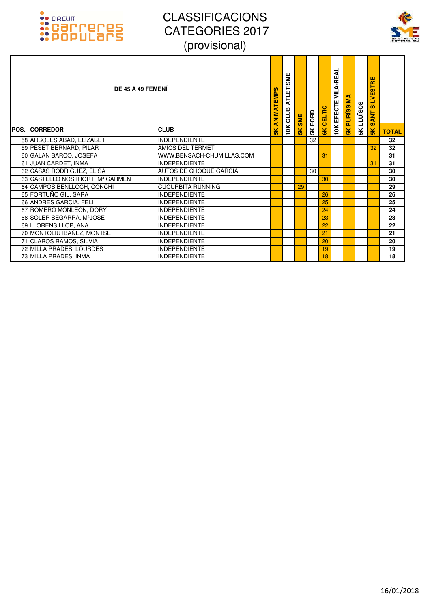



|      | DE 45 A 49 FEMENI               |                               | ANIMATEMPS    | ETISME<br><b>ATL</b><br>10K CLUB | <b>SME</b>    | 5K FORD | <b>6K CELTIC</b> | A-REAL<br>₹<br><b>10K EFECTE</b> | <b>PURISSIMA</b> | <b>SK LLUISOS</b> | <b>SILVESTRE</b><br><b>SANT</b> |              |
|------|---------------------------------|-------------------------------|---------------|----------------------------------|---------------|---------|------------------|----------------------------------|------------------|-------------------|---------------------------------|--------------|
| POS. | <b>CORREDOR</b>                 | <b>CLUB</b>                   | $\frac{1}{2}$ |                                  | $\frac{1}{5}$ |         |                  |                                  | $\frac{1}{5}$    |                   | $\frac{8}{5}$                   | <b>TOTAL</b> |
|      | 58 ARBOLES ABAD, ELIZABET       | <b>INDEPENDIENTE</b>          |               |                                  |               | 32      |                  |                                  |                  |                   |                                 | 32           |
|      | 59 PESET BERNARD, PILAR         | <b>AMICS DEL TERMET</b>       |               |                                  |               |         |                  |                                  |                  |                   | 32                              | 32           |
|      | 60 GALAN BARCO, JOSEFA          | WWW.BENSACH-CHUMILLAS.COM     |               |                                  |               |         | 31               |                                  |                  |                   |                                 | 31           |
|      | 61 JUAN CARDET, INMA            | <b>INDEPENDIENTE</b>          |               |                                  |               |         |                  |                                  |                  |                   | 31                              | 31           |
|      | 62 CASAS RODRIGUEZ, ELISA       | <b>AUTOS DE CHOQUE GARCIA</b> |               |                                  |               | 30      |                  |                                  |                  |                   |                                 | 30           |
|      | 63 CASTELLO NOSTRORT, Mª CARMEN | <b>INDEPENDIENTE</b>          |               |                                  |               |         | 30               |                                  |                  |                   |                                 | 30           |
|      | 64 CAMPOS BENLLOCH, CONCHI      | <b>CUCURBITA RUNNING</b>      |               |                                  | 29            |         |                  |                                  |                  |                   |                                 | 29           |
|      | 65 FORTUÑO GIL, SARA            | <b>INDEPENDIENTE</b>          |               |                                  |               |         | 26               |                                  |                  |                   |                                 | 26           |
|      | 66 ANDRES GARCIA, FELI          | <b>INDEPENDIENTE</b>          |               |                                  |               |         | 25               |                                  |                  |                   |                                 | 25           |
|      | 67 ROMERO MONLEON, DORY         | <b>INDEPENDIENTE</b>          |               |                                  |               |         | 24               |                                  |                  |                   |                                 | 24           |
|      | 68 SOLER SEGARRA, MªJOSE        | <b>INDEPENDIENTE</b>          |               |                                  |               |         | 23               |                                  |                  |                   |                                 | 23           |
|      | 69 LLORENS LLOP, ANA            | <b>INDEPENDIENTE</b>          |               |                                  |               |         | 22               |                                  |                  |                   |                                 | 22           |
|      | 70 MONTOLIU IBAÑEZ, MONTSE      | <b>INDEPENDIENTE</b>          |               |                                  |               |         | 21               |                                  |                  |                   |                                 | 21           |
|      | 71 CLAROS RAMOS, SILVIA         | <b>INDEPENDIENTE</b>          |               |                                  |               |         | 20               |                                  |                  |                   |                                 | 20           |
|      | 72 MILLÁ PRADES, LOURDES        | <b>INDEPENDIENTE</b>          |               |                                  |               |         | 19               |                                  |                  |                   |                                 | 19           |
|      | 73 MILLÁ PRADES, INMA           | <b>INDEPENDIENTE</b>          |               |                                  |               |         | 18               |                                  |                  |                   |                                 | 18           |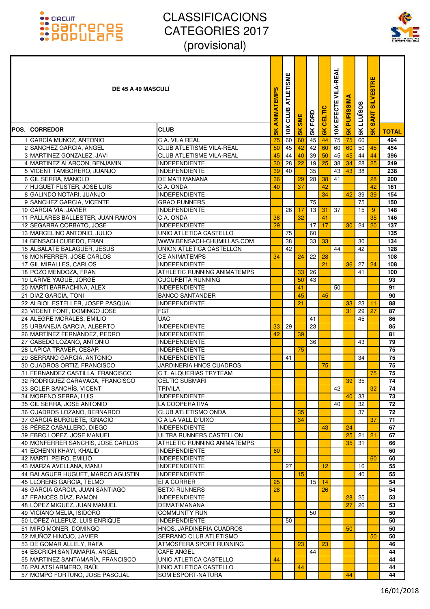

| <b>DE 45 A 49 MASCULI</b>                           |                                                  | ANIMATEMPS      | <b>ATLETISME</b><br>CLUB | <b>SME</b>    | FORD          | <b>CELTIC</b>  | <b>VILA-REAL</b><br>EFECTE | <b>PURISSIM</b> | LLUÏSOS  | <b>SILVESTRE</b><br>Ę<br>$\overline{\mathbf{s}}$ |                 |
|-----------------------------------------------------|--------------------------------------------------|-----------------|--------------------------|---------------|---------------|----------------|----------------------------|-----------------|----------|--------------------------------------------------|-----------------|
| <b>POS. ICORREDOR</b>                               | <b>CLUB</b>                                      | 5K              | 10K                      | $\frac{1}{2}$ | $\frac{1}{2}$ | $\frac{8}{10}$ | 10K                        | $\frac{1}{5}$   | $5K$     | $\frac{1}{5}$                                    | <b>TOTAL</b>    |
| 1 GARCÍA MUÑOZ, ANTONIO                             | C.A. VILA REAL                                   | 75              | 60                       | 60            | 45            | 44             | 75                         | 75              | 60       |                                                  | 494             |
| 2 SANCHEZ GARCIA, ANGEL                             | <b>CLUB ATLETISME VILA-REAL</b>                  | 50              | 45                       | 42            | 42            | 60             | 60                         | 60              | 50       | 45                                               | 454             |
| 3 MARTINEZ GONZALEZ, JAVI                           | <b>CLUB ATLETISME VILA-REAL</b>                  | 45              | 44                       | 40            | 39            | 50             | 45                         | 45              | 44       | 44                                               | 396             |
| 4 MARTINEZ ALARCON, BENJAMIN                        | <b>INDEPENDIENTE</b>                             | 30              | 28                       | 22            | 19            | 25             | 38                         | 34              | 28       | 25                                               | 249             |
| 5 VICENT TAMBORERO, JUANJO                          | <b>INDEPENDIENTE</b>                             | 39              | 40                       |               | 35            |                | 43                         | 43              | 38       |                                                  | 238             |
| 6 GIL SERRA, MANOLO                                 | DE MATI MANANA                                   | 36              |                          | 29            | 28            | 38             | 41                         |                 |          | 28                                               | 200             |
| 7 HUGUET FUSTER, JOSE LUIS                          | C.A. ONDA                                        | 40              |                          | 37            |               | 42             |                            |                 |          | 42                                               | 161             |
| 8 GALINDO NOTARI, JUANJO                            | <b>INDEPENDIENTE</b>                             |                 |                          |               |               | 34             |                            | 42              | 39       | 39                                               | 154             |
| 9 SANCHEZ GARCIA, VICENTE                           | <b>GRAO RUNNERS</b>                              |                 |                          |               | 75            |                |                            |                 | 75       |                                                  | 150             |
| 10 GARCIA VIA, JAVIER                               | <b>INDEPENDIENTE</b>                             |                 | 26                       | 17            | 13            | 31             | 37                         |                 | 15       | 9                                                | 148             |
| 11 PALLARES BALLESTER, JUAN RAMON                   | C.A. ONDA                                        | 38              |                          | 32            |               | 41             |                            |                 |          | 35                                               | 146             |
| 12 SEGARRA CORBATO, JOSE                            | <b>INDEPENDIENTE</b>                             | 29              |                          |               | 17            | 17             |                            | 30              | 24       | 20                                               | 137             |
| 13 MARCELINO ANTONIO, JULIO                         | UNIO ATLETICA CASTELLO                           |                 | 75                       |               | 60            |                |                            |                 |          |                                                  | 135             |
| 14 BENSACH CUBEDO, FRAN                             | WWW.BENSACH-CHUMILLAS.COM                        |                 | 38                       |               | 33            | 33             |                            |                 | 30       |                                                  | 134             |
| 15 ALBALATE BALAGUER, JESUS                         | UNION ATLETICA CASTELLON                         |                 | 42                       |               |               |                | 44                         |                 | 42       |                                                  | 128             |
| 16 MONFERRER, JOSE CARLOS                           | <b>CE ANIMATEMPS</b>                             | 34              |                          | 24            | 22            | 28             |                            |                 |          |                                                  | 108             |
| 17 GIL MIRALLES, CARLOS                             | <b>INDEPENDIENTE</b>                             |                 |                          |               |               | 21             |                            | 36              | 27       | 24                                               | 108             |
| 18 POZO MENDOZA, FRAN                               | <b>ATHLETIC RUNNING ANIMATEMPS</b>               |                 |                          | 33            | 26            |                |                            |                 | 41       |                                                  | 100             |
| 19 LARIVE YAGÜE, JORGE<br>20 MARTI BARRACHINA, ALEX | <b>CUCURBITA RUNNING</b><br><b>INDEPENDIENTE</b> |                 |                          | 50            | 43            |                |                            |                 |          |                                                  | 93<br>91        |
| 21 DIAZ GARCIA, TONI                                | <b>BANCO SANTANDER</b>                           |                 |                          | 41<br>45      |               | 45             | 50                         |                 |          |                                                  | 90              |
| 22 ALBIOL ESTELLER, JOSEP PASQUAL                   | <b>INDEPENDIENTE</b>                             |                 |                          | 21            |               |                |                            | 33              | 23       | 11                                               | 88              |
| 23 VICENT FONT, DOMINGO JOSE                        | <b>FGT</b>                                       |                 |                          |               |               |                |                            | 31              | 29       | 27                                               | 87              |
| 24 ALEGRE MORALES, EMILIO                           | <b>UAC</b>                                       |                 |                          |               | 41            |                |                            |                 | 45       |                                                  | 86              |
| 25 URBANEJA GARCIA, ALBERTO                         | <b>INDEPENDIENTE</b>                             | 33              | 29                       |               | 23            |                |                            |                 |          |                                                  | 85              |
| 26 MARTÍNEZ FERNÁNDEZ, PEDRO                        | <b>INDEPENDIENTE</b>                             | 42              |                          | 39            |               |                |                            |                 |          |                                                  | 81              |
| 27 CABEDO LOZANO, ANTONIO                           | <b>INDEPENDIENTE</b>                             |                 |                          |               | 36            |                |                            |                 | 43       |                                                  | 79              |
| 28 LAPICA TRAVER, CÉSAR                             | <b>INDEPENDIENTE</b>                             |                 |                          | 75            |               |                |                            |                 |          |                                                  | 75              |
| 29 SERRANO GARCIA, ANTONIO                          | <b>INDEPENDIENTE</b>                             |                 | 41                       |               |               |                |                            |                 | 34       |                                                  | 75              |
| 30 CUADROS ORTIZ, FRANCISCO                         | JARDINERIA HNOS CUADROS                          |                 |                          |               |               | 75             |                            |                 |          |                                                  | 75              |
| 31 FERNANDEZ CASTILLA, FRANCISCO                    | <b>C.T. ALQUERIAS TRYTEAM</b>                    |                 |                          |               |               |                |                            |                 |          | 75                                               | 75              |
| 32 RODRÍGUEZ CARAVACA, FRANCISCO                    | <b>CELTIC SUBMARI</b>                            |                 |                          |               |               |                |                            |                 | $39$ 35  |                                                  | $\overline{74}$ |
| 33 SOLER SANCHÍS, VICENT                            | TRIVILA                                          |                 |                          |               |               |                | 42                         |                 |          | 32                                               | 74              |
| 34 MORENO SERRA, LUIS                               | <b>INDEPENDIENTE</b>                             |                 |                          |               |               |                |                            | 40              | 33       |                                                  | 73              |
| 35 GIL SERRA, JOSE ANTONIO                          | LA COOPERATIVA                                   |                 |                          |               |               |                | 40                         |                 | 32       |                                                  | 72              |
| 36 CUADROS LOZANO, BERNARDO                         | <b>CLUB ATLETISMO ONDA</b>                       |                 |                          | 35            |               |                |                            |                 | 37       |                                                  | 72              |
| 37 GARCIA BURGUETE, IGNACIO                         | C A LA VALL D'UIXO                               |                 |                          | 34            |               |                |                            |                 |          | 37                                               | 71              |
| 38 PÉREZ CABALLERO, DIEGO                           | <b>INDEPENDIENTE</b>                             |                 |                          |               |               | 43             |                            | 24              |          |                                                  | 67              |
| 39 EBRO LOPEZ, JOSE MANUEL                          | ULTRA RUNNERS CASTELLON                          |                 |                          |               |               |                |                            | 25              | 21       | 21                                               | 67              |
| 40 MONFERRER SANCHIS, JOSE CARLOS                   | ATHLETIC RUNNING ANIMATEMPS                      |                 |                          |               |               |                |                            | 35              | 31       |                                                  | 66              |
| 41 ECHENNI KHAYI, KHALID                            | <b>INDEPENDIENTE</b>                             | 60              |                          |               |               |                |                            |                 |          |                                                  | 60              |
| 42 MARTI PEIRO, EMILIO<br>43 MARZA AVELLANA, MANU   | <b>INDEPENDIENTE</b><br><b>INDEPENDIENTE</b>     |                 | 27                       |               |               | 12             |                            |                 |          | 60                                               | 60<br>55        |
| 44 BALAGUER HUGUET, MARCO AGUSTIN                   | <b>INDEPENDIENTE</b>                             |                 |                          | 15            |               |                |                            |                 | 16<br>40 |                                                  | 55              |
| 45 LLORENS GARCIA, TELMO                            | EI A CORRER                                      | $\overline{25}$ |                          |               | 15            | 14             |                            |                 |          |                                                  | 54              |
| 46 GARCIA GARCIA, JUAN SANTIAGO                     | <b>BETXI RUNNERS</b>                             | 28              |                          |               |               | 26             |                            |                 |          |                                                  | 54              |
| 47 FRANCÉS DÍAZ, RAMÓN                              | <b>INDEPENDIENTE</b>                             |                 |                          |               |               |                |                            | 28              | 25       |                                                  | 53              |
| 48 LÓPEZ MIGUEZ, JUAN MANUEL                        | DEMATIMANANA                                     |                 |                          |               |               |                |                            | 27              | 26       |                                                  | 53              |
| 49 VICIANO MELIA, ISIDORO                           | <b>COMMUNITY RUN</b>                             |                 |                          |               | 50            |                |                            |                 |          |                                                  | 50              |
| 50 LÓPEZ ALLEPUZ, LUIS ENRIQUE                      | <b>INDEPENDIENTE</b>                             |                 | 50                       |               |               |                |                            |                 |          |                                                  | 50              |
| 51 MIRÓ MONER, DOMINGO                              | HNOS. JARDINERIA CUADROS                         |                 |                          |               |               |                |                            | 50              |          |                                                  | 50              |
| 52 MUÑOZ HINOJO, JAVIER                             | SERRANO CLUB ATLETISMO                           |                 |                          |               |               |                |                            |                 |          | 50                                               | 50              |
| 53 DE GOMAR ALLELY, RAFA                            | ATMÓSFERA SPORT RUNNING                          |                 |                          | 23            |               | 23             |                            |                 |          |                                                  | 46              |
| 54 ESCRICH SANTAMARIA, ANGEL                        | <b>CAFE ANGEL</b>                                |                 |                          |               | 44            |                |                            |                 |          |                                                  | 44              |
| 55 MARTINEZ SANTAMARÍA, FRANCISCO                   | UNIO ATLETICA CASTELLO                           | 44              |                          |               |               |                |                            |                 |          |                                                  | 44              |
| 56 PALATSÍ ARMERO, RAÜL                             | UNIO ATLETICA CASTELLO                           |                 |                          | 44            |               |                |                            |                 |          |                                                  | 44              |
| 57 MOMPÓ FORTUÑO, JOSE PASCUAL                      | SOM ESPORT-NATURA                                |                 |                          |               |               |                |                            | 44              |          |                                                  | 44              |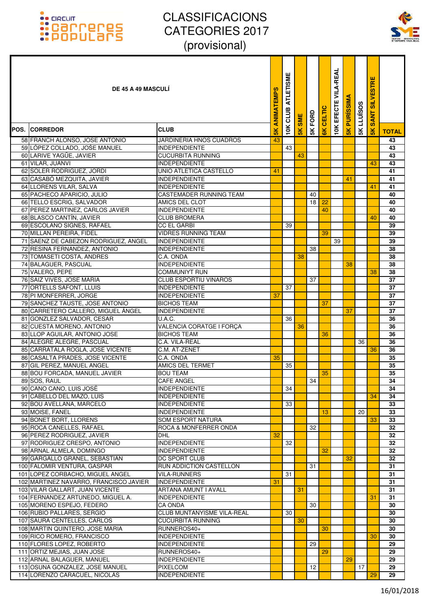

| <b>DE 45 A 49 MASCULI</b>                                        |                                                    | <b>ANIMATEMPS</b> | <b>ATLETISME</b><br>CLUB | <b>SME</b>     | FORD | <b>CELTIC</b>  | <b>VILA-REAL</b><br>EFECTE | <b>PURISSIM</b> | <b>LLUÏSOS</b> | <b>SILVESTRE</b><br><b>SANT</b> |              |
|------------------------------------------------------------------|----------------------------------------------------|-------------------|--------------------------|----------------|------|----------------|----------------------------|-----------------|----------------|---------------------------------|--------------|
| <b>POS. ICORREDOR</b>                                            | <b>CLUB</b>                                        | $\frac{8}{10}$    | 10K                      | $\frac{8}{10}$ | 5K   | $\frac{8}{10}$ | 10K                        | $\frac{1}{5}$   | 5K             | $\frac{8}{15}$                  | <b>TOTAL</b> |
| 58 FRANCH ALONSO, JOSE ANTONIO                                   | <b>JARDINERIA HNOS CUADROS</b>                     | 43                |                          |                |      |                |                            |                 |                |                                 | 43           |
| 59 LÓPEZ COLLADO, JOŚE MANUEL                                    | <b>INDEPENDIENTE</b>                               |                   | 43                       |                |      |                |                            |                 |                |                                 | 43           |
| 60 LARIVE YAGÜE, JAVIER                                          | <b>CUCURBITA RUNNING</b>                           |                   |                          | 43             |      |                |                            |                 |                |                                 | 43           |
| 61 VILAR, JUANVI                                                 | <b>INDEPENDIENTE</b>                               |                   |                          |                |      |                |                            |                 |                | 43                              | 43           |
| 62 SOLER RODRIGUEZ, JORDI                                        | UNIO ATLETICA CASTELLO                             | 41                |                          |                |      |                |                            |                 |                |                                 | 41           |
| 63 CASABÓ MEZQUITA, JAVIER                                       | <b>INDEPENDIENTE</b>                               |                   |                          |                |      |                |                            | 41              |                |                                 | 41           |
| 64 LLORENS VILAR, SALVA                                          | <b>INDEPENDIENTE</b>                               |                   |                          |                |      |                |                            |                 |                | 41                              | 41           |
| 65 PACHECO APARICIO, JULIO                                       | <b>CASTEMADER RUNNING TEAM</b>                     |                   |                          |                | 40   |                |                            |                 |                |                                 | 40           |
| 66 TELLO ESCRIG, SALVADOR                                        | AMICS DEL CLOT                                     |                   |                          |                | 18   | 22             |                            |                 |                |                                 | 40           |
| 67 PEREZ MARTINEZ, CARLOS JAVIER                                 | <b>INDEPENDIENTE</b>                               |                   |                          |                |      | 40             |                            |                 |                |                                 | 40           |
| 68 BLASCO CANTÍN, JAVIER                                         | <b>CLUB BROMERA</b>                                |                   |                          |                |      |                |                            |                 |                | 40                              | 40           |
| 69 ESCOLANO SIGNES, RAFAEL                                       | <b>CC EL GARBI</b>                                 |                   | 39                       |                |      |                |                            |                 |                |                                 | 39           |
| 70 MILLAN PEREIRA, FIDEL<br>71 SAENZ DE CABEZON RODRIGUEZ, ANGEL | <b>VIDRES RUNNING TEAM</b><br><b>INDEPENDIENTE</b> |                   |                          |                |      | 39             | 39                         |                 |                |                                 | 39<br>39     |
| 72 RESINA FERNANDEZ, ANTONIO                                     | <b>INDEPENDIENTE</b>                               |                   |                          |                | 38   |                |                            |                 |                |                                 | 38           |
| 73 TOMASETI COSTA, ANDRES                                        | C.A. ONDA                                          |                   |                          | 38             |      |                |                            |                 |                |                                 | 38           |
| 74 BALAGUER, PASCUAL                                             | <b>INDEPENDIENTE</b>                               |                   |                          |                |      |                |                            | 38              |                |                                 | 38           |
| 75 VALERO, PEPE                                                  | <b>COMMUNIYT RUN</b>                               |                   |                          |                |      |                |                            |                 |                | 38                              | 38           |
| 76 SAIZ VIVES, JOSE MARIA                                        | <b>CLUB ESPORTIU VINAROS</b>                       |                   |                          |                | 37   |                |                            |                 |                |                                 | 37           |
| 77 ORTELLS SAFONT, LLUIS                                         | <b>INDEPENDIENTE</b>                               |                   | 37                       |                |      |                |                            |                 |                |                                 | 37           |
| 78 PI MONFERRER, JORGE                                           | <b>INDEPENDIENTE</b>                               | 37                |                          |                |      |                |                            |                 |                |                                 | 37           |
| 79 SANCHEZ TAUSTE, JOSE ANTONIO                                  | <b>BICHOS TEAM</b>                                 |                   |                          |                |      | 37             |                            |                 |                |                                 | 37           |
| 80 CARRETERO CALLERO, MIGUEL ÁNGEL                               | <b>INDEPENDIENTE</b>                               |                   |                          |                |      |                |                            | 37              |                |                                 | 37           |
| 81 GONZLEZ SALVADOR, CESAR                                       | U.A.C.                                             |                   | 36                       |                |      |                |                            |                 |                |                                 | 36           |
| 82 CUESTA MORENO, ANTONIO                                        | VALENCIA CORATGE I FORÇA                           |                   |                          | 36             |      |                |                            |                 |                |                                 | 36           |
| 83 LLOP AGUILAR, ANTONIO JOSE                                    | <b>BICHOS TEAM</b>                                 |                   |                          |                |      | 36             |                            |                 |                |                                 | 36           |
| 84 ALEGRE ALEGRE, PASCUAL                                        | C.A. VILA-REAL                                     |                   |                          |                |      |                |                            |                 | 36             |                                 | 36           |
| 85 CARRATALA ROGLA, JOSE VICENTE                                 | C.M. AT-ZENET                                      |                   |                          |                |      |                |                            |                 |                | 36                              | 36           |
| 86 CASALTA PRADES, JOSE VICENTE                                  | C.A. ONDA                                          | 35                |                          |                |      |                |                            |                 |                |                                 | 35           |
| 87 GIL PEREZ, MANUEL ANGEL                                       | <b>AMICS DEL TERMET</b>                            |                   | 35                       |                |      |                |                            |                 |                |                                 | 35           |
| 88 BOU FORCADA, MANUEL JAVIER                                    | <b>BOU TEAM</b>                                    |                   |                          |                |      | 35             |                            |                 |                |                                 | 35           |
| 89 SOS, RAUL                                                     | <b>CAFE ANGEL</b>                                  |                   |                          |                | 34   |                |                            |                 |                |                                 | 34           |
| 90 CANO CANO, LUIS JOSÉ                                          | <b>INDEPENDIENTE</b>                               |                   | 34                       |                |      |                |                            |                 |                |                                 | 34           |
| 91 CABELLO DEL MAZO, LUIS<br>92 BOU AVELLANA, MARCELO            | <b>INDEPENDIENTE</b><br><b>INDEPENDIENTE</b>       |                   | 33                       |                |      |                |                            |                 |                | 34                              | 34           |
| 93 MOISE, FANEL                                                  | <b>INDEPENDIENTE</b>                               |                   |                          |                |      | 13             |                            |                 | 20             |                                 | 33<br>33     |
| 94 BONET BORT, LLORENS                                           | SOM ESPORT NATURA                                  |                   |                          |                |      |                |                            |                 |                | 33                              | 33           |
| 95 ROCA CANELLES, RAFAEL                                         | ROCA & MONFERRER ONDA                              |                   |                          |                | 32   |                |                            |                 |                |                                 | 32           |
| 96 PEREZ RODRIGUEZ, JAVIER                                       | DHL                                                | 32                |                          |                |      |                |                            |                 |                |                                 | 32           |
| 97 RODRIGUEZ CRESPO, ANTONIO                                     | <b>INDEPENDIENTE</b>                               |                   | 32                       |                |      |                |                            |                 |                |                                 | 32           |
| 98 ARNAL ALMELA, DOMINGO                                         | <b>INDEPENDIENTE</b>                               |                   |                          |                |      | 32             |                            |                 |                |                                 | 32           |
| 99 GARGALLO GRANEL, SEBASTIAN                                    | DC SPORT CLUB                                      |                   |                          |                |      |                |                            | 32              |                |                                 | 32           |
| 100 FALOMIR VENTURA, GASPAR                                      | RUN ADDICTION CASTELLON                            |                   |                          |                | 31   |                |                            |                 |                |                                 | 31           |
| 101 LOPEZ CORBACHO, MIGUEL ANGEL                                 | <b>VILA-RUNNERS</b>                                |                   | 31                       |                |      |                |                            |                 |                |                                 | 31           |
| 102 MARTINEZ NAVARRO, FRANCISCO JAVIER                           | <b>INDEPENDIENTE</b>                               | 31                |                          |                |      |                |                            |                 |                |                                 | 31           |
| 103 VILAR GALLART, JUAN VICENTE                                  | ARTANA AMUNT I AVALL                               |                   |                          | 31             |      |                |                            |                 |                |                                 | 31           |
| 104 FERNANDEZ ARTUNEDO, MIGUEL A.                                | <b>INDEPENDIENTE</b>                               |                   |                          |                |      |                |                            |                 |                | 31                              | 31           |
| 105 MORENO ESPEJO, FEDERO                                        | CA ONDA                                            |                   |                          |                | 30   |                |                            |                 |                |                                 | 30           |
| 106 RUBIO PALLARES, SERGIO                                       | CLUB MUNTANYISME VILA-REAL                         |                   | 30                       |                |      |                |                            |                 |                |                                 | 30           |
| 107 SAURA CENTELLES, CARLOS                                      | <b>CUCURBITA RUNNING</b>                           |                   |                          | 30             |      |                |                            |                 |                |                                 | 30           |
| 108 MARTIN QUINTERO, JOSE MARIA                                  | RUNNEROS40+                                        |                   |                          |                |      | 30             |                            |                 |                |                                 | 30           |
| 109 RICO ROMERO, FRANCISCO                                       | <b>INDEPENDIENTE</b>                               |                   |                          |                |      |                |                            |                 |                | 30                              | 30           |
| 110 FLORES LOPEZ, ROBERTO                                        | <b>INDEPENDIENTE</b>                               |                   |                          |                | 29   | 29             |                            |                 |                |                                 | 29           |
| 111 ORTIZ MEJIAS, JUAN JOSE<br>112 ARNAL BALAGUER, MANUEL        | RUNNEROS40+<br><b>INDEPENDIENTE</b>                |                   |                          |                |      |                |                            | 29              |                |                                 | 29<br>29     |
| 113 OSUNA GONZALEZ, JOSE MANUEL                                  | <b>PIXELCOM</b>                                    |                   |                          |                | 12   |                |                            |                 | 17             |                                 | 29           |
| 114 LORENZO CARACUEL, NICOLÁS                                    | <b>INDEPENDIENTE</b>                               |                   |                          |                |      |                |                            |                 |                | 29                              | 29           |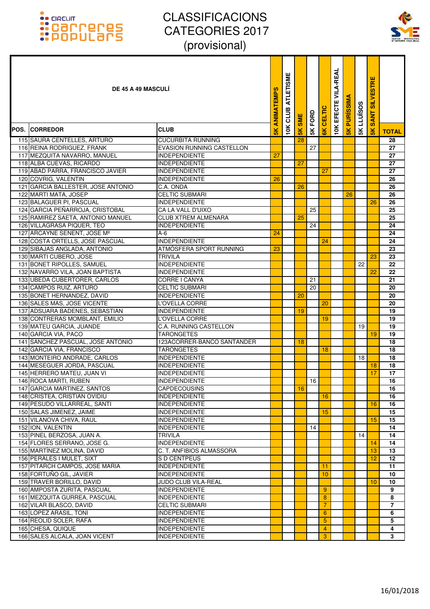### :: GRCUIT<br>:: Carroteres<br>:: Populars



| <b>DE 45 A 49 MASCULI</b>                                   |                                                 | ANIMATEMPS     | <b>ATLETISME</b><br>CLUB | <b>SME</b>    | 5K FORD | CELTIC         | <b>VILA-REAL</b><br>EFECTE | <b>PURISSIM</b> | <b>LLUISOS</b> | <b>SILVESTRE</b><br><b>SANT</b> |                |
|-------------------------------------------------------------|-------------------------------------------------|----------------|--------------------------|---------------|---------|----------------|----------------------------|-----------------|----------------|---------------------------------|----------------|
| <b>POS. ICORREDOR</b>                                       | <b>CLUB</b>                                     | $\frac{8}{10}$ | 10K                      | $\frac{1}{5}$ |         | $\frac{8}{10}$ | 10K                        | $\frac{1}{5}$   | 5K             | $\frac{1}{2}$                   | <b>TOTAL</b>   |
| 115 SAURA CENTELLES, ARTURO                                 | <b>CUCURBITA RUNNING</b>                        |                |                          | 28            |         |                |                            |                 |                |                                 | 28             |
| 116 REINA RODRIGUEZ, FRANK                                  | <b>EVASION RUNNING CASTELLON</b>                |                |                          |               | 27      |                |                            |                 |                |                                 | 27             |
| 117 MEZQUITA NAVARRO, MANUEL                                | <b>INDEPENDIENTE</b>                            | 27             |                          |               |         |                |                            |                 |                |                                 | 27             |
| 118 ALBA CUEVAS, RICARDO                                    | <b>INDEPENDIENTE</b>                            |                |                          | 27            |         |                |                            |                 |                |                                 | 27             |
| 119 ABAD PARRA, FRANCISCO JAVIER                            | <b>INDEPENDIENTE</b>                            |                |                          |               |         | 27             |                            |                 |                |                                 | 27             |
| 120 COVRIG, VALENTIN                                        | <b>INDEPENDIENTE</b>                            | 26             |                          |               |         |                |                            |                 |                |                                 | 26             |
| 121 GARCIA BALLESTER, JOSE ANTONIO                          | C.A. ONDA                                       |                |                          | 26            |         |                |                            |                 |                |                                 | 26             |
| 122 MARTI MATA, JOSEP                                       | <b>CELTIC SUBMARI</b>                           |                |                          |               |         |                |                            | 26              |                |                                 | 26             |
| 123 BALAGUER PI, PASCUAL                                    | <b>INDEPENDIENTE</b>                            |                |                          |               |         |                |                            |                 |                | 26                              | 26             |
| 124 GARCIA PEÑARROJA, CRISTOBAL                             | CA LA VALL D'UIXO                               |                |                          |               | 25      |                |                            |                 |                |                                 | 25             |
| 125 RAMIREZ SAETA, ANTONIO MANUEL                           | <b>CLUB XTREM ALMENARA</b>                      |                |                          | 25            |         |                |                            |                 |                |                                 | 25             |
| 126 VILLAGRASA PIQUER, TEO                                  | <b>INDEPENDIENTE</b>                            |                |                          |               | 24      |                |                            |                 |                |                                 | 24             |
| 127 ARCAYNE SENENT, JOSE Mª                                 | A-6                                             | 24             |                          |               |         |                |                            |                 |                |                                 | 24             |
| 128 COSTA ORTELLS, JOSE PASCUAL                             | <b>INDEPENDIENTE</b><br>ATMÓSFERA SPORT RUNNING | 23             |                          |               |         | 24             |                            |                 |                |                                 | 24             |
| 129 SIBAJAS ANGLADA, ANTONIO<br>130 MARTI CUBERO, JOSE      | TRIVILA                                         |                |                          |               |         |                |                            |                 |                | 23                              | 23<br>23       |
| 131 BONET RIPOLLES, SAMUEL                                  | <b>INDEPENDIENTE</b>                            |                |                          |               |         |                |                            |                 | 22             |                                 | 22             |
| 132 NAVARRO VILA, JOAN BAPTISTA                             | <b>INDEPENDIENTE</b>                            |                |                          |               |         |                |                            |                 |                | 22                              | 22             |
| 133 UBEDA CUBERTORER, CARLOS                                | CORRE I CANYA                                   |                |                          |               | 21      |                |                            |                 |                |                                 | 21             |
| 134 CAMPOS RUIZ, ARTURO                                     | CELTIC SUBMARI                                  |                |                          |               | 20      |                |                            |                 |                |                                 | 20             |
| 135 BONET HERNANDEZ, DAVID                                  | <b>INDEPENDIENTE</b>                            |                |                          | 20            |         |                |                            |                 |                |                                 | 20             |
| 136 SALES MAS, JOSE VICENTE                                 | L'OVELLA CORRE                                  |                |                          |               |         | 20             |                            |                 |                |                                 | 20             |
| 137 ADSUARA BADENES, SEBASTIAN                              | <b>INDEPENDIENTE</b>                            |                |                          | 19            |         |                |                            |                 |                |                                 | 19             |
| 138 CONTRERAS MOMBLANT, EMILIO                              | L'OVELLA CORRE                                  |                |                          |               |         | 19             |                            |                 |                |                                 | 19             |
| 139 MATEU GARCIA, JUANDE                                    | C.A. RUNNING CASTELLON                          |                |                          |               |         |                |                            |                 | 19             |                                 | 19             |
| 140 GARCIA VIA, PACO                                        | <b>TARONGETES</b>                               |                |                          |               |         |                |                            |                 |                | 19                              | 19             |
| 141 SANCHEZ PASCUAL, JOSE ANTONIO                           | 123ACORRER-BANCO SANTANDER                      |                |                          | 18            |         |                |                            |                 |                |                                 | 18             |
| 142 GARCIA VIA, FRANCISCO                                   | TARONGETES                                      |                |                          |               |         | 18             |                            |                 |                |                                 | 18             |
| 143 MONTEIRO ANDRADE, CARLOS                                | <b>INDEPENDIENTE</b>                            |                |                          |               |         |                |                            |                 | 18             |                                 | 18             |
| 144 MESEGUER JORDA, PASCUAL                                 | <b>INDEPENDIENTE</b>                            |                |                          |               |         |                |                            |                 |                | 18                              | 18             |
| 145 HERRERO MATEU, JUAN VI                                  | <b>INDEPENDIENTE</b>                            |                |                          |               |         |                |                            |                 |                | 17                              | 17             |
| 146 ROCA MARTI, RUBEN                                       | <b>INDEPENDIENTE</b>                            |                |                          |               | 16      |                |                            |                 |                |                                 | 16             |
| 147 GARCIA MARTINEZ, SANTOS                                 | <b>CAPDECOUSINS</b>                             |                |                          | 16            |         |                |                            |                 |                |                                 | 16             |
| 148 CRISTEA, CRISTIAN OVIDIU                                | <b>INDEPENDIENTE</b>                            |                |                          |               |         | 16             |                            |                 |                |                                 | 16             |
| 149 PESUDO VILLARREAL, SANTI                                | <b>INDEPENDIENTE</b>                            |                |                          |               |         |                |                            |                 |                | 16                              | 16             |
| 150 SALAS JIMENEZ, JAIME                                    | <b>INDEPENDIENTE</b>                            |                |                          |               |         | 15             |                            |                 |                |                                 | 15             |
| 151 VILANOVA CHIVA, RAUL                                    | <b>INDEPENDIENTE</b>                            |                |                          |               |         |                |                            |                 |                | 15                              | 15             |
| 152 ION, VALENTIN                                           | <b>INDEPENDIENTE</b>                            |                |                          |               | 14      |                |                            |                 |                |                                 | 14             |
| 153 PINEL BERZOSA, JUAN A.                                  | TRIVILA                                         |                |                          |               |         |                |                            |                 | 14             |                                 | 14             |
| 154 FLORES SERRANO, JOSE G.                                 | <b>INDEPENDIENTE</b>                            |                |                          |               |         |                |                            |                 |                | 14                              | 14             |
| 155 MARTÍNEZ MOLINA, DAVID                                  | C. T. ANFIBIOS ALMASSORA                        |                |                          |               |         |                |                            |                 |                | 13                              | 13             |
| 156 PERALES I MULET, SIXT<br>157 PITARCH CAMPOS, JOSE MARIA | S D CENTPEUS                                    |                |                          |               |         |                |                            |                 |                | 12                              | 12             |
| 158 FORTUÑO GIL, JAVIER                                     | <b>INDEPENDIENTE</b><br><b>INDEPENDIENTE</b>    |                |                          |               |         | 11<br>10       |                            |                 |                |                                 | 11<br>10       |
| 159 TRAVER BORILLO, DAVID                                   | JUDO CLUB VILA-REAL                             |                |                          |               |         |                |                            |                 |                | 10                              | 10             |
| 160 AMPOSTA ZURITA, PASCUAL                                 | <b>INDEPENDIENTE</b>                            |                |                          |               |         | 9              |                            |                 |                |                                 | 9              |
| 161 MEZQUITA GURREA, PASCUAL                                | <b>INDEPENDIENTE</b>                            |                |                          |               |         | 8              |                            |                 |                |                                 | 8              |
| 162 VILAR BLASCO, DAVID                                     | <b>CELTIC SUBMARI</b>                           |                |                          |               |         | $\overline{7}$ |                            |                 |                |                                 | $\overline{7}$ |
| 163 LÓPEZ ARASIL, TONI                                      | <b>INDEPENDIENTE</b>                            |                |                          |               |         | 6              |                            |                 |                |                                 | 6              |
| 164 REOLID SOLER, RAFA                                      | <b>INDEPENDIENTE</b>                            |                |                          |               |         | 5              |                            |                 |                |                                 | 5              |
| 165 CHESA, QUIQUE                                           | <b>INDEPENDIENTE</b>                            |                |                          |               |         | 4              |                            |                 |                |                                 | 4              |
| 166 SALES ALCALA, JOAN VICENT                               | <b>INDEPENDIENTE</b>                            |                |                          |               |         | 3              |                            |                 |                |                                 | 3              |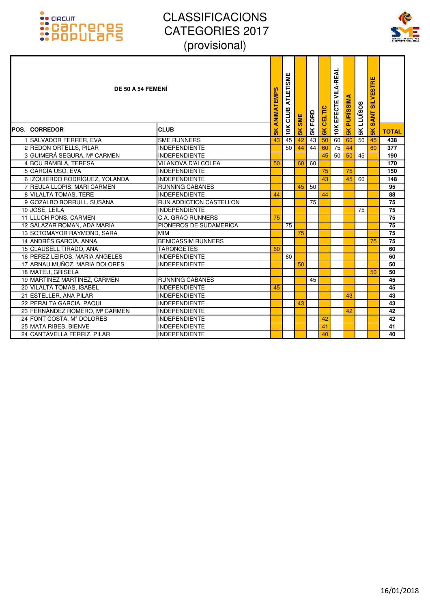

| DE 50 A 54 FEMENI<br><b>POS. CORREDOR</b> | <b>CLUB</b>                    | ANIMATEMPS<br>$\frac{2}{5}$ | <b>ATLETISME</b><br>CLUB<br>10K | <b>SME</b><br>$\frac{1}{2}$ | 5K FORD | CELTIC<br>$\overline{\mathsf{g}}$ | <b>VILA-REAL</b><br><b>10K EFECTE</b> | <b>PURISSIMA</b><br>$\frac{2}{5}$ | <b>LLUÏSOS</b><br>5K | <b>SILVESTRE</b><br><b>SANT</b><br>$\frac{8}{5}$ | <b>TOTAL</b>    |
|-------------------------------------------|--------------------------------|-----------------------------|---------------------------------|-----------------------------|---------|-----------------------------------|---------------------------------------|-----------------------------------|----------------------|--------------------------------------------------|-----------------|
| 1 SALVADOR FERRER, EVA                    | <b>SME RUNNERS</b>             | 43                          | 45                              | 42                          | 43      | 50                                | 60                                    | 60                                | 50                   | 45                                               | 438             |
| 2 REDON ORTELLS, PILAR                    | <b>INDEPENDIENTE</b>           |                             | 50                              | 44                          | 44      | 60                                | 75                                    | 44                                |                      | 60                                               | 377             |
| 3 GUIMERÁ SEGURA, Mª CARMEN               | <b>INDEPENDIENTE</b>           |                             |                                 |                             |         | 45                                | 50                                    | 50                                | 45                   |                                                  | 190             |
| 4 BOU RAMBLA, TERESA                      | <b>VILANOVA D'ALCOLEA</b>      | 50                          |                                 | 60                          | 60      |                                   |                                       |                                   |                      |                                                  | 170             |
| 5 GARCÍA USÓ, EVA                         | <b>INDEPENDIENTE</b>           |                             |                                 |                             |         | 75                                |                                       | 75                                |                      |                                                  | 150             |
| 6 IZQUIERDO RODRÍGUEZ, YOLANDA            | <b>INDEPENDIENTE</b>           |                             |                                 |                             |         | 43                                |                                       | 45                                | 60                   |                                                  | 148             |
| 7 REULA LLOPIS, MARI CARMEN               | <b>RUNNING CABANES</b>         |                             |                                 | 45                          | 50      |                                   |                                       |                                   |                      |                                                  | 95              |
| 8 VILALTA TOMAS, TERE                     | <b>INDEPENDIENTE</b>           | 44                          |                                 |                             |         | 44                                |                                       |                                   |                      |                                                  | 88              |
| 9 GOZALBO BORRULL, SUSANA                 | <b>RUN ADDICTION CASTELLON</b> |                             |                                 |                             | 75      |                                   |                                       |                                   |                      |                                                  | 75              |
| 10 JOSE, LEILA                            | <b>INDEPENDIENTE</b>           |                             |                                 |                             |         |                                   |                                       |                                   | 75                   |                                                  | $\overline{75}$ |
| 11 LLUCH PONS, CARMEN                     | <b>C.A. GRAO RUNNERS</b>       | 75                          |                                 |                             |         |                                   |                                       |                                   |                      |                                                  | 75              |
| 12 SALAZAR ROMAN, ADA MARIA               | PIONEROS DE SUDAMERICA         |                             | 75                              |                             |         |                                   |                                       |                                   |                      |                                                  | 75              |
| 13 SOTOMAYOR RAYMOND, SARA                | <b>MIN</b>                     |                             |                                 | 75                          |         |                                   |                                       |                                   |                      |                                                  | 75              |
| 14 ANDRÉS GARCÍA, ANNA                    | <b>BENICASSIM RUNNERS</b>      |                             |                                 |                             |         |                                   |                                       |                                   |                      | 75                                               | 75              |
| 15 CLAUSELL TIRADO, ANA                   | <b>TARONGETES</b>              | 60                          |                                 |                             |         |                                   |                                       |                                   |                      |                                                  | 60              |
| 16 PEREZ LEIROS, MARIA ANGELES            | <b>INDEPENDIENTE</b>           |                             | 60                              |                             |         |                                   |                                       |                                   |                      |                                                  | 60              |
| 17 ARNAU MUÑOZ, MARIA DOLORES             | <b>INDEPENDIENTE</b>           |                             |                                 | 50                          |         |                                   |                                       |                                   |                      |                                                  | 50              |
| 18 MATEU, GRISELA                         |                                |                             |                                 |                             |         |                                   |                                       |                                   |                      | 50                                               | 50              |
| 19 MARTINEZ MARTINEZ, CARMEN              | <b>RUNNING CABANES</b>         |                             |                                 |                             | 45      |                                   |                                       |                                   |                      |                                                  | 45              |
| 20 VILALTA TOMAS, ISABEL                  | <b>INDEPENDIENTE</b>           | 45                          |                                 |                             |         |                                   |                                       |                                   |                      |                                                  | 45              |
| 21 ESTELLER, ANA PILAR                    | <b>INDEPENDIENTE</b>           |                             |                                 |                             |         |                                   |                                       | 43                                |                      |                                                  | 43              |
| 22 PERALTA GARCIA, PAQUI                  | <b>INDEPENDIENTE</b>           |                             |                                 | 43                          |         |                                   |                                       |                                   |                      |                                                  | 43              |
| 23 FERNÁNDEZ ROMERO, Mª CARMEN            | <b>INDEPENDIENTE</b>           |                             |                                 |                             |         |                                   |                                       | 42                                |                      |                                                  | 42              |
| 24 FONT COSTA, Mª DOLORES                 | <b>INDEPENDIENTE</b>           |                             |                                 |                             |         | 42                                |                                       |                                   |                      |                                                  | 42              |
| 25 MATA RIBES, BIENVE                     | <b>INDEPENDIENTE</b>           |                             |                                 |                             |         | 41                                |                                       |                                   |                      |                                                  | 41              |
| 24 CANTAVELLA FERRIZ, PILAR               | <b>INDEPENDIENTE</b>           |                             |                                 |                             |         | 40                                |                                       |                                   |                      |                                                  | 40              |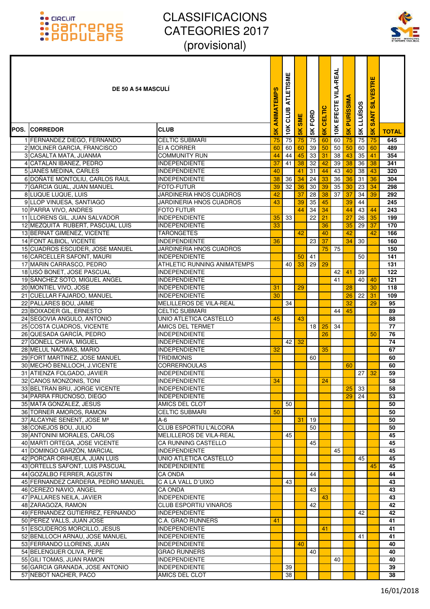

| <b>DE 50 A 54 MASCULI</b>                                        |                                              | <b>ANIMATEMPS</b> | <b>ATLETISME</b><br>CLUB | <b>SME</b>    | 5K FORD  | <b>CELTIC</b>  | <b>VILA-REAL</b><br>EFECTE | <b>PURISSIM</b> | <b>SK LLUISOS</b>     | <b>SILVESTRE</b><br><b>SANT</b> |                 |
|------------------------------------------------------------------|----------------------------------------------|-------------------|--------------------------|---------------|----------|----------------|----------------------------|-----------------|-----------------------|---------------------------------|-----------------|
| <b>POS. CORREDOR</b>                                             | <b>CLUB</b>                                  | 5K                | 10K                      | $\frac{1}{2}$ |          | $\frac{8}{10}$ | 10K                        | 5K              |                       | 5K                              | <b>TOTAL</b>    |
| 1 FERNANDEZ DIEGO, FERNANDO                                      | <b>CELTIC SUBMARI</b>                        | 75                | 75                       | 75            | 75       | 60             | 60                         | 75              | 75                    | 75                              | 645             |
| 2 MOLINER GARCIA, FRANCISCO                                      | <b>EI A CORRER</b>                           | 60                | 60                       | 60            | 39       | 50             | 50                         | 50              | 60                    | 60                              | 489             |
| 3 CASALTA MATA, JUANMA                                           | <b>COMMUNITY RUN</b>                         | 44                | 44                       | 45            | 33       | 31             | 38                         | 43              | 35                    | 41                              | 354             |
| 4 CATALAN IBAÑEZ, PEDRO                                          | INDEPENDIENTE                                | 37                | 41                       | 38            | 32       | 42             | 39                         | 38              | 36                    | 38                              | 341             |
| 5 JANÉS MEDINA, CARLES                                           | <b>INDEPENDIENTE</b>                         | 40                |                          | 41            | 31       | 44             | 43                         | 40              | 38                    | 43                              | 320             |
| 6 DOÑATE MONTOLIU, CARLOS RAUL                                   | <b>INDEPENDIENTE</b>                         | 38                | 36                       | 34            | 24       | 33             | 36                         | 36              | 31                    | 36                              | 304             |
| 7 GARCIA GUAL, JUAN MANUEL<br>8 LUQUE LUQUE, LUIS                | <b>FOTO-FUTUR</b><br>JARDINERIA HNOS CUADROS | 39<br>42          | 32                       | 36<br>37      | 30<br>28 | 39<br>38       | 35<br>$\overline{37}$      | 30<br>37        | 23<br>$\overline{34}$ | 34<br>39                        | 298<br>292      |
| 9 LLOP VINUESA, SANTIAGO                                         | JARDINERIA HNOS CUADROS                      | 43                |                          | 39            | 35       | 45             |                            | 39              | 44                    |                                 | 245             |
| 10 PARRA VIVO, ANDRES                                            | <b>FOTO FUTUR</b>                            |                   |                          | 44            | 34       | 34             |                            | 44              | 43                    | 44                              | 243             |
| 11 LLORENS GIL, JUAN SALVADOR                                    | INDEPENDIENTE                                | 35                | 33                       |               | 22       | 21             |                            | 27              | 26                    | 35                              | 199             |
| 12 MEZQUITA RUBERT, PASCUAL LUIS                                 | INDEPENDIENTE                                | 33                |                          |               |          | 36             |                            | 35              | 29                    | 37                              | 170             |
| 13 BERNAT GIMENEZ, VICENTE                                       | <b>TARONGETES</b>                            |                   |                          | 42            |          | 40             |                            | 42              |                       | 42                              | 166             |
| 14 FONT ALBIOL, VICENTE                                          | <b>INDEPENDIENTE</b>                         | 36                |                          |               | 23       | 37             |                            | 34              | 30                    |                                 | 160             |
| 15 CUADROS ESCUDER, JOSE MANUEL                                  | JARDINERIA HNOS CUADROS                      |                   |                          |               |          | 75             | 75                         |                 |                       |                                 | 150             |
| 16 CARCELLER SAFONT, MAURI                                       | <b>INDEPENDIENTE</b>                         |                   |                          | 50            | 41       |                |                            |                 | 50                    |                                 | 141             |
| 17 MARIN CARRASCO, PEDRO                                         | <b>ATHLETIC RUNNING ANIMATEMPS</b>           |                   | 40                       | 33            | 29       | 29             |                            |                 |                       |                                 | 131             |
| 18 USÓ BONET, JOSE PASCUAL                                       | <b>INDEPENDIENTE</b>                         |                   |                          |               |          |                | 42                         | 41              | 39                    |                                 | 122             |
| 19 SÁNCHEZ SOTO, MIGUEL ANGEL                                    | <b>INDEPENDIENTE</b>                         | 31                |                          |               |          |                | 41                         |                 | 40                    | 40<br>30                        | 121             |
| 20 MONTIEL VIVO, JOSE<br>21 CUELLAR FAJARDO, MANUEL              | <b>INDEPENDIENTE</b><br><b>INDEPENDIENTE</b> | 30                |                          | 29            |          |                |                            | 28<br>26        | 22                    | 31                              | 118<br>109      |
| 22 PALLARES BOU, JAIME                                           | MELILLEROS DE VILA-REAL                      |                   | 34                       |               |          |                |                            | 32              |                       | 29                              | 95              |
| 23 BOIXADER GIL, ERNESTO                                         | <b>CELTIC SUBMARI</b>                        |                   |                          |               |          |                | 44                         | 45              |                       |                                 | 89              |
| 24 SEGOVIA ANGULO, ANTONIO                                       | UNIO ATLETICA CASTELLO                       | 45                |                          | 43            |          |                |                            |                 |                       |                                 | 88              |
| 25 COSTA CUADROS, VICENTE                                        | <b>AMICS DEL TERMET</b>                      |                   |                          |               | 18       | 25             | 34                         |                 |                       |                                 | 77              |
| 26 QUESADA GARCÍA, PEDRO                                         | <b>INDEPENDIENTE</b>                         |                   |                          |               |          | 26             |                            |                 |                       | 50                              | 76              |
| 27 GONELL CHIVA, MIGUEL                                          | <b>INDEPENDIENTE</b>                         |                   | 42                       | 32            |          |                |                            |                 |                       |                                 | $\overline{74}$ |
| 28 MELUL NACMIAS, MARIO                                          | <b>INDEPENDIENTE</b>                         | 32                |                          |               |          | 35             |                            |                 |                       |                                 | 67              |
| 29 FORT MARTINEZ, JOSE MANUEL                                    | <b>TRIDIMONIS</b>                            |                   |                          |               | 60       |                |                            |                 |                       |                                 | 60              |
| 30 MECHÓ BENLLOCH, J.VICENTE                                     | <b>CORRERNOULAS</b>                          |                   |                          |               |          |                |                            | 60              |                       |                                 | 60              |
| 31 ATIENZA FOLGADO, JAVIER                                       | <b>INDEPENDIENTE</b>                         |                   |                          |               |          |                |                            |                 | 27                    | 32                              | 59              |
| 32 CANOS MONZONIS, TONI                                          | INDEPENDIENTE                                | $\overline{34}$   |                          |               |          | 24             |                            |                 |                       |                                 | 58              |
| 33 BELTRAN BRU, JORGE VICENTE<br>34 PARRA FRUCNOSO, DIEGO        | <b>INDEPENDIENTE</b><br><b>INDEPENDIENTE</b> |                   |                          |               |          |                |                            | 25<br>29        | 33<br>24              |                                 | 58<br>53        |
| 35 MATA GONZALEZ, JESUS                                          | AMICS DEL CLOT                               |                   | 50                       |               |          |                |                            |                 |                       |                                 | 50              |
| 36 TORNER AMOROS, RAMON                                          | <b>CELTIC SUBMARI</b>                        | 50                |                          |               |          |                |                            |                 |                       |                                 | 50              |
| 37 ALCAYNE SENENT, JOSE Mª                                       | A-6                                          |                   |                          | 31            | 19       |                |                            |                 |                       |                                 | 50              |
| 38 CONEJOS BOU, JULIO                                            | <b>CLUB ESPORTIU L'ALCORA</b>                |                   |                          |               | 50       |                |                            |                 |                       |                                 | 50              |
| 39 ANTONINI MORALES, CARLOS                                      | MELILLEROS DE VILA-REAL                      |                   | 45                       |               |          |                |                            |                 |                       |                                 | 45              |
| 40 MARTI ORTEGA, JOSE VICENTE                                    | <b>CA RUNNING CASTELLO</b>                   |                   |                          |               | 45       |                |                            |                 |                       |                                 | 45              |
| 41 DOMINGO GARZÓN, MARCIAL                                       | INDEPENDIENTE                                |                   |                          |               |          |                | 45                         |                 |                       |                                 | 45              |
| 42 PORCAR ORIHUELA, JUAN LUIS                                    | UNIO ATLETICA CASTELLO                       |                   |                          |               |          |                |                            |                 | 45                    |                                 | 45              |
| 43 ORTELLS SAFONT, LUIS PASCUAL                                  | <b>INDEPENDIENTE</b>                         |                   |                          |               |          |                |                            |                 |                       | 45                              | 45              |
| 44 GOZALBO FERRER, AGUSTIN<br>45 FERNANDEZ CARDERA, PEDRO MANUEL | <b>CA ONDA</b><br>C A LA VALL D'UIXO         |                   |                          |               | 44       |                |                            |                 |                       |                                 | 44              |
| 46 CEREZO NAVIO, ANGEL                                           | <b>CA ONDA</b>                               |                   | 43                       |               | 43       |                |                            |                 |                       |                                 | 43<br>43        |
| 47 PALLARES NEILA, JAVIER                                        | <b>INDEPENDIENTE</b>                         |                   |                          |               |          | 43             |                            |                 |                       |                                 | 43              |
| 48 ZARAGOZA, RAMON                                               | <b>CLUB ESPORTIU VINAROS</b>                 |                   |                          |               | 42       |                |                            |                 |                       |                                 | 42              |
| 49 FERNÁNDEZ GUTIÉRREZ, FERNANDO                                 | <b>INDEPENDIENTE</b>                         |                   |                          |               |          |                |                            |                 | 42                    |                                 | 42              |
| 50 PEREZ VALLS, JUAN JOSE                                        | C.A. GRAO RUNNERS                            | 41                |                          |               |          |                |                            |                 |                       |                                 | 41              |
| 51 ESCUDEROS MORCILLO, JESUS                                     | <b>INDEPENDIENTE</b>                         |                   |                          |               |          | 41             |                            |                 |                       |                                 | 41              |
| 52 BENLLOCH ARNAU, JOSE MANUEL                                   | <b>INDEPENDIENTE</b>                         |                   |                          |               |          |                |                            |                 | 41                    |                                 | 41              |
| 53 FERRANDO LLORENS, JUAN                                        | INDEPENDIENTE                                |                   |                          | 40            |          |                |                            |                 |                       |                                 | 40              |
| 54 BELENGUER OLIVA, PEPE                                         | <b>GRAO RUNNERS</b>                          |                   |                          |               | 40       |                |                            |                 |                       |                                 | 40              |
| 55 GILI TOMAS, JUAN RAMON                                        | <b>INDEPENDIENTE</b>                         |                   |                          |               |          |                | 40                         |                 |                       |                                 | 40              |
| 56 GARCIA GRANADA, JOSE ANTONIO                                  | <b>INDEPENDIENTE</b>                         |                   | 39                       |               |          |                |                            |                 |                       |                                 | 39              |
| 57 NEBOT NACHER, PACO                                            | AMICS DEL CLOT                               |                   | 38                       |               |          |                |                            |                 |                       |                                 | 38              |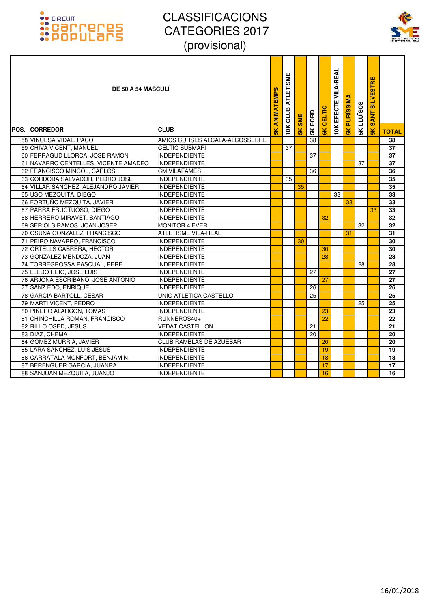

| <b>DE 50 A 54 MASCULI</b>            |                                | ANIMATEMPS    | <b>ATLETISME</b><br>10K CLUB | <b>SME</b>    | 5K FORD         | CELTIC          | <b>10K EFECTE VILA-REAL</b> | <b>PURISSIMA</b> | <b>5K LLUISOS</b> | <b>SANT SILVESTRE</b> |                 |
|--------------------------------------|--------------------------------|---------------|------------------------------|---------------|-----------------|-----------------|-----------------------------|------------------|-------------------|-----------------------|-----------------|
| <b>POS. ICORREDOR</b>                | <b>CLUB</b>                    | $\frac{1}{5}$ |                              | $\frac{1}{2}$ |                 | $\frac{1}{2}$   |                             | $\frac{1}{5}$    |                   | $\frac{8}{5}$         | <b>TOTAL</b>    |
| 58 VINUESA VIDAL, PACO               | AMICS CURSES ALCALA-ALCOSSEBRE |               |                              |               | $\overline{38}$ |                 |                             |                  |                   |                       | 38              |
| 59 CHIVA VICENT, MANUEL              | <b>CELTIC SUBMARI</b>          |               | 37                           |               |                 |                 |                             |                  |                   |                       | 37              |
| 60 FERRAGUD LLORCA, JOSE RAMON       | <b>INDEPENDIENTE</b>           |               |                              |               | 37              |                 |                             |                  |                   |                       | 37              |
| 61 NAVARRO CENTELLES, VICENTE AMADEO | <b>INDEPENDIENTE</b>           |               |                              |               |                 |                 |                             |                  | 37                |                       | 37              |
| 62 FRANCISCO MINGOL, CARLOS          | <b>CM VILAFAMES</b>            |               |                              |               | 36              |                 |                             |                  |                   |                       | $\overline{36}$ |
| 63 CORDOBA SALVADOR, PEDRO JOSE      | <b>INDEPENDIENTE</b>           |               | 35                           |               |                 |                 |                             |                  |                   |                       | 35              |
| 64 VILLAR SANCHEZ, ALEJANDRO JAVIER  | INDEPENDIENTE                  |               |                              | 35            |                 |                 |                             |                  |                   |                       | 35              |
| 65 USO MEZQUITA, DIEGO               | INDEPENDIENTE                  |               |                              |               |                 |                 | 33                          |                  |                   |                       | 33              |
| 66 FORTUÑO MEZQUITA, JAVIER          | <b>INDEPENDIENTE</b>           |               |                              |               |                 |                 |                             | 33               |                   |                       | 33              |
| 67 PARRA FRUCTUOSO, DIEGO            | <b>INDEPENDIENTE</b>           |               |                              |               |                 |                 |                             |                  |                   | 33                    | 33              |
| 68 HERRERO MIRAVET, SANTIAGO         | <b>INDEPENDIENTE</b>           |               |                              |               |                 | 32              |                             |                  |                   |                       | 32              |
| 69 SERIOLS RAMOS, JOAN JOSEP         | <b>MONITOR 4 EVER</b>          |               |                              |               |                 |                 |                             |                  | 32                |                       | 32              |
| 70 OSUNA GONZÁLEZ, FRANCISCO         | <b>ATLETISME VILA-REAL</b>     |               |                              |               |                 |                 |                             | 31               |                   |                       | 31              |
| 71 PEIRO NAVARRO, FRANCISCO          | <b>INDEPENDIENTE</b>           |               |                              | 30            |                 |                 |                             |                  |                   |                       | 30              |
| 72 ORTELLS CABRERA, HECTOR           | <b>INDEPENDIENTE</b>           |               |                              |               |                 | 30              |                             |                  |                   |                       | 30              |
| 73 GONZALEZ MENDOZA, JUAN            | <b>INDEPENDIENTE</b>           |               |                              |               |                 | 28              |                             |                  |                   |                       | 28              |
| 74 TORREGROSSA PASCUAL, PERE         | <b>INDEPENDIENTE</b>           |               |                              |               |                 |                 |                             |                  | 28                |                       | 28              |
| 75 LLEDO REIG, JOSE LUIS             | <b>INDEPENDIENTE</b>           |               |                              |               | 27              |                 |                             |                  |                   |                       | 27              |
| 76 ARJONA ESCRIBANO, JOSE ANTONIO    | <b>INDEPENDIENTE</b>           |               |                              |               |                 | 27              |                             |                  |                   |                       | 27              |
| 77 SANZ EDO, ENRIQUE                 | <b>INDEPENDIENTE</b>           |               |                              |               | 26              |                 |                             |                  |                   |                       | 26              |
| 78 GARCIA BARTOLL, CESAR             | UNIO ATLETICA CASTELLO         |               |                              |               | 25              |                 |                             |                  |                   |                       | 25              |
| 79 MARTÍ VICENT, PEDRO               | <b>INDEPENDIENTE</b>           |               |                              |               |                 |                 |                             |                  | 25                |                       | $\overline{25}$ |
| 80 PIÑERO ALARCON, TOMAS             | <b>INDEPENDIENTE</b>           |               |                              |               |                 | 23              |                             |                  |                   |                       | 23              |
| 81 CHINCHILLA ROMAN, FRANCISCO       | RUNNEROS40+                    |               |                              |               |                 | $\overline{22}$ |                             |                  |                   |                       | 22              |
| 82 RILLO OSED, JESUS                 | <b>VEDAT CASTELLON</b>         |               |                              |               | 21              |                 |                             |                  |                   |                       | $\overline{21}$ |
| 83 DIAZ, CHEMA                       | <b>INDEPENDIENTE</b>           |               |                              |               | 20              |                 |                             |                  |                   |                       | 20              |
| 84 GÓMEZ MURRIA, JAVIER              | <b>CLUB RAMBLAS DE AZUÉBAR</b> |               |                              |               |                 | 20              |                             |                  |                   |                       | $\overline{20}$ |
| 85 LARA SANCHEZ, LUIS JESUS          | <b>INDEPENDIENTE</b>           |               |                              |               |                 | 19              |                             |                  |                   |                       | 19              |
| 86 CARRATALA MONFORT, BENJAMIN       | <b>INDEPENDIENTE</b>           |               |                              |               |                 | 18              |                             |                  |                   |                       | 18              |
| 87 BERENGUER GARCIA, JUANRA          | <b>INDEPENDIENTE</b>           |               |                              |               |                 | 17              |                             |                  |                   |                       | $\overline{17}$ |
| 88 SANJUAN MEZQUITA, JUANJO          | <b>INDEPENDIENTE</b>           |               |                              |               |                 | 16              |                             |                  |                   |                       | 16              |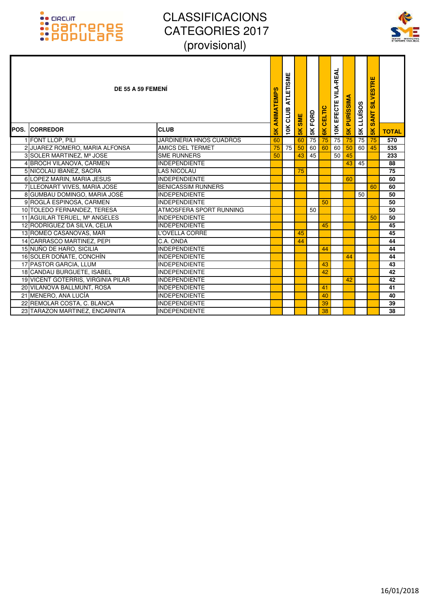

| DE 55 A 59 FEMENI                  |                                | ANIMATEMPS     | ETISME<br><b>ATLI</b><br>CLUB | <b>SME</b>    | 5K FORD | CELTIC        | <b>VILA-REAL</b><br><b>10K EFECTE</b> | <b>PURISSIM</b> | <b>LLUÏSOS</b>  | <b>SILVESTRE</b><br><b>SANT</b> |              |
|------------------------------------|--------------------------------|----------------|-------------------------------|---------------|---------|---------------|---------------------------------------|-----------------|-----------------|---------------------------------|--------------|
| <b>POS. ICORREDOR</b>              | <b>CLUB</b>                    | $\frac{8}{10}$ | 10K                           | $\frac{1}{2}$ |         | $\frac{1}{6}$ |                                       | $\frac{1}{5}$   | 5K              | 5K                              | <b>TOTAL</b> |
| 1 FONT LLOP, PILI                  | <b>JARDINERIA HNOS CUADROS</b> | 60             |                               | 60            | 75      | 75            | 75                                    | 75              | $\overline{75}$ | 75                              | 570          |
| 2 JUAREZ ROMERO, MARIA ALFONSA     | <b>AMICS DEL TERMET</b>        | 75             | 75                            | 50            | 60      | 60            | 60                                    | 50              | 60              | 45                              | 535          |
| 3 SOLER MARTINEZ, Mª JOSE          | <b>SME RUNNERS</b>             | 50             |                               | 43            | 45      |               | 50                                    | 45              |                 |                                 | 233          |
| 4 BROCH VILANOVA, CARMEN           | <b>INDEPENDIENTE</b>           |                |                               |               |         |               |                                       | 43              | 45              |                                 | 88           |
| 5 NICOLAU IBAÑEZ, SACRA            | <b>LAS NICOLAU</b>             |                |                               | 75            |         |               |                                       |                 |                 |                                 | 75           |
| 6 LOPEZ MARIN, MARIA JESUS         | <b>INDEPENDIENTE</b>           |                |                               |               |         |               |                                       | 60              |                 |                                 | 60           |
| 7 LLEONART VIVES, MARIA JOSE       | <b>BENICASSIM RUNNERS</b>      |                |                               |               |         |               |                                       |                 |                 | 60                              | 60           |
| 8 GUMBAU DOMINGO, MARIA JOSÉ       | <b>INDEPENDIENTE</b>           |                |                               |               |         |               |                                       |                 | 50              |                                 | 50           |
| 9 ROGLÁ ESPINOSA, CARMEN           | <b>INDEPENDIENTE</b>           |                |                               |               |         | 50            |                                       |                 |                 |                                 | 50           |
| 10 TOLEDO FERNANDEZ, TERESA        | ATMOSFERA SPORT RUNNING        |                |                               |               | 50      |               |                                       |                 |                 |                                 | 50           |
| 11 AGUILAR TERUEL, Mª ANGELES      | <b>INDEPENDIENTE</b>           |                |                               |               |         |               |                                       |                 |                 | 50                              | 50           |
| 12 RODRÍGUEZ DA SILVA, CELIA       | <b>INDEPENDIENTE</b>           |                |                               |               |         | 45            |                                       |                 |                 |                                 | 45           |
| 13 ROMEO CASANOVAS, MAR            | L'OVELLA CORRE                 |                |                               | 45            |         |               |                                       |                 |                 |                                 | 45           |
| 14 CARRASCO MARTINEZ, PEPI         | C.A. ONDA                      |                |                               | 44            |         |               |                                       |                 |                 |                                 | 44           |
| 15 NUÑO DE HARO, SICILIA           | <b>INDEPENDIENTE</b>           |                |                               |               |         | 44            |                                       |                 |                 |                                 | 44           |
| 16 SOLER DOÑATE, CONCHÍN           | <b>INDEPENDIENTE</b>           |                |                               |               |         |               |                                       | 44              |                 |                                 | 44           |
| 17 PASTOR GARCIA, LLUM             | <b>INDEPENDIENTE</b>           |                |                               |               |         | 43            |                                       |                 |                 |                                 | 43           |
| 18 CANDAU BURGUETE, ISABEL         | <b>INDEPENDIENTE</b>           |                |                               |               |         | 42            |                                       |                 |                 |                                 | 42           |
| 19 VICENT GOTERRIS, VIRGINIA PILAR | <b>INDEPENDIENTE</b>           |                |                               |               |         |               |                                       | 42              |                 |                                 | 42           |
| 20 VILANOVA BALLMUNT, ROSA         | <b>INDEPENDIENTE</b>           |                |                               |               |         | 41            |                                       |                 |                 |                                 | 41           |
| 21 MENERO, ANA LUCÍA               | <b>INDEPENDIENTE</b>           |                |                               |               |         | 40            |                                       |                 |                 |                                 | 40           |
| 22 REMOLAR COSTA, C. BLANCA        | <b>INDEPENDIENTE</b>           |                |                               |               |         | 39            |                                       |                 |                 |                                 | 39           |
| 23 TARAZON MARTINEZ, ENCARNITA     | INDEPENDIENTE                  |                |                               |               |         | 38            |                                       |                 |                 |                                 | 38           |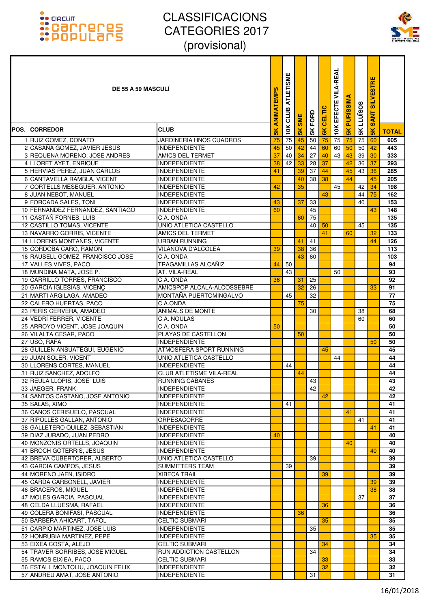

| <b>DE 55 A 59 MASCULI</b>                                   |                                                         | ANIMATEMPS    | <b>ATLETISME</b><br>CLUB | <b>SME</b>    | FORD          | <b>CELTIC</b>  | VILA-REAL<br>EFECTE | <b>PURISSIM</b> | <b>5K LLUISOS</b> | <b>SILVESTRE</b><br><b>SANT</b> |              |
|-------------------------------------------------------------|---------------------------------------------------------|---------------|--------------------------|---------------|---------------|----------------|---------------------|-----------------|-------------------|---------------------------------|--------------|
| POS. ICORREDOR                                              | <b>CLUB</b>                                             | $\frac{2}{5}$ | 10K                      | $\frac{5}{5}$ | $\frac{1}{2}$ | $\frac{8}{10}$ | 10K                 | $\frac{1}{5}$   |                   | $\frac{1}{5}$                   | <b>TOTAL</b> |
| 1 RUIZ GOMEZ, DONATO                                        | JARDINERIA HNOS CUADROS                                 | 75            | 75                       | 45            | 50            | 75             | 75                  | 75              | 75                | 60                              | 605          |
| 2 CASAÑA GOMEZ, JAVIER JESUS                                | <b>INDEPENDIENTE</b>                                    | 45            | 50                       | 42            | 44            | 60             | 60                  | 50              | 50                | 42                              | 443          |
| 3 REQUENA MORENO, JOSE ANDRES                               | AMICS DEL TERMET                                        | 37            | 40                       | 34            | 27            | 40             | 43                  | 43              | 39                | 30                              | 333          |
| 4 LLORET AYET, ENRIQUE                                      | <b>INDEPENDIENTE</b>                                    | 38            | 42                       | 33            | 28            | 37             |                     | 42              | 36                | 37                              | 293          |
| 5 HERVÍAS PEREZ, JUAN CARLOS                                | <b>INDEPENDIENTE</b>                                    | 41            |                          | 39            | 37            | 44             |                     | 45              | 43                | 36                              | 285          |
| 6 CANTAVELLA RAMBLA, VICENT<br>7 CORTELLS MESEGUER, ANTONIO | <b>INDEPENDIENTE</b><br><b>INDEPENDIENTE</b>            | 42            |                          | 40<br>35      | 38            | 38             | 45                  | 44              | 42                | 45<br>34                        | 205<br>198   |
| 8 JUAN NEBOT, MANUEL                                        | <b>INDEPENDIENTE</b>                                    |               |                          |               |               | 43             |                     |                 | 44                | 75                              | 162          |
| 9 FORCADA SALES, TONI                                       | <b>INDEPENDIENTE</b>                                    | 43            |                          | 37            | 33            |                |                     |                 | 40                |                                 | 153          |
| 10 FERNANDEZ FERNANDEZ, SANTIAGO                            | <b>INDEPENDIENTE</b>                                    | 60            |                          |               | 45            |                |                     |                 |                   | 43                              | 148          |
| 11 CASTAÑ FORNES. LUIS                                      | C.A. ONDA                                               |               |                          | 60            | 75            |                |                     |                 |                   |                                 | 135          |
| 12 CASTILLO TOMAS, VICENTE                                  | UNIO ATLETICA CASTELLO                                  |               |                          |               | 40            | 50             |                     |                 | 45                |                                 | 135          |
| 13 NAVARRO GORRIS, VICENTE                                  | AMICS DEL TERMET                                        |               |                          |               |               | 41             |                     | 60              |                   | 32                              | 133          |
| 14 LLORENS MONTAÑES, VICENTE                                | URBAN RUNNING                                           |               |                          | 41            | 41            |                |                     |                 |                   | 44                              | 126          |
| 15 CORDOBA CARO, RAMON                                      | <b>VILANOVA D'ALCOLEA</b>                               | 39            |                          | 38            | 36            |                |                     |                 |                   |                                 | 113          |
| 16 RAUSELL GOMEZ, FRANCISCO JOSE                            | C.A. ONDA                                               |               |                          | 43            | 60            |                |                     |                 |                   |                                 | 103          |
| 17 VALLES VIVES, PACO                                       | TRAGAMILLAS ALCAÑIZ                                     | 44            | 50                       |               |               |                |                     |                 |                   |                                 | 94           |
| 18 MUNDINA MATA, JOSE P.<br>19 CARRILLO TORRES, FRANCISCO   | AT. VILA-REAL<br>C.A. ONDA                              | 36            | 43                       | 31            | 25            |                | 50                  |                 |                   |                                 | 93<br>92     |
| 20 GARCIA IGLESIAS, VICENÇ                                  | AMICSPOP ALCALA-ALCOSSEBRE                              |               |                          | 32            | 26            |                |                     |                 |                   | 33                              | 91           |
| 21 MARTI ARGILAGA, AMADEO                                   | MONTAÑA PUERTOMINGALVO                                  |               | 45                       |               | 32            |                |                     |                 |                   |                                 | 77           |
| 22 CALERO HUERTAS, PACO                                     | C.A.ONDA                                                |               |                          | 75            |               |                |                     |                 |                   |                                 | 75           |
| 23 PERIS CERVERA, AMADEO                                    | ANIMALS DE MONTE                                        |               |                          |               | 30            |                |                     |                 | 38                |                                 | 68           |
| 24 VEDRI FERRER, VICENTE                                    | C.A. NOULAS                                             |               |                          |               |               |                |                     |                 | 60                |                                 | 60           |
| 25 ARROYO VICENT, JOSE JOAQUIN                              | C.A. ONDA                                               | 50            |                          |               |               |                |                     |                 |                   |                                 | 50           |
| 26 VILALTA CESAR, PACO                                      | PLAYAS DE CASTELLON                                     |               |                          | 50            |               |                |                     |                 |                   |                                 | 50           |
| 27 USO, RAFA                                                | <b>INDEPENDIENTE</b>                                    |               |                          |               |               |                |                     |                 |                   | 50                              | 50           |
| 28 GUILLEN ANSUATEGUI, EUGENIO                              | ATMOSFERA SPORT RUNNING                                 |               |                          |               |               | 45             |                     |                 |                   |                                 | 45           |
| 29 JUAN SOLER, VICENT                                       | UNIO ATLETICA CASTELLO                                  |               |                          |               |               |                | 44                  |                 |                   |                                 | 44           |
| 30 LLORENS CORTES, MANUEL                                   | <b>INDEPENDIENTE</b><br><b>CLUB ATLETISME VILA-REAL</b> |               | 44                       | 44            |               |                |                     |                 |                   |                                 | 44           |
| 31 RUIZ SANCHEZ, ADOLFO<br>32 REULA LLOPIS, JOSE LUIS       | <b>RUNNING CABANES</b>                                  |               |                          |               | 43            |                |                     |                 |                   |                                 | 44<br>43     |
| 33 JAEGER, FRANK                                            | <b>INDEPENDIENTE</b>                                    |               |                          |               | 42            |                |                     |                 |                   |                                 | 42           |
| 34 SANTOS CASTAÑO, JOSE ANTONIO                             | <b>INDEPENDIENTE</b>                                    |               |                          |               |               | 42             |                     |                 |                   |                                 | 42           |
| 35 SALAS, XIMO                                              | <b>INDEPENDIENTE</b>                                    |               | 41                       |               |               |                |                     |                 |                   |                                 | 41           |
| 36 CANOS CERISUELO, PASCUAL                                 | <b>INDEPENDIENTE</b>                                    |               |                          |               |               |                |                     | 41              |                   |                                 | 41           |
| 37 RIPOLLES GALLAN, ANTONIO                                 | <b>ORPESACORRE</b>                                      |               |                          |               |               |                |                     |                 | 41                |                                 | 41           |
| 38 GALLETERO QUILEZ, SEBASTIÁN                              | <b>INDEPENDIENTE</b>                                    |               |                          |               |               |                |                     |                 |                   | 41                              | 41           |
| 39 DIAZ JURADO, JUAN PEDRO                                  | <b>INDEPENDIENTE</b>                                    | 40            |                          |               |               |                |                     |                 |                   |                                 | 40           |
| 40 MONZONIS ORTELLS, JOAQUIN                                | <b>INDEPENDIENTE</b>                                    |               |                          |               |               |                |                     | 40              |                   |                                 | 40           |
| 41 BROCH GOTERRIS, JESUS                                    | <b>INDEPENDIENTE</b>                                    |               |                          |               |               |                |                     |                 |                   | 40                              | 40           |
| 42 BREVA CUBERTORER, ALBERTO<br>43 GARCIA CAMPOS, JESUS     | UNIO ATLETICA CASTELLO<br><b>SUMMITTERS TEAM</b>        |               | 39                       |               | 39            |                |                     |                 |                   |                                 | 39<br>39     |
| 44 MORENO JAEN, ISIDRO                                      | <b>XIBECA TRAIL</b>                                     |               |                          |               |               | 39             |                     |                 |                   |                                 | 39           |
| 45 CARDA CARBONELL, JAVIER                                  | <b>INDEPENDIENTE</b>                                    |               |                          |               |               |                |                     |                 |                   | 39                              | 39           |
| 46 BRACEROS, MIGUEL                                         | <b>INDEPENDIENTE</b>                                    |               |                          |               |               |                |                     |                 |                   | 38                              | 38           |
| 47 MOLES GARCIA, PASCUAL                                    | <b>INDEPENDIENTE</b>                                    |               |                          |               |               |                |                     |                 | 37                |                                 | 37           |
| 48 CELDA LLUESMA, RAFAEL                                    | <b>INDEPENDIENTE</b>                                    |               |                          |               |               | 36             |                     |                 |                   |                                 | 36           |
| 49 COLERA BONIFASI, PASCUAL                                 | <b>INDEPENDIENTE</b>                                    |               |                          | 36            |               |                |                     |                 |                   |                                 | 36           |
| 50 BARBERA AHICART, TAFOL                                   | <b>CELTIC SUBMARI</b>                                   |               |                          |               |               | 35             |                     |                 |                   |                                 | 35           |
| 51 CARPIO MARTINEZ, JOSE LUIS                               | <b>INDEPENDIENTE</b>                                    |               |                          |               | 35            |                |                     |                 |                   |                                 | 35           |
| 52 HONRUBIA MARTINEZ, PEPE                                  | <b>INDEPENDIENTE</b>                                    |               |                          |               |               |                |                     |                 |                   | 35                              | 35           |
| 53 EIXEA COSTA, ALEJO<br>54 TRAVER SORRIBES, JOSE MIGUEL    | <b>CELTIC SUBMARI</b><br>RUN ADDICTION CASTELLON        |               |                          |               |               | 34             |                     |                 |                   |                                 | 34           |
| 55 RAMOS EIXIEA, PACO                                       | <b>CELTIC SUBMARI</b>                                   |               |                          |               | 34            | 33             |                     |                 |                   |                                 | 34<br>33     |
| 56 ESTALL MONTOLIU, JOAQUIN FELIX                           | <b>INDEPENDIENTE</b>                                    |               |                          |               |               | 32             |                     |                 |                   |                                 | 32           |
| 57 ANDREU AMAT, JOSE ANTONIO                                | <b>INDEPENDIENTE</b>                                    |               |                          |               | 31            |                |                     |                 |                   |                                 | 31           |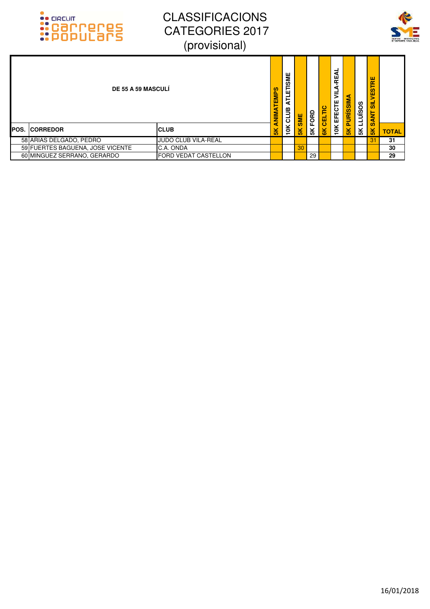



| <b>DE 55 A 59 MASCULI</b> |                                  |                             | NIMATEMPS          | 쁳<br>ທ<br>ш<br>ᆮ<br>≃<br>JJ<br>JJ | SME | FORD | CELTIC | ₹<br>ш<br>œ<br>а<br>⋚<br>ш<br>EFECTE | JRISSIM       | <b>SOSINTI</b> | VESTRE<br>륾<br><b>SANT</b> |              |
|---------------------------|----------------------------------|-----------------------------|--------------------|-----------------------------------|-----|------|--------|--------------------------------------|---------------|----------------|----------------------------|--------------|
| <b>IPOS.</b>              | <b>ICORREDOR</b>                 | <b>ICLUB</b>                | ∢<br>$\frac{1}{2}$ | 10K                               | ۴Ř  | 5K   | 6K     | 10K                                  | $\frac{1}{2}$ | 5K             | $\frac{1}{5}$              | <b>TOTAL</b> |
|                           | 58 ARIAS DELGADO, PEDRO          | JUDO CLUB VILA-REAL         |                    |                                   |     |      |        |                                      |               |                | 31                         | 31           |
|                           | 59 FUERTES BAGUENA, JOSE VICENTE | C.A. ONDA                   |                    |                                   | 30  |      |        |                                      |               |                |                            | 30           |
|                           | 60 MINGUEZ SERRANO, GERARDO      | <b>FORD VEDAT CASTELLON</b> |                    |                                   |     | 29   |        |                                      |               |                |                            | 29           |